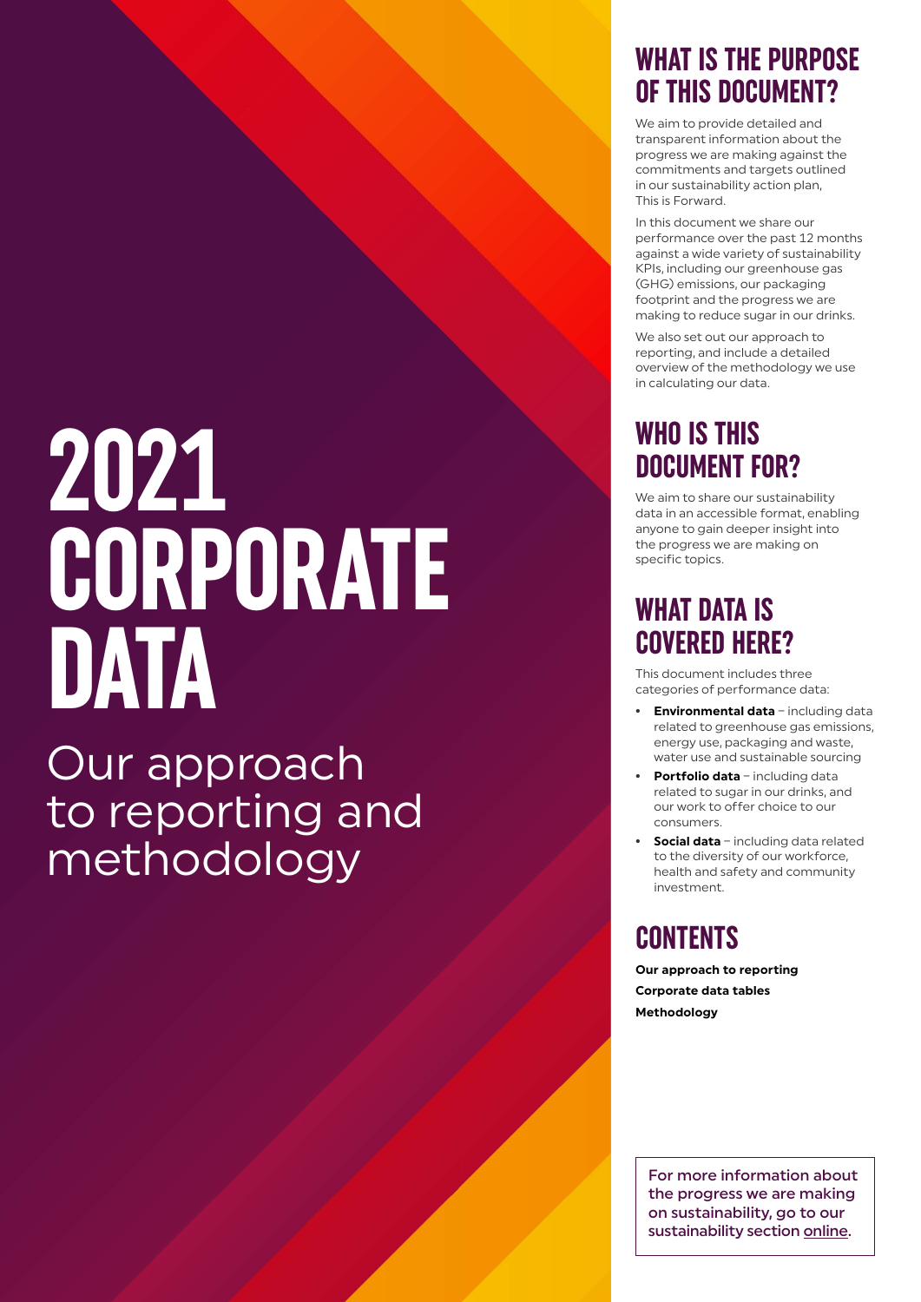# **2021 CORPORATE DATA**

Our approach to reporting and methodology

## **WHAT IS THE PURPOSE OF THIS DOCUMENT?**

We aim to provide detailed and transparent information about the progress we are making against the commitments and targets outlined in our sustainability action plan, This is Forward.

In this document we share our performance over the past 12 months against a wide variety of sustainability KPIs, including our greenhouse gas (GHG) emissions, our packaging footprint and the progress we are making to reduce sugar in our drinks.

We also set out our approach to reporting, and include a detailed overview of the methodology we use in calculating our data.

## **WHO IS THIS DOCUMENT FOR?**

We aim to share our sustainability data in an accessible format, enabling anyone to gain deeper insight into the progress we are making on specific topics.

## **WHAT DATA IS COVERED HERE?**

This document includes three categories of performance data:

- **• Environmental data** including data related to greenhouse gas emissions, energy use, packaging and waste, water use and sustainable sourcing
- **• Portfolio data** including data related to sugar in our drinks, and our work to offer choice to our consumers.
- **• Social data** including data related to the diversity of our workforce, health and safety and community investment.

## **CONTENTS**

**Our approach to reporting Corporate data tables Methodology**

For more information about the progress we are making on sustainability, go to our sustainability section online.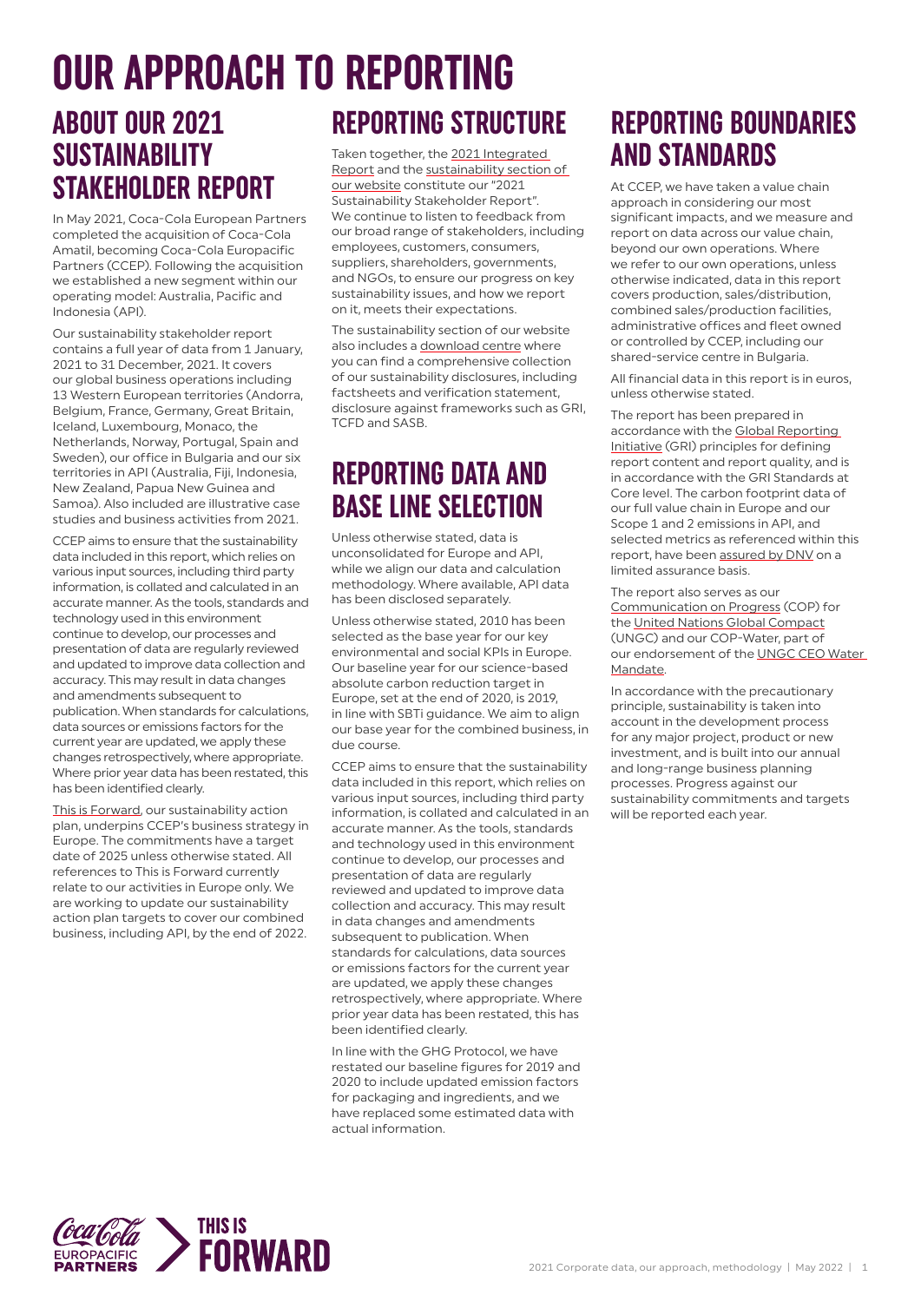### **ABOUT OUR 2021 SUSTAINABILITY STAKEHOLDER REPORT** Taken together, the [2021 Integrated](https://ir.cocacolaep.com/static-files/4d8517ef-7f2b-4690-b00d-1000819d5393)  **OUR APPROACH TO REPORTING**

In May 2021, Coca-Cola European Partners completed the acquisition of Coca-Cola Amatil, becoming Coca-Cola Europacific Partners (CCEP). Following the acquisition we established a new segment within our operating model: Australia, Pacific and Indonesia (API).

Our sustainability stakeholder report contains a full year of data from 1 January, 2021 to 31 December, 2021. It covers our global business operations including 13 Western European territories (Andorra, Belgium, France, Germany, Great Britain, Iceland, Luxembourg, Monaco, the Netherlands, Norway, Portugal, Spain and Sweden), our office in Bulgaria and our six territories in API (Australia, Fiji, Indonesia, New Zealand, Papua New Guinea and Samoa). Also included are illustrative case studies and business activities from 2021.

CCEP aims to ensure that the sustainability data included in this report, which relies on various input sources, including third party information, is collated and calculated in an accurate manner. As the tools, standards and technology used in this environment continue to develop, our processes and presentation of data are regularly reviewed and updated to improve data collection and accuracy. This may result in data changes and amendments subsequent to publication. When standards for calculations, data sources or emissions factors for the current year are updated, we apply these changes retrospectively, where appropriate. Where prior year data has been restated, this has been identified clearly.

[This is Forward,](http://www.cocacolaep.com/sustainability/this-is-forward/) our sustainability action plan, underpins CCEP's business strategy in Europe. The commitments have a target date of 2025 unless otherwise stated. All references to This is Forward currently relate to our activities in Europe only. We are working to update our sustainability action plan targets to cover our combined business, including API, by the end of 2022.

## **REPORTING STRUCTURE**

[Report](https://ir.cocacolaep.com/static-files/4d8517ef-7f2b-4690-b00d-1000819d5393) and the [sustainability section of](https://www.cocacolaep.com/sustainability/this-is-forward/)  [our website](https://www.cocacolaep.com/sustainability/this-is-forward/) constitute our "2021 Sustainability Stakeholder Report". We continue to listen to feedback from our broad range of stakeholders, including employees, customers, consumers, suppliers, shareholders, governments, and NGOs, to ensure our progress on key sustainability issues, and how we report on it, meets their expectations.

The sustainability section of our website also includes a [download centre](https://www.cocacolaep.com/sustainability/download-centre/) where you can find a comprehensive collection of our sustainability disclosures, including factsheets and verification statement, disclosure against frameworks such as GRI, TCFD and SASB.

## **REPORTING DATA AND BASE LINE SELECTION**

Unless otherwise stated, data is unconsolidated for Europe and API, while we align our data and calculation methodology. Where available, API data has been disclosed separately.

Unless otherwise stated, 2010 has been selected as the base year for our key environmental and social KPIs in Europe. Our baseline year for our science-based absolute carbon reduction target in Europe, set at the end of 2020, is 2019, in line with SBTi guidance. We aim to align our base year for the combined business, in due course.

CCEP aims to ensure that the sustainability data included in this report, which relies on various input sources, including third party information, is collated and calculated in an accurate manner. As the tools, standards and technology used in this environment continue to develop, our processes and presentation of data are regularly reviewed and updated to improve data collection and accuracy. This may result in data changes and amendments subsequent to publication. When standards for calculations, data sources or emissions factors for the current year are updated, we apply these changes retrospectively, where appropriate. Where prior year data has been restated, this has been identified clearly.

In line with the GHG Protocol, we have restated our baseline figures for 2019 and 2020 to include updated emission factors for packaging and ingredients, and we have replaced some estimated data with actual information.

## **REPORTING BOUNDARIES AND STANDARDS**

At CCEP, we have taken a value chain approach in considering our most significant impacts, and we measure and report on data across our value chain, beyond our own operations. Where we refer to our own operations, unless otherwise indicated, data in this report covers production, sales/distribution, combined sales/production facilities, administrative offices and fleet owned or controlled by CCEP, including our shared-service centre in Bulgaria.

All financial data in this report is in euros, unless otherwise stated.

The report has been prepared in accordance with the [Global Reporting](https://www.globalreporting.org/)  [Initiative](https://www.globalreporting.org/) (GRI) principles for defining report content and report quality, and is in accordance with the GRI Standards at Core level. The carbon footprint data of our full value chain in Europe and our Scope 1 and 2 emissions in API, and selected metrics as referenced within this report, have been [assured by DNV](https://www.cocacolaep.com/sustainability/download-centre/) on a limited assurance basis.

The report also serves as our [Communication on Progress](https://www.unglobalcompact.org/participation/report/cop/create-and-submit/active/440005) (COP) for the [United Nations Global Compact](https://www.unglobalcompact.org/) (UNGC) and our COP-Water, part of our endorsement of the [UNGC CEO Water](https://ceowatermandate.org/posts/coca-cola-european-partners-submits-2019-cop/)  [Mandate](https://ceowatermandate.org/posts/coca-cola-european-partners-submits-2019-cop/).

In accordance with the precautionary principle, sustainability is taken into account in the development process for any major project, product or new investment, and is built into our annual and long-range business planning processes. Progress against our sustainability commitments and targets will be reported each year.

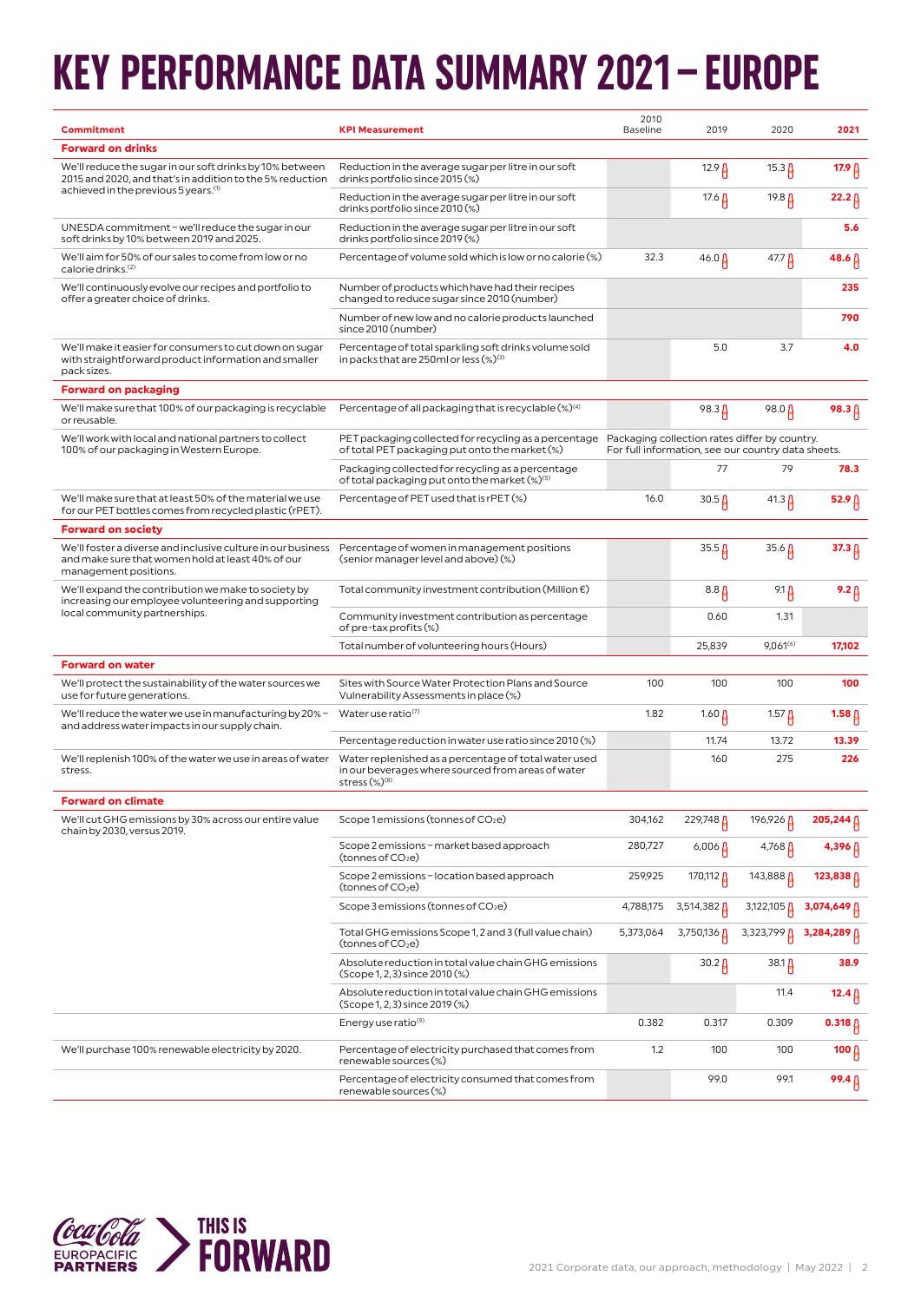## **KEY PERFORMANCE DATA SUMMARY 2021–EUROPE**

| <b>Commitment</b>                                                                                                                          | <b>KPI Measurement</b>                                                                                                             | 2010<br><b>Baseline</b>                       | 2019                                               | 2020                | 2021                   |
|--------------------------------------------------------------------------------------------------------------------------------------------|------------------------------------------------------------------------------------------------------------------------------------|-----------------------------------------------|----------------------------------------------------|---------------------|------------------------|
| <b>Forward on drinks</b>                                                                                                                   |                                                                                                                                    |                                               |                                                    |                     |                        |
| We'll reduce the sugar in our soft drinks by 10% between<br>2015 and 2020, and that's in addition to the 5% reduction                      | Reduction in the average sugar per litre in our soft<br>drinks portfolio since 2015 (%)                                            |                                               | $12.9 \upbeta$                                     | $15.3 \upbeta$      | 17.9 <sub>0</sub>      |
| achieved in the previous 5 years. <sup>(1)</sup>                                                                                           | Reduction in the average sugar per litre in our soft<br>drinks portfolio since 2010 (%)                                            |                                               | 17.6 <b>A</b>                                      | 19.8 <mark>∆</mark> | $22.2 \beta$           |
| UNESDA commitment - we'll reduce the sugar in our<br>soft drinks by 10% between 2019 and 2025.                                             | Reduction in the average sugar per litre in our soft<br>drinks portfolio since 2019 (%)                                            |                                               |                                                    |                     | 5.6                    |
| We'll aim for 50% of our sales to come from low or no<br>calorie drinks. <sup>(2)</sup>                                                    | Percentage of volume sold which is low or no calorie (%)                                                                           | 32.3                                          | $46.0 \,\mu$                                       | 47.7 <b>A</b>       | $48.6 \,\beta$         |
| We'll continuously evolve our recipes and portfolio to<br>offer a greater choice of drinks.                                                | Number of products which have had their recipes<br>changed to reduce sugar since 2010 (number)                                     |                                               |                                                    |                     | 235                    |
|                                                                                                                                            | Number of new low and no calorie products launched<br>since 2010 (number)                                                          |                                               |                                                    |                     | 790                    |
| We'll make it easier for consumers to cut down on sugar<br>with straightforward product information and smaller<br>pack sizes.             | Percentage of total sparkling soft drinks volume sold<br>in packs that are 250ml or less (%) <sup>(3)</sup>                        |                                               | 5.0                                                | 3.7                 | 4.0                    |
| <b>Forward on packaging</b>                                                                                                                |                                                                                                                                    |                                               |                                                    |                     |                        |
| We'll make sure that 100% of our packaging is recyclable<br>or reusable.                                                                   | Percentage of all packaging that is recyclable $(\%)^{(4)}$                                                                        |                                               | $98.3 \uparrow$                                    | 98.0 $\mu$          | $98.3 \uparrow$        |
| We'll work with local and national partners to collect<br>100% of our packaging in Western Europe.                                         | PET packaging collected for recycling as a percentage<br>of total PET packaging put onto the market (%)                            | Packaging collection rates differ by country. | For full information, see our country data sheets. |                     |                        |
|                                                                                                                                            | Packaging collected for recycling as a percentage<br>of total packaging put onto the market (%) <sup>(5)</sup>                     |                                               | 77                                                 | 79                  | 78.3                   |
| We'll make sure that at least 50% of the material we use<br>for our PET bottles comes from recycled plastic (rPET).                        | Percentage of PET used that is rPET (%)                                                                                            | 16.0                                          | $30.5\,\mu$                                        | $41.3 \,\mu$        | 52.9 $\beta$           |
| <b>Forward on society</b>                                                                                                                  |                                                                                                                                    |                                               |                                                    |                     |                        |
| We'll foster a diverse and inclusive culture in our business<br>and make sure that women hold at least 40% of our<br>management positions. | Percentage of women in management positions<br>(senior manager level and above) (%)                                                |                                               | $35.5 \mu$                                         | $35.6 \beta$        | $37.3 \uparrow$        |
| We'll expand the contribution we make to society by<br>increasing our employee volunteering and supporting                                 | Total community investment contribution (Million $\epsilon$ )                                                                      |                                               | $8.8 \mu$                                          | 9.1 $\beta$         | $9.2 \upbeta$          |
| local community partnerships.                                                                                                              | Community investment contribution as percentage<br>of pre-tax profits (%)                                                          |                                               | 0.60                                               | 1.31                |                        |
|                                                                                                                                            | Total number of volunteering hours (Hours)                                                                                         |                                               | 25,839                                             | $9,061^{(6)}$       | 17,102                 |
| <b>Forward on water</b>                                                                                                                    |                                                                                                                                    |                                               |                                                    |                     |                        |
| We'll protect the sustainability of the water sources we<br>use for future generations.                                                    | Sites with Source Water Protection Plans and Source<br>Vulnerability Assessments in place (%)                                      | 100                                           | 100                                                | 100                 | 100                    |
| We'll reduce the water we use in manufacturing by 20% -<br>and address water impacts in our supply chain.                                  | Water use ratio(7)                                                                                                                 | 1.82                                          | 1.60 $\mu$                                         | $1.57 \,\mu$        | $1.58\,\beta$          |
|                                                                                                                                            | Percentage reduction in water use ratio since 2010 (%)                                                                             |                                               | 11.74                                              | 13.72               | 13.39                  |
| We'll replenish 100% of the water we use in areas of water<br>stress.                                                                      | Water replenished as a percentage of total water used<br>in our beverages where sourced from areas of water<br>stress $(\%)^{(8)}$ |                                               | 160                                                | 275                 | 226                    |
| <b>Forward on climate</b>                                                                                                                  |                                                                                                                                    |                                               |                                                    |                     |                        |
| We'll cut GHG emissions by 30% across our entire value<br>chain by 2030, versus 2019.                                                      | Scope 1 emissions (tonnes of CO $_2$ e)                                                                                            | 304,162                                       | 229,748                                            | 196,926             | 205,244 A              |
|                                                                                                                                            | Scope 2 emissions - market based approach<br>(tonnes of CO2e)                                                                      | 280,727                                       | $6,006 \,\mu$                                      | $4,768 \uparrow$    | $4,396 \uparrow$       |
|                                                                                                                                            | Scope 2 emissions - location based approach<br>(tonnes of CO2e)                                                                    | 259,925                                       | 170,112 <mark>∆</mark>                             | 143,888 A           | 123,838 <mark>∆</mark> |
|                                                                                                                                            | Scope 3 emissions (tonnes of CO $_2$ e)                                                                                            | 4,788,175                                     | $3,514,382$ $\beta$                                | 3,122,105           | 3,074,649              |
|                                                                                                                                            | Total GHG emissions Scope 1, 2 and 3 (full value chain)<br>(tonnes of CO2e)                                                        | 5,373,064                                     | 3,750,136                                          | 3,323,799 A         | 3,284,289 A            |
|                                                                                                                                            | Absolute reduction in total value chain GHG emissions<br>(Scope 1, 2, 3) since 2010 (%)                                            |                                               | $30.2 \beta$                                       | 38.1 <mark>A</mark> | 38.9                   |
|                                                                                                                                            | Absolute reduction in total value chain GHG emissions<br>(Scope 1, 2, 3) since 2019 (%)                                            |                                               |                                                    | 11.4                | $12.4 \beta$           |
|                                                                                                                                            | Energy use ratio <sup>(9)</sup>                                                                                                    | 0.382                                         | 0.317                                              | 0.309               | $0.318 \beta$          |
| We'll purchase 100% renewable electricity by 2020.                                                                                         | Percentage of electricity purchased that comes from<br>renewable sources (%)                                                       | 1.2                                           | 100                                                | 100                 | 100 $\beta$            |
|                                                                                                                                            | Percentage of electricity consumed that comes from<br>renewable sources (%)                                                        |                                               | 99.0                                               | 99.1                | $99.4\,\beta$          |

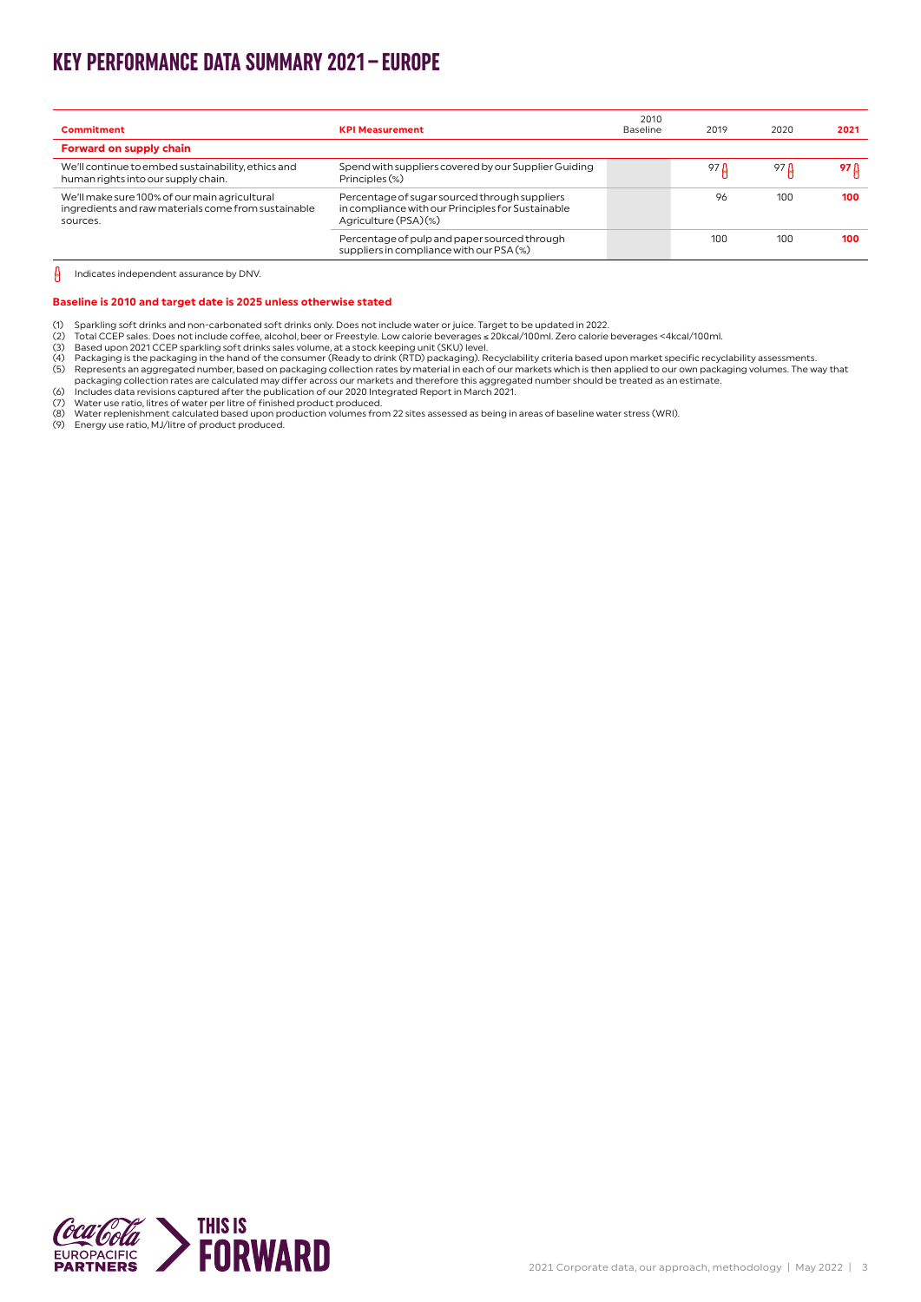### **KEY PERFORMANCE DATA SUMMARY 2021–EUROPE**

| Commitment                                                                                                       | <b>KPI Measurement</b>                                                                                                      | 2010<br><b>Baseline</b> | 2019 | 2020 | 2021 |
|------------------------------------------------------------------------------------------------------------------|-----------------------------------------------------------------------------------------------------------------------------|-------------------------|------|------|------|
| Forward on supply chain                                                                                          |                                                                                                                             |                         |      |      |      |
|                                                                                                                  |                                                                                                                             |                         |      |      |      |
| We'll continue to embed sustainability, ethics and<br>human rights into our supply chain.                        | Spend with suppliers covered by our Supplier Guiding<br>Principles (%)                                                      |                         | 97 D | 97 D | 97 B |
| We'll make sure 100% of our main agricultural<br>ingredients and raw materials come from sustainable<br>sources. | Percentage of sugar sourced through suppliers<br>in compliance with our Principles for Sustainable<br>Agriculture (PSA) (%) |                         | 96   | 100  | 100  |
|                                                                                                                  | Percentage of pulp and paper sourced through<br>suppliers in compliance with our PSA (%)                                    |                         | 100  | 100  | 100  |

 $\theta$ Indicates independent assurance by DNV.

#### **Baseline is 2010 and target date is 2025 unless otherwise stated**

- 
- (1) Sparkling soft drinks and non-carbonated soft drinks only. Does not include water or juice. Target to be updated in 2022.
- 
- 
- (2) Total CCEP sales. Does not include coffee, alcohol, beer or Freestyle. Low calorie beverages ≤ 20kcal/100ml. Zero calorie beverages <4kcal/100ml.<br>(3) Based upon 2021 CCEP sparkling soft drinks sales volume, at a stock
- France is a performance and the distance in a performance of the control of the product (1) Mater use ratio, litres of water per litre of finished product produced.<br>
(7) Water use ratio, litres of water per litre of finish
- 
- (8) Water replenishment calculated based upon production volumes from 22 sites assessed as being in areas of baseline water stress (WRI).
- (9) Energy use ratio, MJ/litre of product produced.

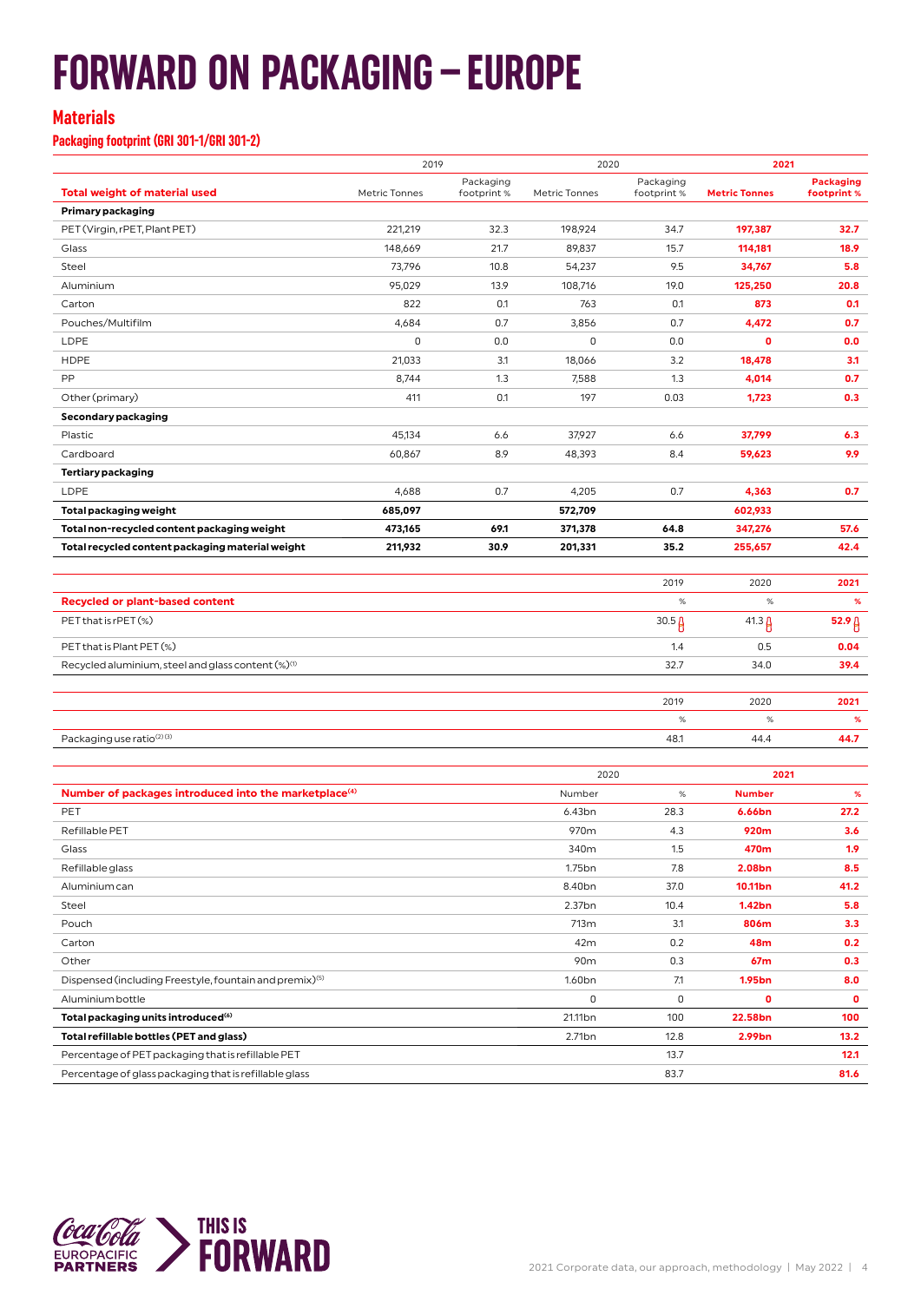## **FORWARD ON PACKAGING–EUROPE**

#### **Materials**

**Packaging footprint (GRI 301-1/GRI 301-2)**

|                                                                     | 2019          |                          | 2020               |                          | 2021                 |                                 |
|---------------------------------------------------------------------|---------------|--------------------------|--------------------|--------------------------|----------------------|---------------------------------|
| <b>Total weight of material used</b>                                | Metric Tonnes | Packaging<br>footprint % | Metric Tonnes      | Packaging<br>footprint % | <b>Metric Tonnes</b> | <b>Packaging</b><br>footprint % |
| Primary packaging                                                   |               |                          |                    |                          |                      |                                 |
| PET (Virgin, rPET, Plant PET)                                       | 221,219       | 32.3                     | 198,924            | 34.7                     | 197,387              | 32.7                            |
| Glass                                                               | 148,669       | 21.7                     | 89,837             | 15.7                     | 114,181              | 18.9                            |
| Steel                                                               | 73,796        | 10.8                     | 54,237             | 9.5                      | 34,767               | 5.8                             |
| Aluminium                                                           | 95,029        | 13.9                     | 108,716            | 19.0                     | 125,250              | 20.8                            |
| Carton                                                              | 822           | 0.1                      | 763                | 0.1                      | 873                  | 0.1                             |
| Pouches/Multifilm                                                   | 4,684         | 0.7                      | 3,856              | 0.7                      | 4,472                | 0.7                             |
| LDPE                                                                | 0             | 0.0                      | $\mathsf 0$        | 0.0                      | $\mathbf{0}$         | 0.0                             |
| <b>HDPE</b>                                                         | 21,033        | 3.1                      | 18,066             | 3.2                      | 18,478               | 3.1                             |
| PP                                                                  | 8,744         | 1.3                      | 7,588              | 1.3                      | 4,014                | 0.7                             |
| Other (primary)                                                     | 411           | 0.1                      | 197                | 0.03                     | 1,723                | 0.3                             |
| Secondary packaging                                                 |               |                          |                    |                          |                      |                                 |
| Plastic                                                             | 45,134        | 6.6                      | 37,927             | 6.6                      | 37,799               | 6.3                             |
| Cardboard                                                           | 60,867        | 8.9                      | 48,393             | 8.4                      | 59,623               | 9.9                             |
| <b>Tertiary packaging</b>                                           |               |                          |                    |                          |                      |                                 |
| LDPE                                                                | 4,688         | 0.7                      | 4,205              | 0.7                      | 4,363                | 0.7                             |
| Total packaging weight                                              | 685,097       |                          | 572,709            |                          | 602,933              |                                 |
| Total non-recycled content packaging weight                         | 473,165       | 69.1                     | 371,378            | 64.8                     | 347,276              | 57.6                            |
| Total recycled content packaging material weight                    | 211,932       | 30.9                     | 201,331            | 35.2                     | 255,657              | 42.4                            |
|                                                                     |               |                          |                    |                          |                      |                                 |
|                                                                     |               |                          |                    | 2019                     | 2020                 | 2021                            |
| <b>Recycled or plant-based content</b>                              |               |                          |                    | $\%$                     | $\%$                 | %                               |
| PET that is rPET (%)                                                |               |                          |                    | $30.5\beta$              | $41.3 \mu$           | 52.9 <sub>0</sub>               |
| PET that is Plant PET (%)                                           |               |                          |                    | 1.4                      | 0.5                  | 0.04                            |
| Recycled aluminium, steel and glass content (%) <sup>(1)</sup>      |               |                          |                    | 32.7                     | 34.0                 | 39.4                            |
|                                                                     |               |                          |                    |                          |                      |                                 |
|                                                                     |               |                          |                    | 2019                     | 2020                 | 2021                            |
|                                                                     |               |                          |                    | $\%$                     | $\%$                 | %                               |
| Packaging use ratio <sup>(2)(3)</sup>                               |               |                          |                    | 48.1                     | 44.4                 | 44.7                            |
|                                                                     |               |                          |                    |                          |                      |                                 |
|                                                                     |               |                          | 2020               |                          | 2021                 |                                 |
| Number of packages introduced into the marketplace <sup>(4)</sup>   |               |                          | Number             | $\%$                     | <b>Number</b>        | %                               |
| PET                                                                 |               |                          | 6.43bn             | 28.3                     | 6.66bn               | 27.2                            |
| Refillable PET                                                      |               |                          | 970m               | 4.3                      | 920m                 | 3.6                             |
| Glass                                                               |               |                          | 340m               | 1.5                      | 470m                 | 1.9                             |
| Refillable glass                                                    |               |                          | 1.75 <sub>bn</sub> | 7.8                      | 2.08bn               | 8.5                             |
| Aluminium can                                                       |               |                          | 8.40bn             | 37.0                     | 10.11bn              | 41.2                            |
| Steel                                                               |               |                          | 2.37bn             | 10.4                     | 1.42bn               | 5.8                             |
| Pouch                                                               |               |                          | 713m               | 3.1                      | 806m                 | 3.3                             |
| Carton                                                              |               |                          | 42m                | 0.2                      | 48m                  | 0.2                             |
| Other                                                               |               |                          | 90m                | 0.3                      | 67m                  | 0.3                             |
| Dispensed (including Freestyle, fountain and premix) <sup>(5)</sup> |               |                          | 1.60 <sub>bn</sub> | 7.1                      | 1.95bn               | 8.0                             |
| Aluminium bottle                                                    |               |                          | $\mathsf 0$        | 0                        | 0                    | 0                               |
| Total packaging units introduced <sup>(6)</sup>                     |               |                          | 21.11bn            | 100                      | 22.58bn              | 100                             |
| Total refillable bottles (PET and glass)                            |               |                          | 2.71 <sub>bn</sub> | 12.8                     | 2.99bn               | 13.2                            |
| Percentage of PET packaging that is refillable PET                  |               |                          |                    | 13.7                     |                      | 12.1                            |
| Percentage of glass packaging that is refillable glass              |               |                          |                    | 83.7                     |                      | 81.6                            |

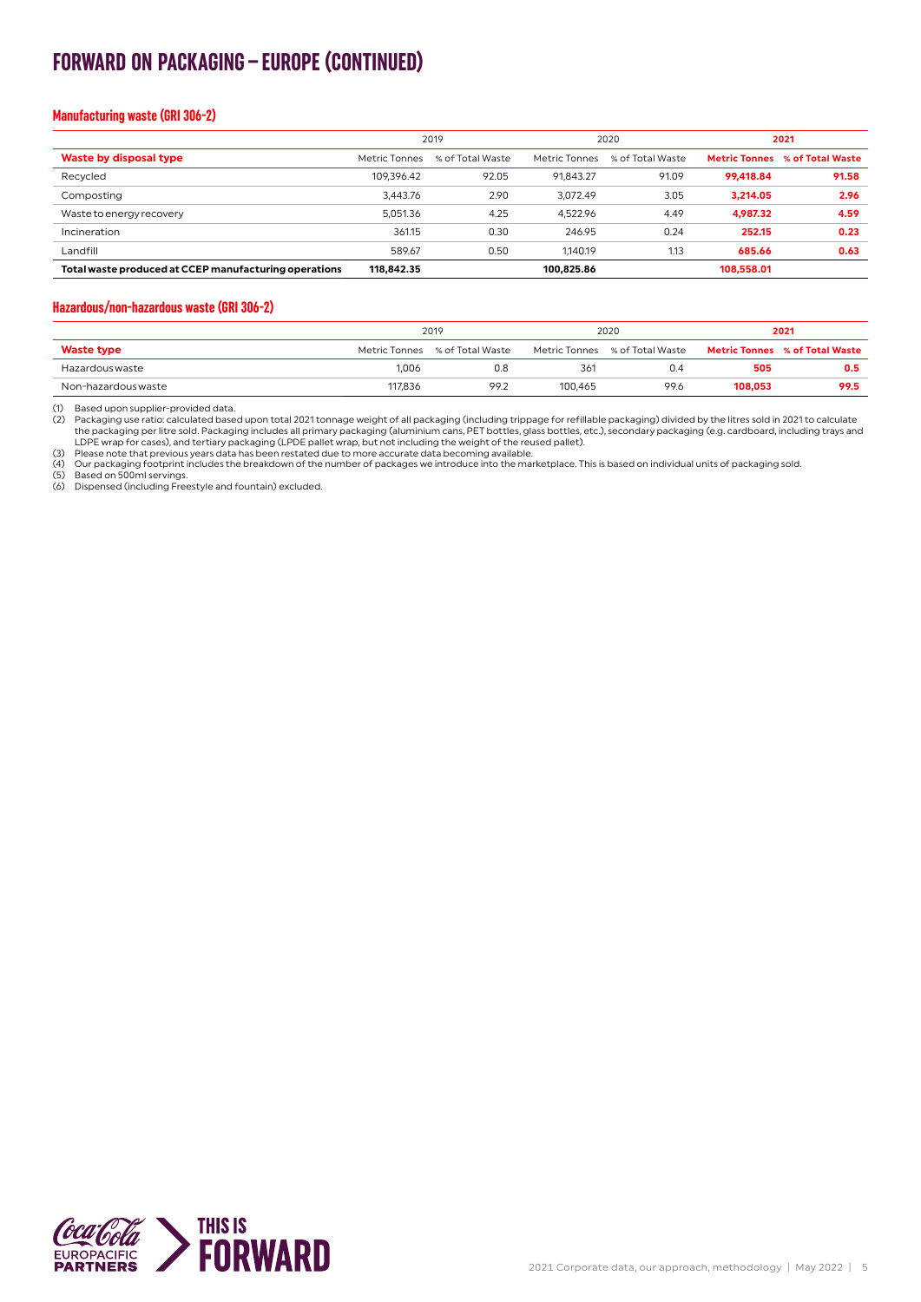### **FORWARD ON PACKAGING–EUROPE (CONTINUED)**

#### **Manufacturing waste (GRI 306-2)**

|                                                       | 2019          |                  | 2020          |                  | 2021       |                                       |
|-------------------------------------------------------|---------------|------------------|---------------|------------------|------------|---------------------------------------|
| Waste by disposal type                                | Metric Tonnes | % of Total Waste | Metric Tonnes | % of Total Waste |            | <b>Metric Tonnes</b> % of Total Waste |
| Recycled                                              | 109.396.42    | 92.05            | 91.843.27     | 91.09            | 99.418.84  | 91.58                                 |
| Composting                                            | 3.443.76      | 2.90             | 3.072.49      | 3.05             | 3,214.05   | 2.96                                  |
| Waste to energy recovery                              | 5.051.36      | 4.25             | 4.522.96      | 4.49             | 4,987.32   | 4.59                                  |
| Incineration                                          | 361.15        | 0.30             | 246.95        | 0.24             | 252.15     | 0.23                                  |
| Landfill                                              | 589.67        | 0.50             | 1.140.19      | 1.13             | 685.66     | 0.63                                  |
| Total waste produced at CCEP manufacturing operations | 118,842.35    |                  | 100.825.86    |                  | 108.558.01 |                                       |

#### **Hazardous/non-hazardous waste (GRI 306-2)**

|                     | 2019    |                                | 2020    |                                | 2021    |                                       |
|---------------------|---------|--------------------------------|---------|--------------------------------|---------|---------------------------------------|
| <b>Waste type</b>   |         | Metric Tonnes % of Total Waste |         | Metric Tonnes % of Total Waste |         | <b>Metric Tonnes % of Total Waste</b> |
| Hazardous waste     | 1.006   | 0.8                            | 361     | 0.4                            | 505     | 0.5                                   |
| Non-hazardous waste | 117,836 | 99.2                           | 100.465 | 99.6                           | 108,053 | 99.5                                  |

(1) Based upon supplier-provided data.

2) Packaging use ratio: calculated based upon total 2021 tonnage weight of all packaging (including trippage for refillable packaging) divided by the litres sold in 2021 to calculate<br>the packaging includes all primary pack

(3) Please note that previous years data has been restated due to more accurate data becoming available.<br>(4) Our packaging footprint includes the breakdown of the number of packages we introduce into the marketplace. This

(5) Based on 500ml servings. (6) Dispensed (including Freestyle and fountain) excluded.

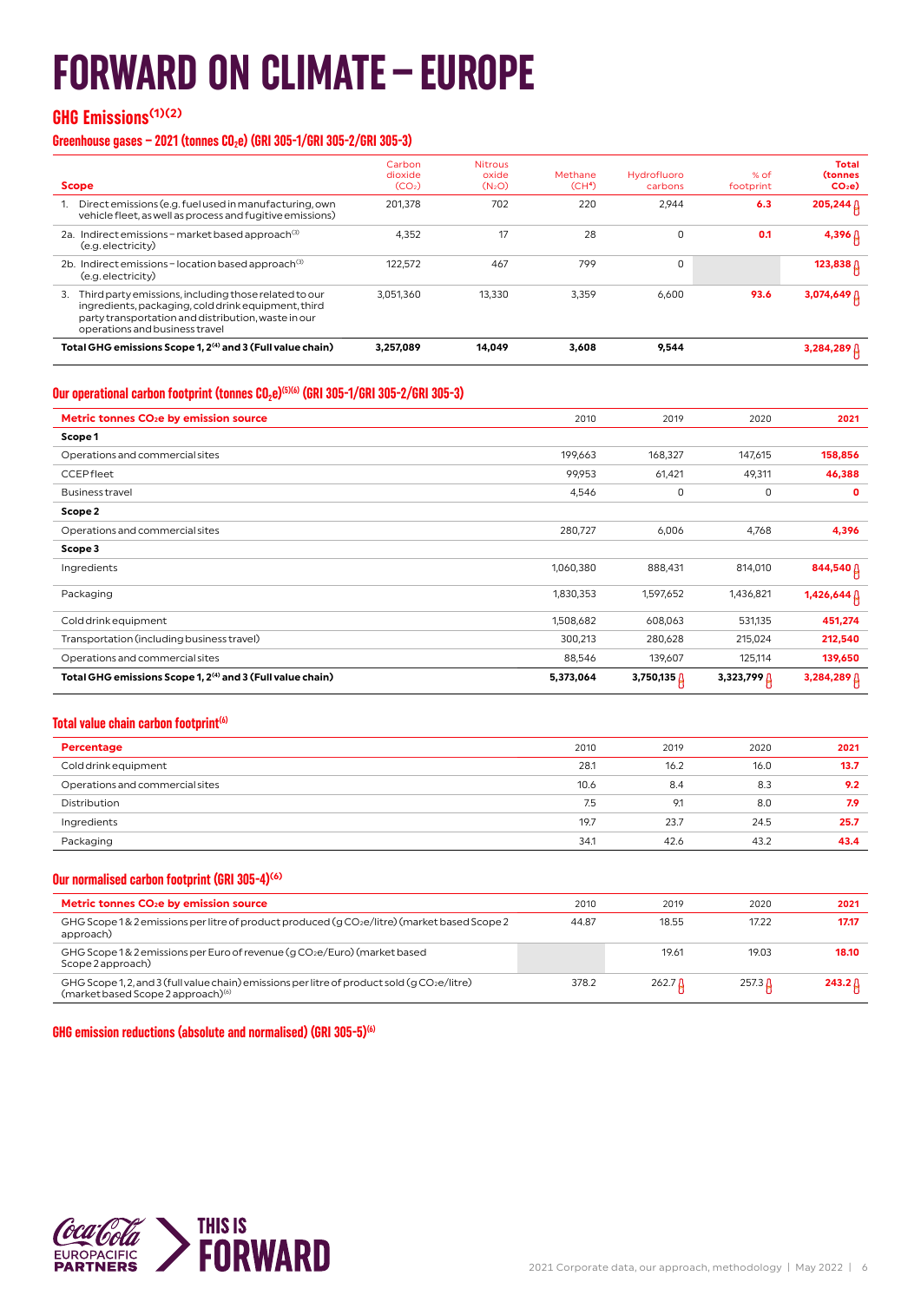## **FORWARD ON CLIMATE–EUROPE**

#### **GHG Emissions(1)(2)**

#### Greenhouse gases – 2021 (tonnes CO<sub>2</sub>e) (GRI 305-1/GRI 305-2/GRI 305-3)

| <b>Scope</b>                                                                                                                                                                                                | Carbon<br>dioxide<br>(CO <sub>2</sub> ) | <b>Nitrous</b><br>oxide<br>(N <sub>2</sub> O) | Methane<br>(CH <sup>4</sup> ) | Hydrofluoro<br>carbons | % of<br>footprint | <b>Total</b><br><b>(tonnes</b><br>$CO2$ e) |
|-------------------------------------------------------------------------------------------------------------------------------------------------------------------------------------------------------------|-----------------------------------------|-----------------------------------------------|-------------------------------|------------------------|-------------------|--------------------------------------------|
| Direct emissions (e.g. fuel used in manufacturing, own<br>vehicle fleet, as well as process and fugitive emissions)                                                                                         | 201.378                                 | 702                                           | 220                           | 2.944                  | 6.3               | $205,244$ $\upbeta$                        |
| 2a. Indirect emissions - market based approach <sup>(3)</sup><br>(e.g. electricity)                                                                                                                         | 4.352                                   | 17                                            | 28                            | 0                      | 0.1               | 4,396 ∆                                    |
| 2b. Indirect emissions - location based approach <sup>(3)</sup><br>(e.g. electricity)                                                                                                                       | 122.572                                 | 467                                           | 799                           | 0                      |                   | 123,838 ∆                                  |
| Third party emissions, including those related to our<br>3.<br>ingredients, packaging, cold drink equipment, third<br>party transportation and distribution, waste in our<br>operations and business travel | 3.051.360                               | 13.330                                        | 3.359                         | 6.600                  | 93.6              | $3,074,649$ $\upbeta$                      |
| Total GHG emissions Scope 1, 2 <sup>(4)</sup> and 3 (Full value chain)                                                                                                                                      | 3.257.089                               | 14.049                                        | 3.608                         | 9.544                  |                   | 3.284.289 $R$                              |

#### **Our operational carbon footprint (tonnes CO<sub>2</sub>e)<sup>(5)(6)</sup> (GRI 305-1/GRI 305-2/GRI 305-3)**

| Metric tonnes CO <sub>2</sub> e by emission source                     | 2010      | 2019      | 2020      | 2021                 |
|------------------------------------------------------------------------|-----------|-----------|-----------|----------------------|
| Scope 1                                                                |           |           |           |                      |
| Operations and commercial sites                                        | 199,663   | 168,327   | 147,615   | 158,856              |
| <b>CCEP</b> fleet                                                      | 99,953    | 61,421    | 49,311    | 46,388               |
| <b>Business travel</b>                                                 | 4,546     | 0         | 0         | $\mathbf{0}$         |
| Scope 2                                                                |           |           |           |                      |
| Operations and commercial sites                                        | 280,727   | 6,006     | 4,768     | 4,396                |
| Scope 3                                                                |           |           |           |                      |
| Ingredients                                                            | 1,060,380 | 888,431   | 814,010   | 844,540 <sub>A</sub> |
| Packaging                                                              | 1,830,353 | 1,597,652 | 1,436,821 |                      |
| Cold drink equipment                                                   | 1,508,682 | 608,063   | 531,135   | 451,274              |
| Transportation (including business travel)                             | 300,213   | 280,628   | 215,024   | 212,540              |
| Operations and commercial sites                                        | 88,546    | 139,607   | 125,114   | 139,650              |
| Total GHG emissions Scope 1, 2 <sup>(4)</sup> and 3 (Full value chain) | 5,373,064 | 3,750,135 | 3,323,799 | 3,284,289            |

#### **Total value chain carbon footprint<sup>(6)</sup>**

| Percentage                      | 2010 | 2019 | 2020 | 2021 |
|---------------------------------|------|------|------|------|
| Cold drink equipment            | 28.1 | 16.2 | 16.0 | 13.7 |
| Operations and commercial sites | 10.6 | 8.4  | 8.3  | 9.2  |
| Distribution                    | 7.5  | 9.1  | 8.0  | 7.9  |
| Ingredients                     | 19.7 | 23.7 | 24.5 | 25.7 |
| Packaging                       | 34.1 | 42.6 | 43.2 | 43.4 |

#### **Our normalised carbon footprint (GRI 305-4)(6)**

| Metric tonnes CO <sub>2</sub> e by emission source                                                                                              | 2010  | 2019               | 2020               | 2021          |
|-------------------------------------------------------------------------------------------------------------------------------------------------|-------|--------------------|--------------------|---------------|
| GHG Scope 1& 2 emissions per litre of product produced ( $q$ CO <sub>2</sub> e/litre) (market based Scope 2<br>approach)                        | 44.87 | 18.55              | 17.22              | 17.17         |
| GHG Scope 1& 2 emissions per Euro of revenue (q CO <sub>2</sub> e/Euro) (market based<br>Scope 2 approach)                                      |       | 19.61              | 19.03              | 18.10         |
| GHG Scope 1, 2, and 3 (full value chain) emissions per litre of product sold (q $CO2e/litre)$<br>(market based Scope 2 approach) <sup>(6)</sup> | 378.2 | 262.7 <sub>0</sub> | 257.3 <sub>0</sub> | 243.2 $\beta$ |

**GHG emission reductions (absolute and normalised) (GRI 305-5)(6)**

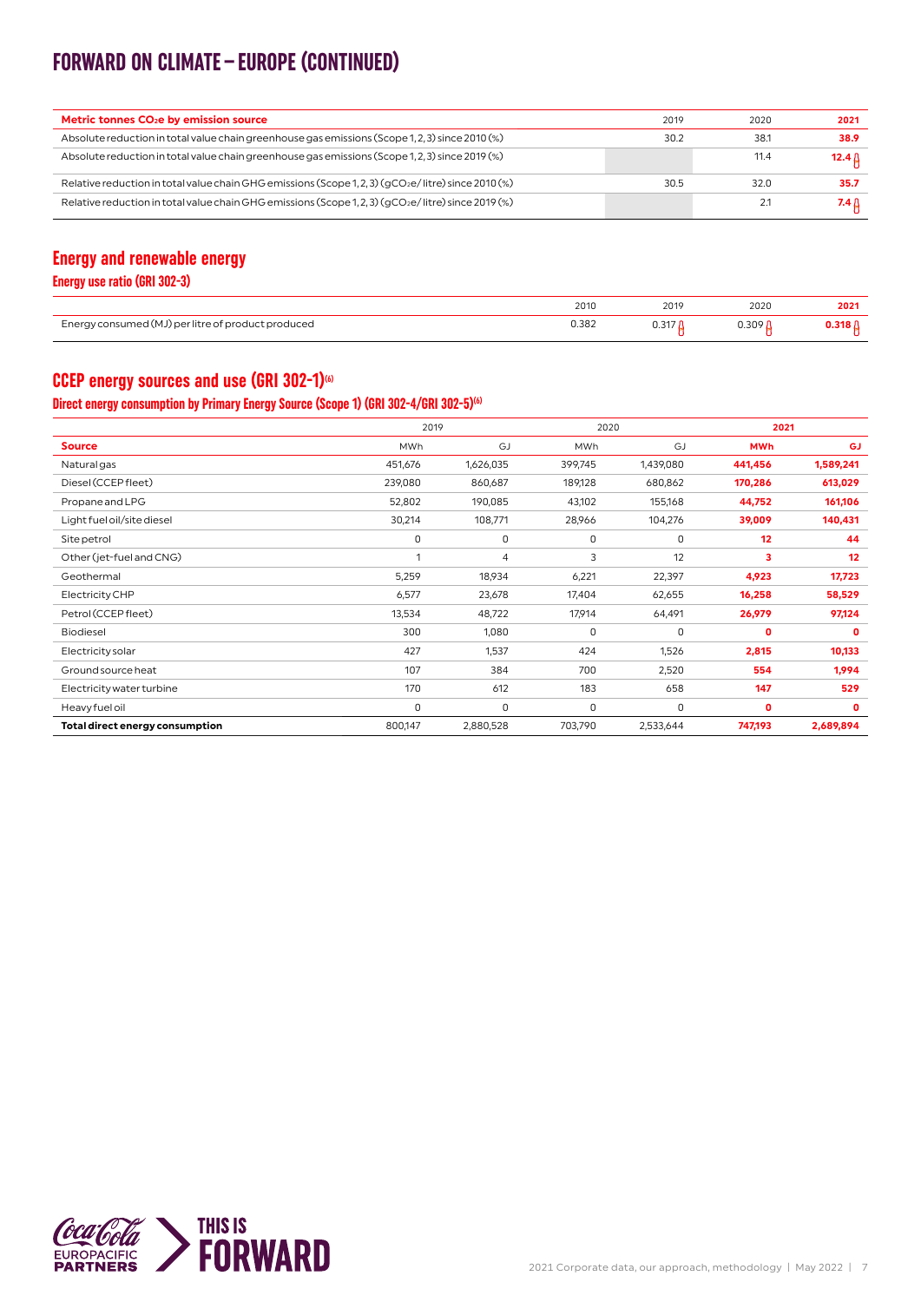### **FORWARD ON CLIMATE–EUROPE (CONTINUED)**

| Metric tonnes CO <sub>2</sub> e by emission source                                                 | 2019 | 2020 | 2021   |
|----------------------------------------------------------------------------------------------------|------|------|--------|
| Absolute reduction in total value chain greenhouse gas emissions (Scope 1, 2, 3) since 2010 (%)    | 30.2 | 38.1 | 38.9   |
| Absolute reduction in total value chain greenhouse gas emissions (Scope 1, 2, 3) since 2019 (%)    |      | 11.4 | 12.4 ∆ |
| Relative reduction in total value chain GHG emissions (Scope 1, 2, 3) (qCO2e/litre) since 2010 (%) | 30.5 | 32.0 | 35.7   |
| Relative reduction in total value chain GHG emissions (Scope 1, 2, 3) (qCO2e/litre) since 2019 (%) |      | 2.1  | 7.4 A  |

#### **Energy and renewable energy**

**Energy use ratio (GRI 302-3)**

|                                                               | 2010       | 2019                            | 2020              | 2021                            |
|---------------------------------------------------------------|------------|---------------------------------|-------------------|---------------------------------|
|                                                               |            | the contract of the contract of |                   | the contract of the contract of |
| consum<br>uced<br>$n_{\Omega}$<br>rи<br>117<br>--<br>ر ب<br>. | 0.382<br>. | <b>U.JII</b>                    | 3UO<br>U.JU1<br>. | $\cdots$                        |

#### **CCEP energy sources and use (GRI 302-1)<sup>66</sup>**

#### **Direct energy consumption by Primary Energy Source (Scope 1) (GRI 302-4/GRI 302-5)(6)**

|                                 | 2019    |           |         | 2020      |              | 2021         |
|---------------------------------|---------|-----------|---------|-----------|--------------|--------------|
| <b>Source</b>                   | MWh     | GJ        | MWh     | GJ        | <b>MWh</b>   | <b>GJ</b>    |
| Natural gas                     | 451,676 | 1,626,035 | 399,745 | 1,439,080 | 441,456      | 1,589,241    |
| Diesel (CCEP fleet)             | 239,080 | 860,687   | 189,128 | 680,862   | 170,286      | 613,029      |
| Propane and LPG                 | 52,802  | 190,085   | 43,102  | 155,168   | 44,752       | 161,106      |
| Light fuel oil/site diesel      | 30,214  | 108,771   | 28,966  | 104,276   | 39,009       | 140,431      |
| Site petrol                     | 0       | 0         | 0       | 0         | 12           | 44           |
| Other (jet-fuel and CNG)        | 1       | 4         | 3       | 12        | 3            | 12           |
| Geothermal                      | 5,259   | 18,934    | 6,221   | 22,397    | 4,923        | 17,723       |
| Electricity CHP                 | 6,577   | 23,678    | 17,404  | 62,655    | 16,258       | 58,529       |
| Petrol (CCEP fleet)             | 13,534  | 48,722    | 17,914  | 64,491    | 26,979       | 97,124       |
| <b>Biodiesel</b>                | 300     | 1,080     | 0       | 0         | $\mathbf{O}$ | $\mathbf{0}$ |
| Electricity solar               | 427     | 1,537     | 424     | 1,526     | 2,815        | 10,133       |
| Ground source heat              | 107     | 384       | 700     | 2,520     | 554          | 1,994        |
| Electricity water turbine       | 170     | 612       | 183     | 658       | 147          | 529          |
| Heavy fuel oil                  | 0       | 0         | 0       | 0         | 0            | $\mathbf 0$  |
| Total direct energy consumption | 800,147 | 2,880,528 | 703,790 | 2,533,644 | 747,193      | 2,689,894    |

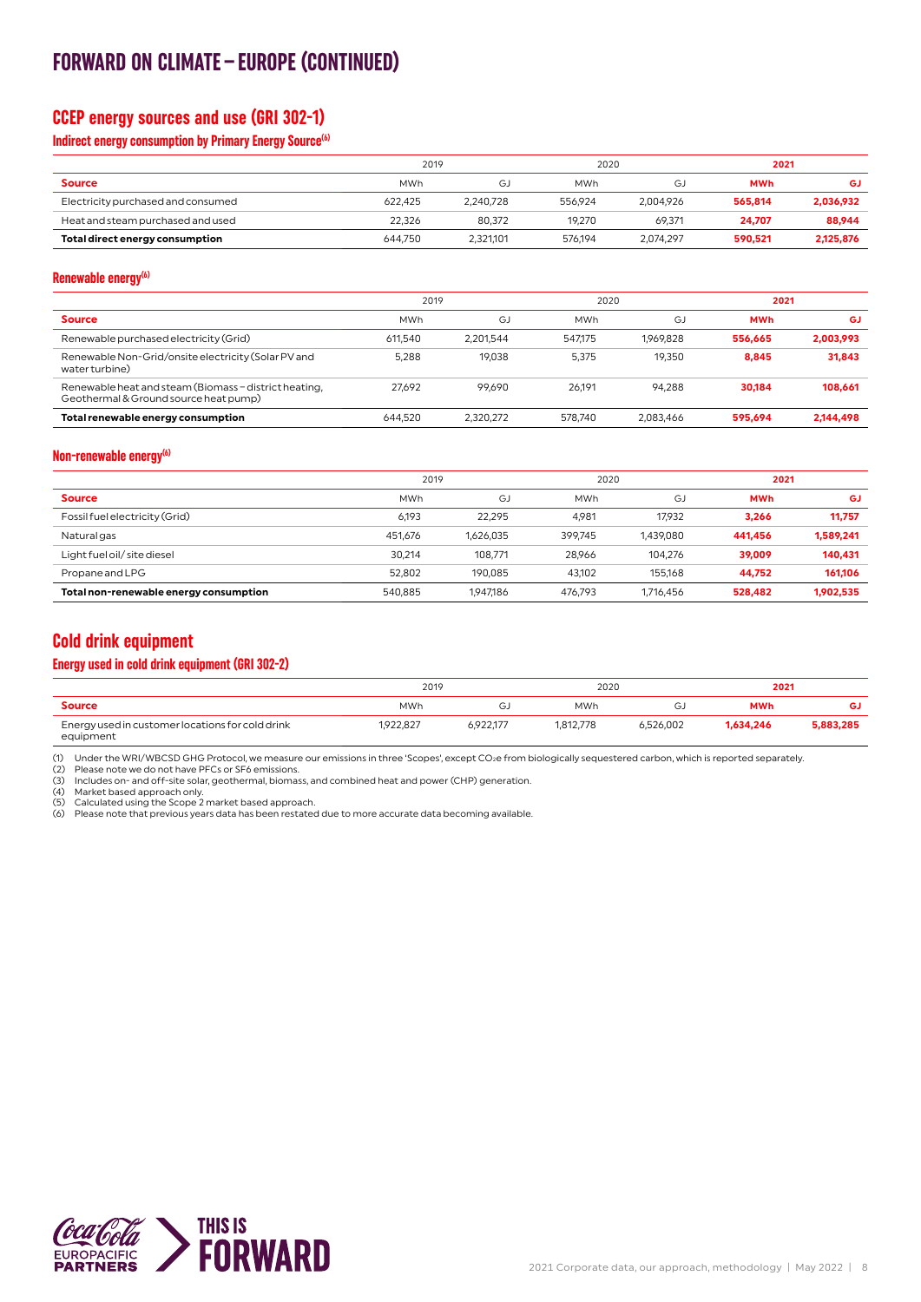### **FORWARD ON CLIMATE–EUROPE (CONTINUED)**

#### **CCEP energy sources and use (GRI 302-1)**

#### **Indirect energy consumption by Primary Energy Source<sup>(6)</sup>**

|                                    | 2019       |           | 2020       |           | 2021       |           |
|------------------------------------|------------|-----------|------------|-----------|------------|-----------|
| <b>Source</b>                      | <b>MWh</b> | G J       | <b>MWh</b> | GJ        | <b>MWh</b> | GJ        |
| Electricity purchased and consumed | 622.425    | 2.240.728 | 556.924    | 2.004.926 | 565.814    | 2,036,932 |
| Heat and steam purchased and used  | 22.326     | 80.372    | 19.270     | 69.371    | 24.707     | 88,944    |
| Total direct energy consumption    | 644.750    | 2.321.101 | 576.194    | 2.074.297 | 590.521    | 2,125,876 |

#### **Renewable energy(6)**

|                                                                                                | 2019       |           |            | 2020      |            | 2021      |
|------------------------------------------------------------------------------------------------|------------|-----------|------------|-----------|------------|-----------|
| <b>Source</b>                                                                                  | <b>MWh</b> | GJ        | <b>MWh</b> | GJ        | <b>MWh</b> | GJ        |
| Renewable purchased electricity (Grid)                                                         | 611.540    | 2.201.544 | 547.175    | 1.969.828 | 556.665    | 2.003.993 |
| Renewable Non-Grid/onsite electricity (Solar PV and<br>water turbine)                          | 5.288      | 19.038    | 5.375      | 19.350    | 8.845      | 31,843    |
| Renewable heat and steam (Biomass - district heating,<br>Geothermal & Ground source heat pump) | 27.692     | 99.690    | 26.191     | 94.288    | 30.184     | 108,661   |
| Total renewable energy consumption                                                             | 644.520    | 2.320.272 | 578.740    | 2.083.466 | 595.694    | 2.144.498 |

#### **Non-renewable energy(6)**

|                                        | 2019       |           | 2020       |           | 2021       |           |
|----------------------------------------|------------|-----------|------------|-----------|------------|-----------|
| <b>Source</b>                          | <b>MWh</b> | GJ        | <b>MWh</b> | GJ        | <b>MWh</b> | GJ        |
| Fossil fuel electricity (Grid)         | 6.193      | 22.295    | 4.981      | 17.932    | 3.266      | 11,757    |
| Natural gas                            | 451,676    | 1,626,035 | 399.745    | 1,439,080 | 441.456    | 1,589,241 |
| Light fuel oil/ site diesel            | 30.214     | 108.771   | 28.966     | 104.276   | 39.009     | 140,431   |
| Propane and LPG                        | 52.802     | 190.085   | 43.102     | 155.168   | 44.752     | 161.106   |
| Total non-renewable energy consumption | 540.885    | 1.947.186 | 476.793    | 1.716.456 | 528,482    | 1,902,535 |

#### **Cold drink equipment**

#### **Energy used in cold drink equipment (GRI 302-2)**

|                                                               |           | 2019      |            | 2020      |            | 2021      |  |
|---------------------------------------------------------------|-----------|-----------|------------|-----------|------------|-----------|--|
| <b>Source</b>                                                 | MWh       | GJ        | <b>MWh</b> | Э.        | <b>MWh</b> | GJ        |  |
| Energy used in customer locations for cold drink<br>equipment | 1.922.827 | 6,922,177 | 1.812.778  | 6.526.002 | 1.634.246  | 5,883,285 |  |

(1) Under the WRI/WBCSD GHG Protocol, we measure our emissions in three 'Scopes', except CO∌e from biologically sequestered carbon, which is reported separately.<br>(2) Please note we do not have PFCs or SF6 emissions.<br>(3) I

(4) Market based approach only. (5) Calculated using the Scope 2 market based approach.

(6) Please note that previous years data has been restated due to more accurate data becoming available.

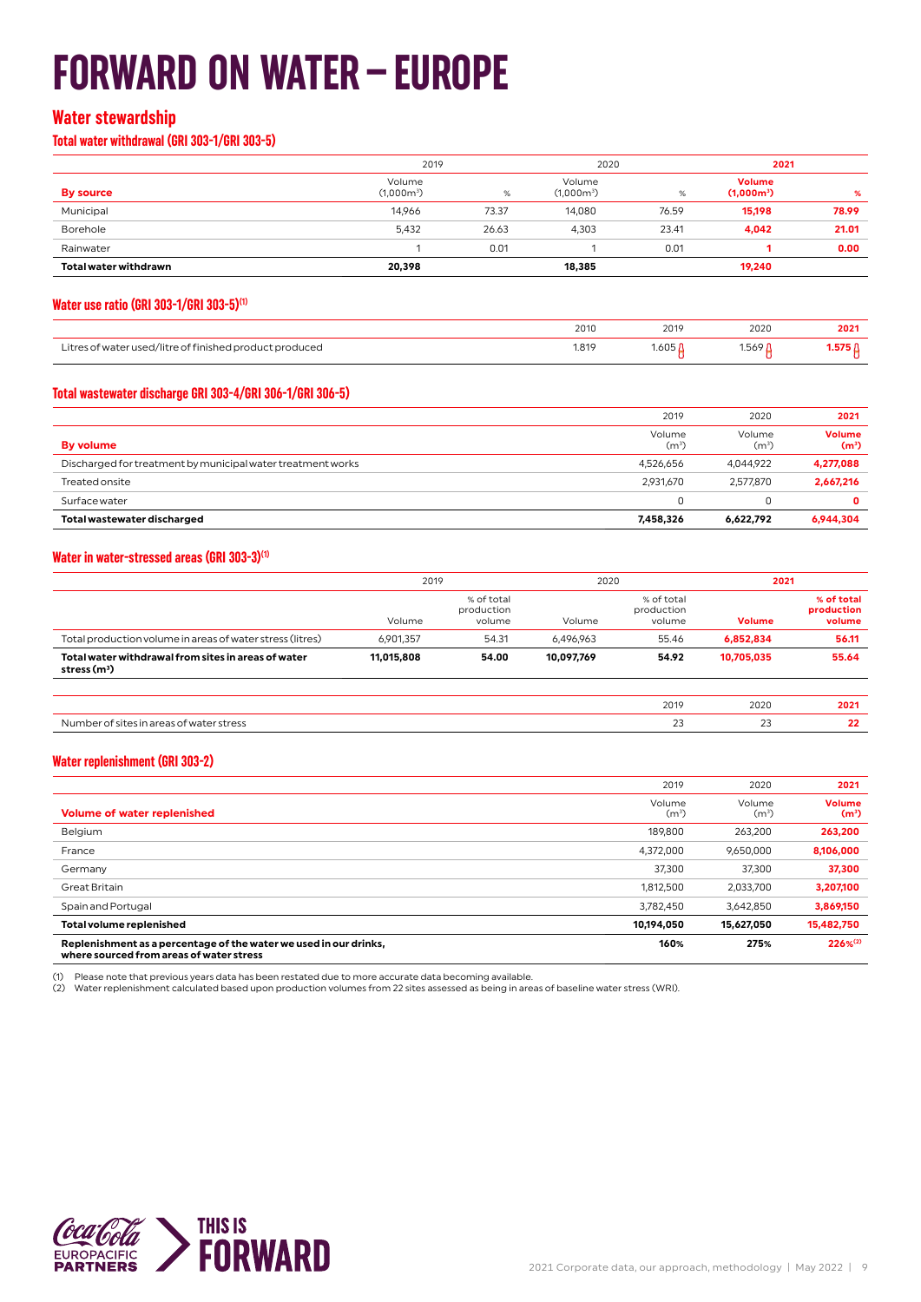## **FORWARD ON WATER–EUROPE**

#### **Water stewardship**

**Total water withdrawal (GRI 303-1/GRI 303-5)**

|                              | 2019                   |       | 2020                   |       | 2021                          |       |
|------------------------------|------------------------|-------|------------------------|-------|-------------------------------|-------|
| <b>By source</b>             | Volume<br>$(1,000m^3)$ | $\%$  | Volume<br>$(1,000m^3)$ | %     | <b>Volume</b><br>$(1,000m^3)$ | %     |
| Municipal                    | 14.966                 | 73.37 | 14,080                 | 76.59 | 15,198                        | 78.99 |
| Borehole                     | 5,432                  | 26.63 | 4.303                  | 23.41 | 4,042                         | 21.01 |
| Rainwater                    |                        | 0.01  |                        | 0.01  |                               | 0.00  |
| <b>Total water withdrawn</b> | 20,398                 |       | 18,385                 |       | 19,240                        |       |

#### **Water use ratio (GRI 303-1/GRI 303-5)(1)**

|                                                                          | 2010                                         | 2019                            | 2020  | ∠u∠'                            |
|--------------------------------------------------------------------------|----------------------------------------------|---------------------------------|-------|---------------------------------|
|                                                                          | the contract of the contract of              | the contract of the contract of |       | the contract of the contract of |
| Litre <sup>-</sup><br>tre ot tinished prog.<br>duced<br>1/11 T<br>.<br>. | 1.819<br>the contract of the contract of the | <b>UOO</b>                      | 1.569 | _____                           |

#### **Total wastewater discharge GRI 303-4/GRI 306-1/GRI 306-5)**

|                                                             | 2019                        | 2020           | 2021                               |
|-------------------------------------------------------------|-----------------------------|----------------|------------------------------------|
| By volume                                                   | Volume<br>(m <sup>3</sup> ) | Volume<br>(mª) | <b>Volume</b><br>(m <sup>3</sup> ) |
| Discharged for treatment by municipal water treatment works | 4.526.656                   | 4.044.922      | 4,277,088                          |
| <b>Treated onsite</b>                                       | 2,931,670                   | 2.577.870      | 2,667,216                          |
| Surface water                                               |                             |                | 0                                  |
| Total wastewater discharged                                 | 7.458.326                   | 6,622,792      | 6,944,304                          |

#### **Water in water-stressed areas (GRI 303-3)(1)**

|                                                                      | 2019       |                                    | 2020       |                                    | 2021          |                                    |
|----------------------------------------------------------------------|------------|------------------------------------|------------|------------------------------------|---------------|------------------------------------|
|                                                                      | Volume     | % of total<br>production<br>volume | Volume     | % of total<br>production<br>volume | <b>Volume</b> | % of total<br>production<br>volume |
| Total production volume in areas of water stress (litres)            | 6,901,357  | 54.31                              | 6,496,963  | 55.46                              | 6,852,834     | 56.11                              |
| Total water withdrawal from sites in areas of water<br>stress $(m3)$ | 11,015,808 | 54.00                              | 10,097,769 | 54.92                              | 10,705,035    | 55.64                              |
|                                                                      |            |                                    |            |                                    |               |                                    |
|                                                                      |            |                                    |            | 2019                               | 2020          | 2021                               |
| Number of sites in areas of water stress                             |            |                                    |            | 23                                 | 23            | 22                                 |

#### **Water replenishment (GRI 303-2)**

|                                                                                                               | 2019                        | 2020              | 2021                               |
|---------------------------------------------------------------------------------------------------------------|-----------------------------|-------------------|------------------------------------|
| <b>Volume of water replenished</b>                                                                            | Volume<br>(m <sup>3</sup> ) | Volume<br>$(m^3)$ | <b>Volume</b><br>(m <sup>3</sup> ) |
| Belgium                                                                                                       | 189.800                     | 263.200           | 263,200                            |
| France                                                                                                        | 4.372.000                   | 9.650.000         | 8,106,000                          |
| Germany                                                                                                       | 37,300                      | 37,300            | 37,300                             |
| Great Britain                                                                                                 | 1,812,500                   | 2.033.700         | 3,207,100                          |
| Spain and Portugal                                                                                            | 3,782,450                   | 3.642.850         | 3,869,150                          |
| <b>Total volume replenished</b>                                                                               | 10,194,050                  | 15,627,050        | 15,482,750                         |
| Replenishment as a percentage of the water we used in our drinks,<br>where sourced from areas of water stress | 160%                        | 275%              | $226%^{(2)}$                       |

(1) Please note that previous years data has been restated due to more accurate data becoming available.<br>(2) Water replenishment calculated based upon production volumes from 22 sites assessed as being in areas of baseli

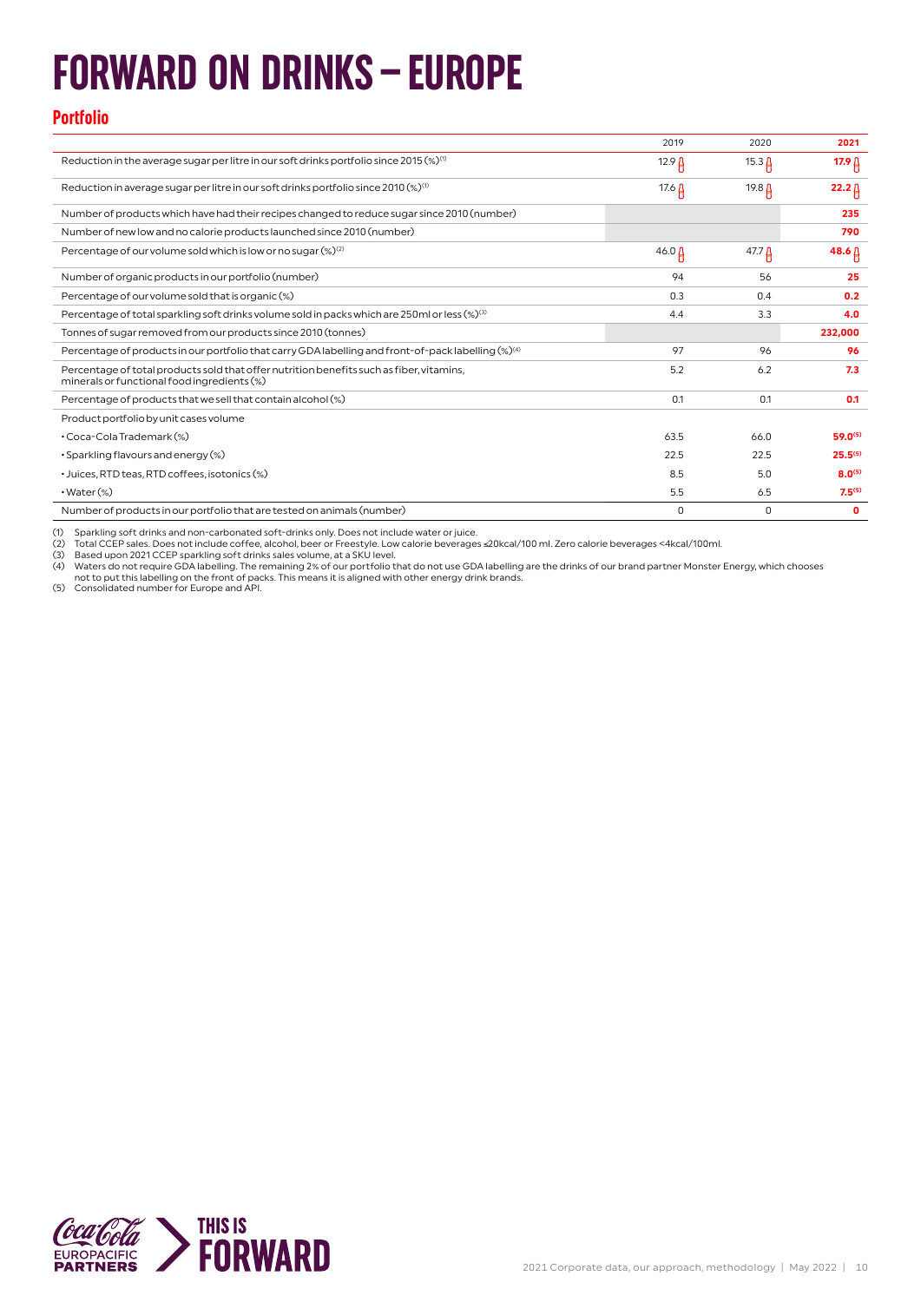## **FORWARD ON DRINKS–EUROPE**

#### **Portfolio**

|                                                                                                                                         | 2019              | 2020              | 2021              |
|-----------------------------------------------------------------------------------------------------------------------------------------|-------------------|-------------------|-------------------|
| Reduction in the average sugar per litre in our soft drinks portfolio since 2015 $(\%)^{(i)}$                                           | 12.9 <sub>0</sub> | $15.3\,\mu$       | 17.9 A            |
| Reduction in average sugar per litre in our soft drinks portfolio since 2010 $\left(\%\right)^{(1)}$                                    | 17.6 $\Delta$     | 19.8 A            | $22.2 \, \beta$   |
| Number of products which have had their recipes changed to reduce sugar since 2010 (number)                                             |                   |                   | 235               |
| Number of new low and no calorie products launched since 2010 (number)                                                                  |                   |                   | 790               |
| Percentage of our volume sold which is low or no sugar (%) <sup>(2)</sup>                                                               | $46.0 \beta$      | 47.7 <sub>0</sub> | $48.6 \,\uparrow$ |
| Number of organic products in our portfolio (number)                                                                                    | 94                | 56                | 25                |
| Percentage of our volume sold that is organic (%)                                                                                       | 0.3               | 0.4               | 0.2               |
| Percentage of total sparkling soft drinks volume sold in packs which are 250ml or less (%) <sup>(3)</sup>                               | 4.4               | 3.3               | 4.0               |
| Tonnes of sugar removed from our products since 2010 (tonnes)                                                                           |                   |                   | 232,000           |
| Percentage of products in our portfolio that carry GDA labelling and front-of-pack labelling (%) <sup>(4)</sup>                         | 97                | 96                | 96                |
| Percentage of total products sold that offer nutrition benefits such as fiber, vitamins,<br>minerals or functional food ingredients (%) | 5.2               | 6.2               | 7.3               |
| Percentage of products that we sell that contain alcohol (%)                                                                            | 0.1               | 0.1               | 0.1               |
| Product portfolio by unit cases volume                                                                                                  |                   |                   |                   |
| • Coca-Cola Trademark (%)                                                                                                               | 63.5              | 66.0              | $59.0^{(5)}$      |
| • Sparkling flavours and energy (%)                                                                                                     | 22.5              | 22.5              | $25.5^{(5)}$      |
|                                                                                                                                         |                   |                   | $8.0^{(5)}$       |
| · Juices, RTD teas, RTD coffees, isotonics (%)                                                                                          | 8.5               | 5.0               |                   |
| $\cdot$ Water $(\%)$                                                                                                                    | 5.5               | 6.5               | $7.5^{(5)}$       |

(1) Sparkling soft drinks and non-carbonated soft-drinks only. Does not include water or juice.<br>(2) Total CCEP sales. Does not include coffee, alcohol, beer or Freestyle. Low calorie beverages ≤20kcal/100 ml. Zero calorie

(3) Based upon 2021 CCEP sparkling soft drinks sales volume, at a SKU level.<br>(4) Waters do not require GDA labelling. The remaining 2% of our portfolio that do not use GDA labelling are the drinks of our brand partner Mons

(5) Consolidated number for Europe and API.

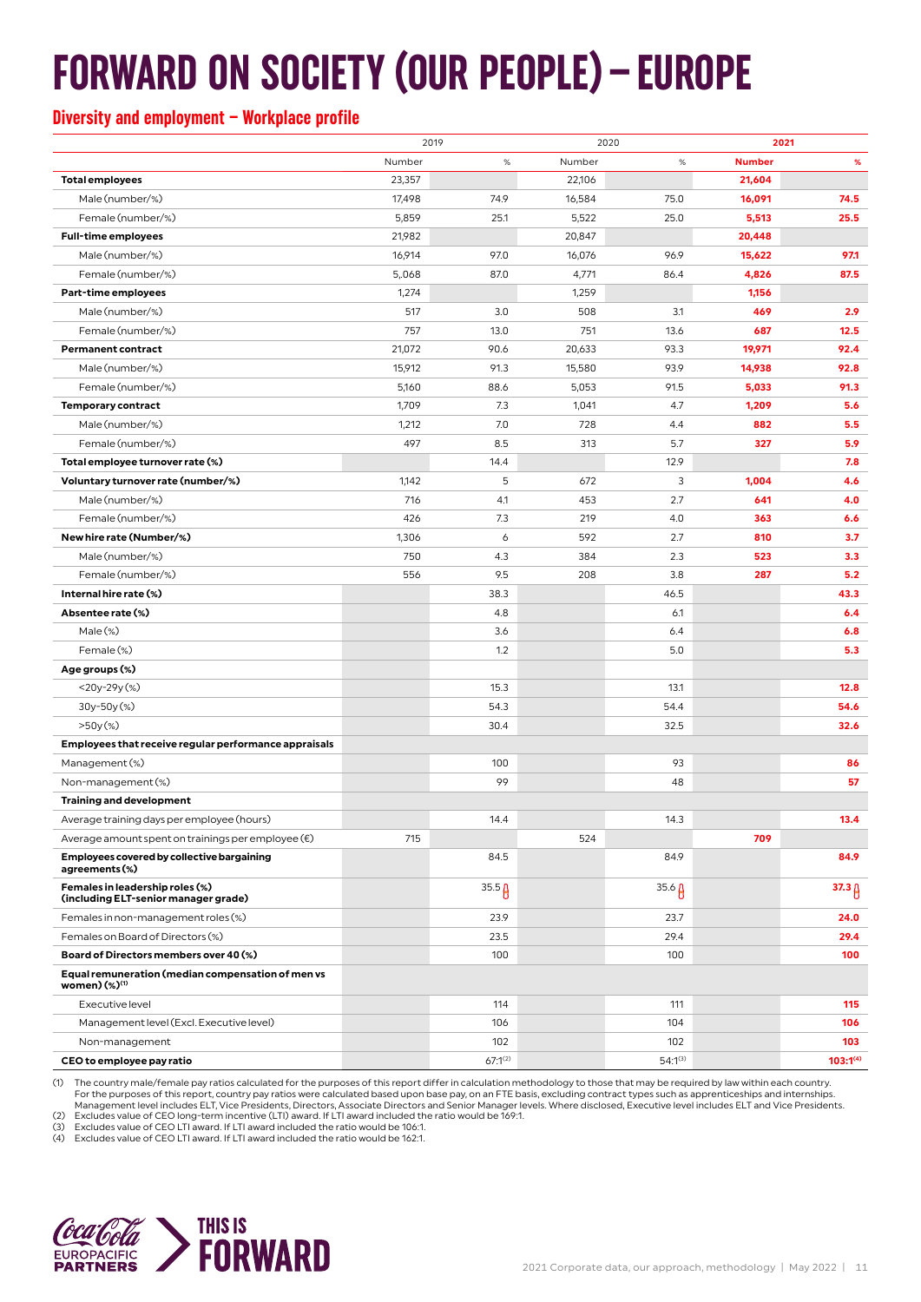## **FORWARD ON SOCIETY (OUR PEOPLE)–EUROPE**

#### **Diversity and employment – Workplace profile**

|                                                                                |        | 2019<br>2020 |        | 2021         |               |                 |
|--------------------------------------------------------------------------------|--------|--------------|--------|--------------|---------------|-----------------|
|                                                                                | Number | $\%$         | Number | $\%$         | <b>Number</b> | %               |
| <b>Total employees</b>                                                         | 23,357 |              | 22,106 |              | 21,604        |                 |
| Male (number/%)                                                                | 17,498 | 74.9         | 16,584 | 75.0         | 16,091        | 74.5            |
| Female (number/%)                                                              | 5,859  | 25.1         | 5,522  | 25.0         | 5,513         | 25.5            |
| <b>Full-time employees</b>                                                     | 21,982 |              | 20,847 |              | 20,448        |                 |
| Male (number/%)                                                                | 16,914 | 97.0         | 16,076 | 96.9         | 15,622        | 97.1            |
| Female (number/%)                                                              | 5,068  | 87.0         | 4,771  | 86.4         | 4,826         | 87.5            |
| <b>Part-time employees</b>                                                     | 1,274  |              | 1,259  |              | 1,156         |                 |
| Male (number/%)                                                                | 517    | 3.0          | 508    | 3.1          | 469           | 2.9             |
| Female (number/%)                                                              | 757    | 13.0         | 751    | 13.6         | 687           | 12.5            |
| <b>Permanent contract</b>                                                      | 21,072 | 90.6         | 20,633 | 93.3         | 19,971        | 92.4            |
| Male (number/%)                                                                | 15,912 | 91.3         | 15,580 | 93.9         | 14,938        | 92.8            |
| Female (number/%)                                                              | 5,160  | 88.6         | 5,053  | 91.5         | 5,033         | 91.3            |
| <b>Temporary contract</b>                                                      | 1,709  | 7.3          | 1,041  | 4.7          | 1,209         | 5.6             |
| Male (number/%)                                                                | 1,212  | 7.0          | 728    | 4.4          | 882           | 5.5             |
| Female (number/%)                                                              | 497    | 8.5          | 313    | 5.7          | 327           | 5.9             |
| Total employee turnover rate (%)                                               |        | 14.4         |        | 12.9         |               | 7.8             |
| Voluntary turnover rate (number/%)                                             | 1,142  | 5            | 672    | 3            | 1,004         | 4.6             |
| Male (number/%)                                                                | 716    | 4.1          | 453    | 2.7          | 641           | 4.0             |
| Female (number/%)                                                              | 426    | 7.3          | 219    | 4.0          | 363           | 6.6             |
| New hire rate (Number/%)                                                       | 1,306  | 6            | 592    | 2.7          | 810           | 3.7             |
| Male (number/%)                                                                | 750    | 4.3          | 384    | 2.3          | 523           | 3.3             |
| Female (number/%)                                                              | 556    | 9.5          | 208    | 3.8          | 287           | 5.2             |
| Internal hire rate (%)                                                         |        | 38.3         |        | 46.5         |               | 43.3            |
| Absentee rate (%)                                                              |        | 4.8          |        | 6.1          |               | 6.4             |
| $Male$ $%$                                                                     |        | 3.6          |        | 6.4          |               | 6.8             |
| Female (%)                                                                     |        | 1.2          |        | 5.0          |               | 5.3             |
| Age groups (%)                                                                 |        |              |        |              |               |                 |
| <20y-29y(%)                                                                    |        | 15.3         |        | 13.1         |               | 12.8            |
| 30y-50y(%)                                                                     |        | 54.3         |        | 54.4         |               | 54.6            |
| $>50y$ (%)                                                                     |        | 30.4         |        | 32.5         |               | 32.6            |
| Employees that receive regular performance appraisals                          |        |              |        |              |               |                 |
| Management (%)                                                                 |        | 100          |        | 93           |               | 86              |
| Non-management (%)                                                             |        | 99           |        | 48           |               | 57              |
| <b>Training and development</b>                                                |        |              |        |              |               |                 |
| Average training days per employee (hours)                                     |        | 14.4         |        | 14.3         |               | 13.4            |
| Average amount spent on trainings per employee $(\epsilon)$                    | 715    |              | 524    |              | 709           |                 |
| Employees covered by collective bargaining<br>agreements(%)                    |        | 84.5         |        | 84.9         |               | 84.9            |
| Females in leadership roles (%)<br>(including ELT-senior manager grade)        |        | $35.5\beta$  |        | $35.6 \beta$ |               | $37.3 \uparrow$ |
| Females in non-management roles (%)                                            |        | 23.9         |        | 23.7         |               | 24.0            |
| Females on Board of Directors (%)                                              |        | 23.5         |        | 29.4         |               | 29.4            |
| Board of Directors members over 40 (%)                                         |        | 100          |        | 100          |               | 100             |
| Equal remuneration (median compensation of men vs<br>women) (%) <sup>(1)</sup> |        |              |        |              |               |                 |
| Executive level                                                                |        | 114          |        | 111          |               | 115             |
| Management level (Excl. Executive level)                                       |        | 106          |        | 104          |               | 106             |
| Non-management                                                                 |        | 102          |        | 102          |               | 103             |
| CEO to employee pay ratio                                                      |        | $67:1^{(2)}$ |        | $54:1^{(3)}$ |               | $103:1^{(4)}$   |

.) The country male/female pay ratios calculated for the purposes of this report differ in calculation methodology to those that may be required by law within each country.<br>For the purposes of this report, country pay rati Management level includes ELT, Vice Presidents, Directors, Associate Directors and Senior Manager levels. Where disclosed, Executive level includes ELT and Vice Presidents.<br>(2) Excludes value of CEO long-term incentive (LT

(2) Excludes value of CEO LTI award. If LTI award included the ratio would be 106:1.

(4) Excludes value of CEO LTI award. If LTI award included the ratio would be 162:1.

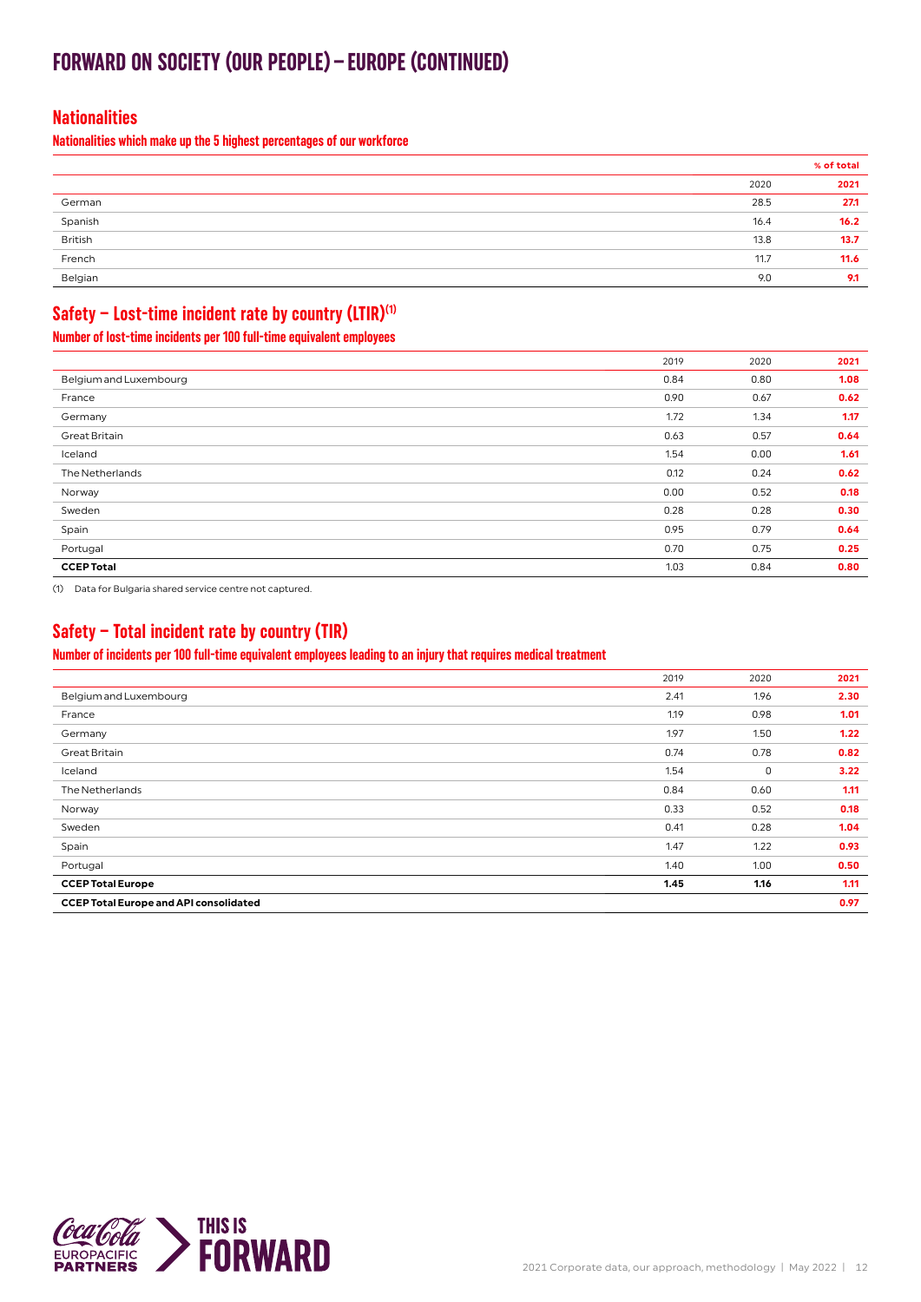### **FORWARD ON SOCIETY (OUR PEOPLE)–EUROPE (CONTINUED)**

#### **Nationalities**

**Nationalities which make up the 5 highest percentages of our workforce**

|                                            | % of total |
|--------------------------------------------|------------|
| 2020                                       | 2021       |
| 28.5<br>German                             | 27.1       |
| Spanish<br>16.4                            | 16.2       |
| British<br>13.8                            | 13.7       |
| <b>Contract Contract</b><br>French<br>11.7 | 11.6       |
| Belgian<br>9.0                             | 9.1        |

#### **Safety – Lost-time incident rate by country (LTIR)(1)**

**Number of lost-time incidents per 100 full-time equivalent employees**

|                        | 2019 | 2020 | 2021 |
|------------------------|------|------|------|
| Belgium and Luxembourg | 0.84 | 0.80 | 1.08 |
| France                 | 0.90 | 0.67 | 0.62 |
| Germany                | 1.72 | 1.34 | 1.17 |
| <b>Great Britain</b>   | 0.63 | 0.57 | 0.64 |
| Iceland                | 1.54 | 0.00 | 1.61 |
| The Netherlands        | 0.12 | 0.24 | 0.62 |
| Norway                 | 0.00 | 0.52 | 0.18 |
| Sweden                 | 0.28 | 0.28 | 0.30 |
| Spain                  | 0.95 | 0.79 | 0.64 |
| Portugal               | 0.70 | 0.75 | 0.25 |
| <b>CCEP Total</b>      | 1.03 | 0.84 | 0.80 |

(1) Data for Bulgaria shared service centre not captured.

#### **Safety – Total incident rate by country (TIR)**

**Number of incidents per 100 full-time equivalent employees leading to an injury that requires medical treatment**

| <b>CCEP Total Europe and API consolidated</b> |      |      | 0.97 |
|-----------------------------------------------|------|------|------|
| <b>CCEP Total Europe</b>                      | 1.45 | 1.16 | 1.11 |
| Portugal                                      | 1.40 | 1.00 | 0.50 |
| Spain                                         | 1.47 | 1.22 | 0.93 |
| Sweden                                        | 0.41 | 0.28 | 1.04 |
| Norway                                        | 0.33 | 0.52 | 0.18 |
| The Netherlands                               | 0.84 | 0.60 | 1.11 |
| Iceland                                       | 1.54 | 0    | 3.22 |
| <b>Great Britain</b>                          | 0.74 | 0.78 | 0.82 |
| Germany                                       | 1.97 | 1.50 | 1.22 |
| France                                        | 1.19 | 0.98 | 1.01 |
| Belgium and Luxembourg                        | 2.41 | 1.96 | 2.30 |
|                                               | 2019 | 2020 | 2021 |
|                                               |      |      |      |

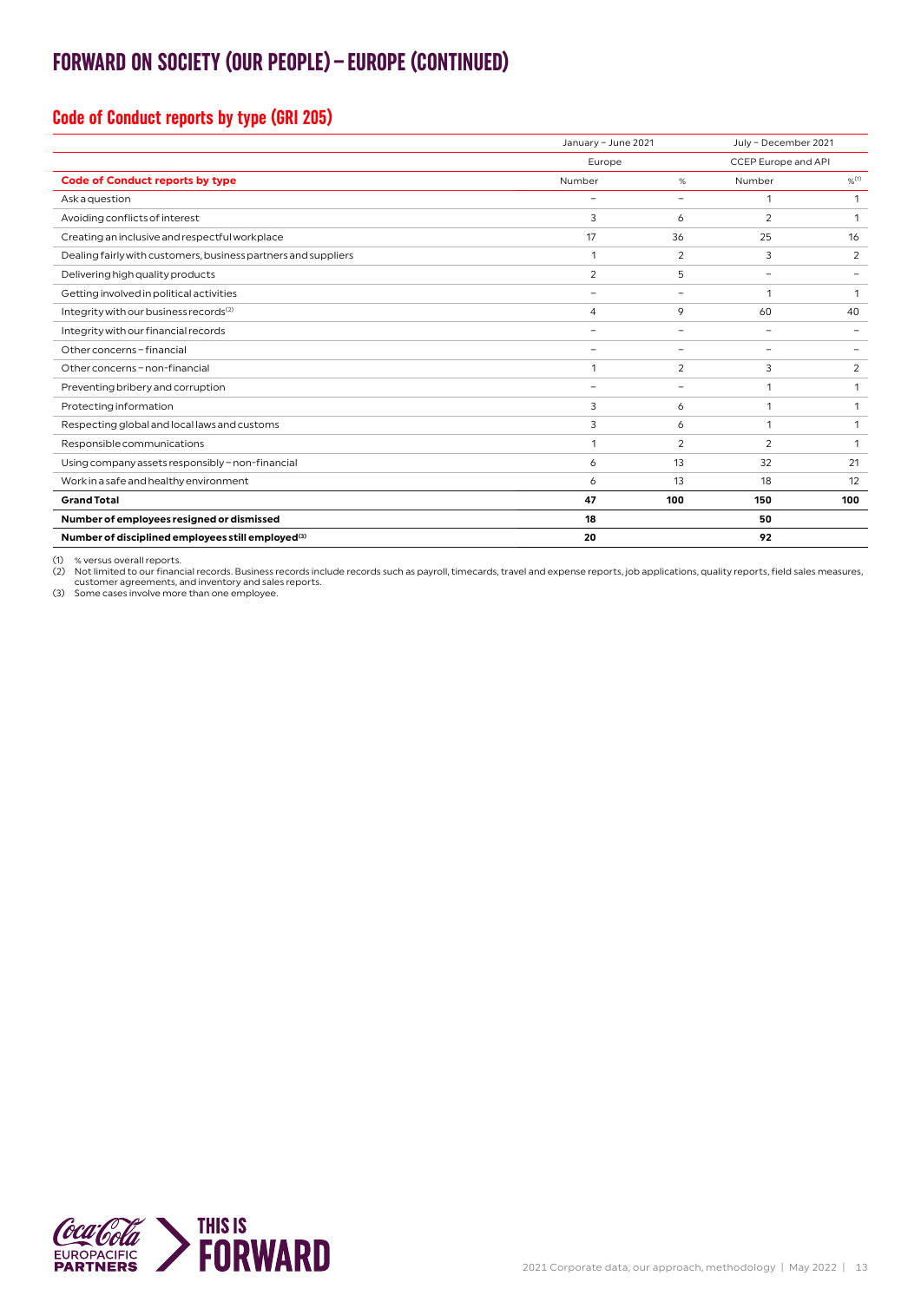### **FORWARD ON SOCIETY (OUR PEOPLE)–EUROPE (CONTINUED)**

#### **Code of Conduct reports by type (GRI 205)**

|                                                                |                          | January - June 2021 |                          | July - December 2021 |  |
|----------------------------------------------------------------|--------------------------|---------------------|--------------------------|----------------------|--|
|                                                                | Europe                   |                     | CCEP Europe and API      |                      |  |
| <b>Code of Conduct reports by type</b>                         | Number                   | %                   | Number                   | 9/6(1)               |  |
| Ask a question                                                 | -                        | $\qquad \qquad -$   | 1                        | 1                    |  |
| Avoiding conflicts of interest                                 | 3                        | 6                   | $\overline{2}$           | 1                    |  |
| Creating an inclusive and respectful workplace                 | 17                       | 36                  | 25                       | 16                   |  |
| Dealing fairly with customers, business partners and suppliers | 1                        | 2                   | 3                        | 2                    |  |
| Delivering high quality products                               | $\overline{2}$           | 5                   | -                        |                      |  |
| Getting involved in political activities                       | $\overline{\phantom{0}}$ | $\qquad \qquad -$   | $\mathbf{1}$             | 1                    |  |
| Integrity with our business records <sup>(2)</sup>             | $\overline{4}$           | 9                   | 60                       | 40                   |  |
| Integrity with our financial records                           | $\overline{\phantom{0}}$ | $\qquad \qquad -$   | $\overline{\phantom{a}}$ |                      |  |
| Other concerns - financial                                     |                          | $\qquad \qquad -$   | -                        |                      |  |
| Other concerns - non-financial                                 | 1                        | 2                   | 3                        | 2                    |  |
| Preventing bribery and corruption                              | $\overline{\phantom{0}}$ | $\qquad \qquad -$   | 1                        | 1                    |  |
| Protecting information                                         | 3                        | 6                   | 1                        | 1                    |  |
| Respecting global and local laws and customs                   | 3                        | 6                   | $\mathbf{1}$             | 1                    |  |
| Responsible communications                                     | 1                        | $\overline{2}$      | $\overline{2}$           | 1                    |  |
| Using company assets responsibly - non-financial               | 6                        | 13                  | 32                       | 21                   |  |
| Work in a safe and healthy environment                         | 6                        | 13                  | 18                       | 12                   |  |
| <b>Grand Total</b>                                             | 47                       | 100                 | 150                      | 100                  |  |
| Number of employees resigned or dismissed                      | 18                       |                     | 50                       |                      |  |
| Number of disciplined employees still employed <sup>(3)</sup>  | 20                       |                     | 92                       |                      |  |

(1) % versus overall reports.

(2) Not limited to our financial records. Business records include records such as payroll, timecards, travel and expense reports, job applications, quality reports, field sales measures,<br>customer agreements, and inventory

(3) Some cases involve more than one employee.

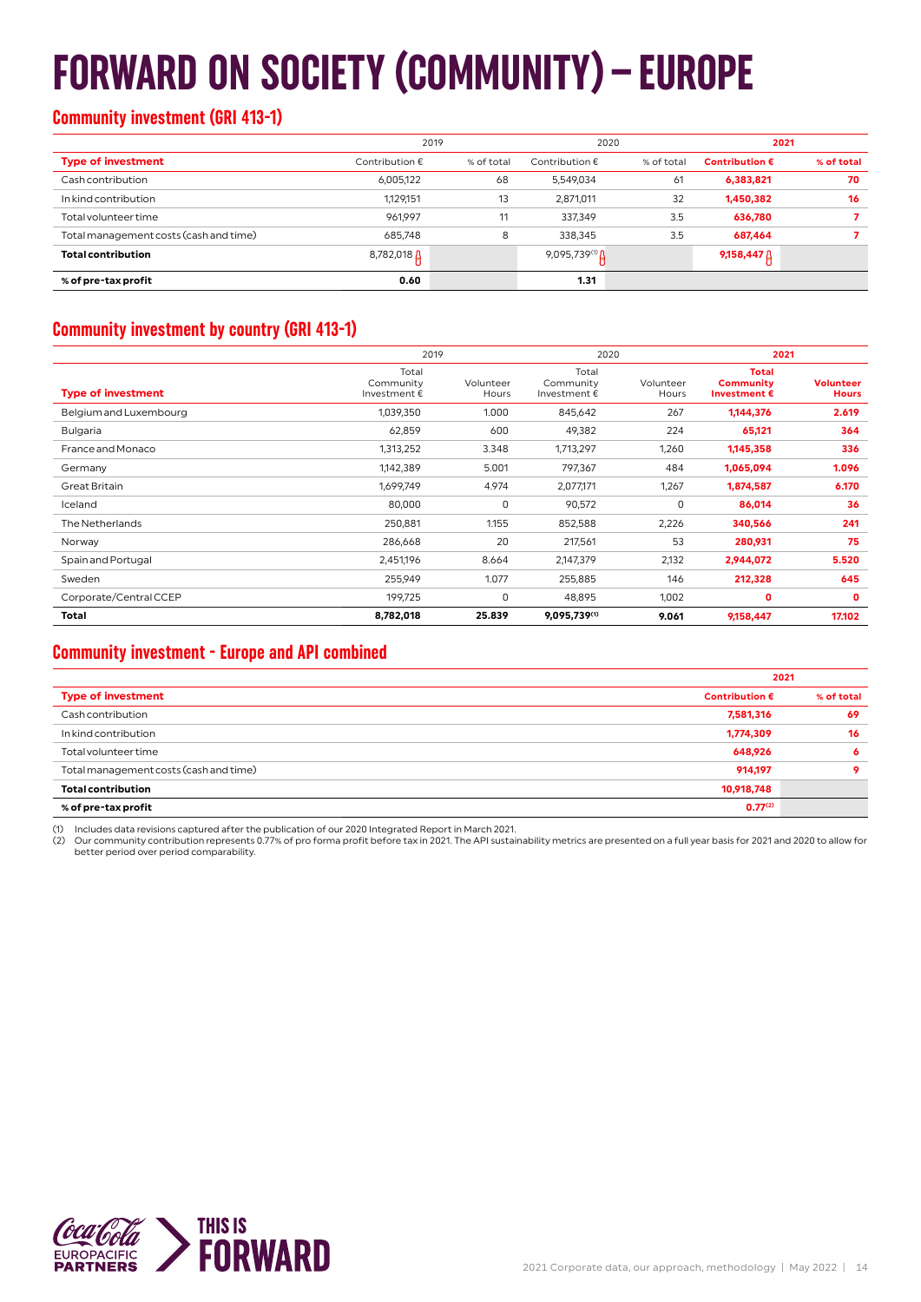## **FORWARD ON SOCIETY (COMMUNITY)–EUROPE**

#### **Community investment (GRI 413-1)**

|                                        | 2019                    |            | 2020                              |            | 2021                    |            |
|----------------------------------------|-------------------------|------------|-----------------------------------|------------|-------------------------|------------|
| <b>Type of investment</b>              | Contribution $\epsilon$ | % of total | Contribution $\epsilon$           | % of total | Contribution $\epsilon$ | % of total |
| Cash contribution                      | 6,005,122               | 68         | 5,549,034                         | 61         | 6,383,821               | 70         |
| In kind contribution                   | 1,129,151               | 13         | 2,871,011                         | 32         | 1,450,382               | 16         |
| Total volunteer time                   | 961,997                 | 11         | 337,349                           | 3.5        | 636,780                 |            |
| Total management costs (cash and time) | 685,748                 | 8          | 338,345                           | 3.5        | 687,464                 |            |
| <b>Total contribution</b>              | 8,782,018 $\Delta$      |            | 9,095,739 <sup>(1)</sup> $\Delta$ |            | $9,158,447$ $\uparrow$  |            |
| % of pre-tax profit                    | 0.60                    |            | 1.31                              |            |                         |            |

#### **Community investment by country (GRI 413-1)**

|                           | 2019                               |                    | 2020                               |                    | 2021                                                      |                                  |
|---------------------------|------------------------------------|--------------------|------------------------------------|--------------------|-----------------------------------------------------------|----------------------------------|
| <b>Type of investment</b> | Total<br>Community<br>Investment € | Volunteer<br>Hours | Total<br>Community<br>Investment € | Volunteer<br>Hours | <b>Total</b><br><b>Community</b><br>Investment $\epsilon$ | <b>Volunteer</b><br><b>Hours</b> |
| Belgium and Luxembourg    | 1,039,350                          | 1.000              | 845,642                            | 267                | 1,144,376                                                 | 2.619                            |
| <b>Bulgaria</b>           | 62,859                             | 600                | 49,382                             | 224                | 65,121                                                    | 364                              |
| France and Monaco         | 1,313,252                          | 3.348              | 1,713,297                          | 1,260              | 1,145,358                                                 | 336                              |
| Germany                   | 1,142,389                          | 5.001              | 797,367                            | 484                | 1,065,094                                                 | 1.096                            |
| <b>Great Britain</b>      | 1,699,749                          | 4.974              | 2,077,171                          | 1,267              | 1,874,587                                                 | 6.170                            |
| Iceland                   | 80,000                             | $\mathbf 0$        | 90,572                             | 0                  | 86,014                                                    | 36                               |
| The Netherlands           | 250,881                            | 1.155              | 852,588                            | 2,226              | 340,566                                                   | 241                              |
| Norway                    | 286,668                            | 20                 | 217,561                            | 53                 | 280,931                                                   | 75                               |
| Spain and Portugal        | 2,451,196                          | 8.664              | 2,147,379                          | 2,132              | 2,944,072                                                 | 5.520                            |
| Sweden                    | 255,949                            | 1.077              | 255,885                            | 146                | 212,328                                                   | 645                              |
| Corporate/Central CCEP    | 199,725                            | 0                  | 48,895                             | 1,002              | 0                                                         | 0                                |
| Total                     | 8,782,018                          | 25.839             | 9,095,739(1)                       | 9.061              | 9,158,447                                                 | 17.102                           |

#### **Community investment - Europe and API combined**

|                                        |                         | 2021       |
|----------------------------------------|-------------------------|------------|
| <b>Type of investment</b>              | Contribution $\epsilon$ | % of total |
| Cash contribution                      | 7,581,316               | 69         |
| In kind contribution                   | 1,774,309               | 16         |
| Total volunteer time                   | 648,926                 | 6          |
| Total management costs (cash and time) | 914,197                 | o          |
| <b>Total contribution</b>              | 10,918,748              |            |
| % of pre-tax profit                    | $0.77^{(2)}$            |            |

(1) Includes data revisions captured after the publication of our 2020 Integrated Report in March 2021.<br>(2) Our community contribution represents 0.77% of pro forma profit before tax in 2021. The API sustainability metrics better period over period comparability.

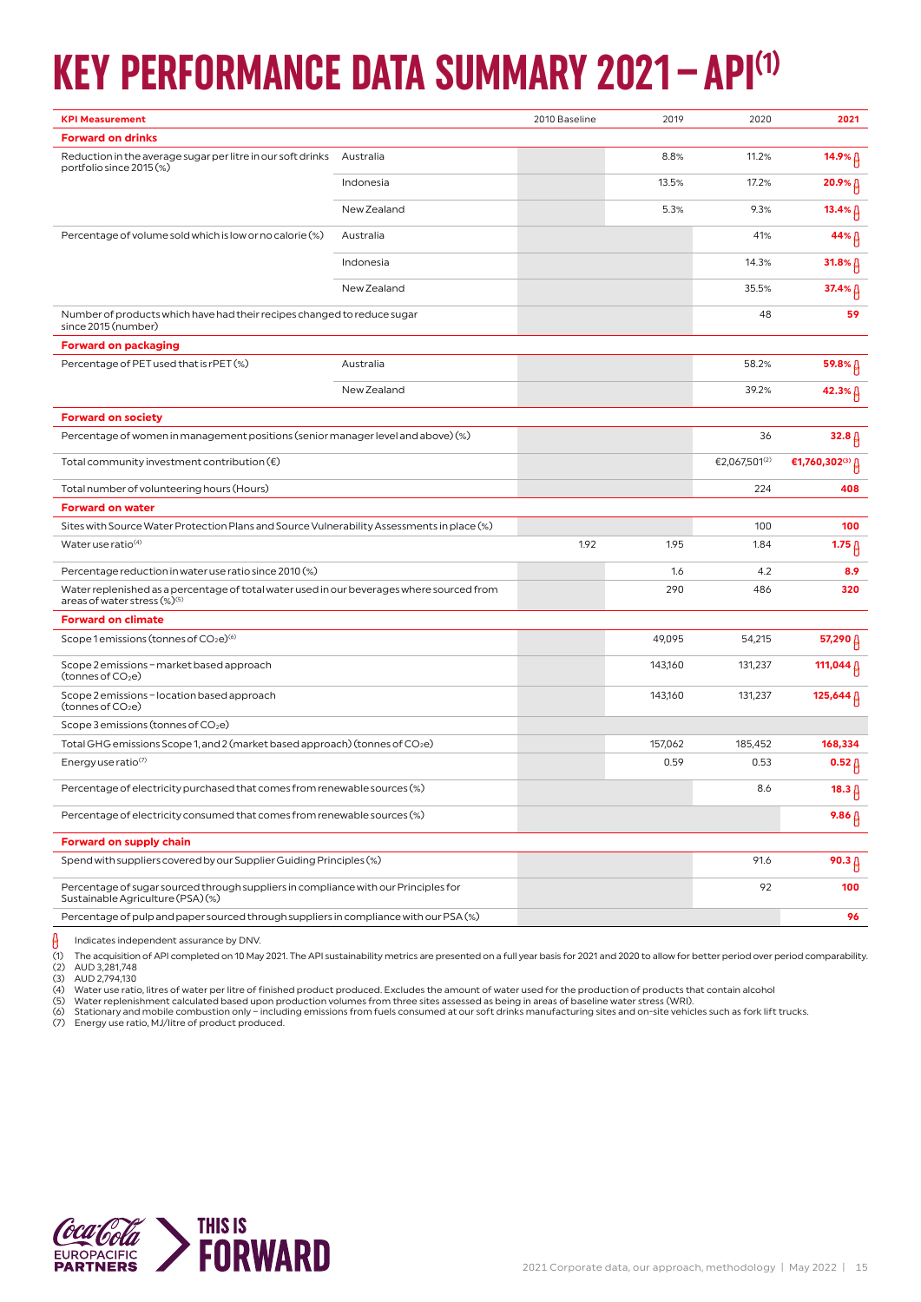## **KEY PERFORMANCE DATA SUMMARY 2021–API(1)**

| <b>Forward on drinks</b><br>Reduction in the average sugar per litre in our soft drinks<br>8.8%<br>11.2%<br>Australia<br>14.9%<br>portfolio since 2015 (%)<br>13.5%<br>17.2%<br>$20.9%$ $\uparrow$<br>Indonesia<br>New Zealand<br>5.3%<br>9.3%<br>13.4% $\beta$<br>Percentage of volume sold which is low or no calorie (%)<br>Australia<br>41%<br>44%<br>14.3%<br>Indonesia<br>31.8%<br>New Zealand<br>35.5%<br>37.4% β<br>Number of products which have had their recipes changed to reduce sugar<br>48<br>59<br>since 2015 (number)<br><b>Forward on packaging</b><br>Percentage of PET used that is rPET (%)<br>Australia<br>58.2%<br>$59.8%$ $\uparrow$<br>New Zealand<br>39.2%<br>42.3%<br><b>Forward on society</b><br>Percentage of women in management positions (senior manager level and above) (%)<br>36<br>32.8 <sub>1</sub><br>€2,067,501 <sup>(2)</sup><br>€1,760,302(3) $\beta$<br>Total community investment contribution $(\epsilon)$<br>Total number of volunteering hours (Hours)<br>224<br>408<br><b>Forward on water</b><br>Sites with Source Water Protection Plans and Source Vulnerability Assessments in place (%)<br>100<br>100<br>Water use ratio <sup>(4)</sup><br>1.92<br>1.95<br>1.84<br>$1.75\,\beta$<br>1.6<br>Percentage reduction in water use ratio since 2010 (%)<br>4.2<br>8.9<br>290<br>Water replenished as a percentage of total water used in our beverages where sourced from<br>486<br>320<br>areas of water stress (%)(5)<br><b>Forward on climate</b><br>Scope 1 emissions (tonnes of $CO2e$ ) <sup>(6)</sup><br>49,095<br>54,215<br>57,290 $\beta$<br>Scope 2 emissions - market based approach<br>143,160<br>131,237<br>111,044 A<br>(tonnes of CO <sub>2</sub> e)<br>Scope 2 emissions - location based approach<br>143,160<br>131,237<br>125,644 A<br>(tonnes of CO <sub>2</sub> e)<br>Scope 3 emissions (tonnes of CO <sub>2</sub> e)<br>Total GHG emissions Scope 1, and 2 (market based approach) (tonnes of CO2e)<br>157,062<br>185,452<br>168,334<br>Energy use ratio(7)<br>0.59<br>0.53<br>$0.52\beta$<br>Percentage of electricity purchased that comes from renewable sources (%)<br>8.6<br>$18.3 \upbeta$<br>Percentage of electricity consumed that comes from renewable sources (%)<br>$9.86\,\beta$<br><b>Forward on supply chain</b><br>Spend with suppliers covered by our Supplier Guiding Principles (%)<br>91.6<br>$90.3 \beta$<br>92<br>Percentage of sugar sourced through suppliers in compliance with our Principles for<br>100<br>Sustainable Agriculture (PSA)(%)<br>Percentage of pulp and paper sourced through suppliers in compliance with our PSA (%)<br>96 | <b>KPI Measurement</b> |  | 2010 Baseline | 2019 | 2020 | 2021 |
|-------------------------------------------------------------------------------------------------------------------------------------------------------------------------------------------------------------------------------------------------------------------------------------------------------------------------------------------------------------------------------------------------------------------------------------------------------------------------------------------------------------------------------------------------------------------------------------------------------------------------------------------------------------------------------------------------------------------------------------------------------------------------------------------------------------------------------------------------------------------------------------------------------------------------------------------------------------------------------------------------------------------------------------------------------------------------------------------------------------------------------------------------------------------------------------------------------------------------------------------------------------------------------------------------------------------------------------------------------------------------------------------------------------------------------------------------------------------------------------------------------------------------------------------------------------------------------------------------------------------------------------------------------------------------------------------------------------------------------------------------------------------------------------------------------------------------------------------------------------------------------------------------------------------------------------------------------------------------------------------------------------------------------------------------------------------------------------------------------------------------------------------------------------------------------------------------------------------------------------------------------------------------------------------------------------------------------------------------------------------------------------------------------------------------------------------------------------------------------------------------------------------------------------------------------------------------------------------------------------------------------------------|------------------------|--|---------------|------|------|------|
|                                                                                                                                                                                                                                                                                                                                                                                                                                                                                                                                                                                                                                                                                                                                                                                                                                                                                                                                                                                                                                                                                                                                                                                                                                                                                                                                                                                                                                                                                                                                                                                                                                                                                                                                                                                                                                                                                                                                                                                                                                                                                                                                                                                                                                                                                                                                                                                                                                                                                                                                                                                                                                           |                        |  |               |      |      |      |
|                                                                                                                                                                                                                                                                                                                                                                                                                                                                                                                                                                                                                                                                                                                                                                                                                                                                                                                                                                                                                                                                                                                                                                                                                                                                                                                                                                                                                                                                                                                                                                                                                                                                                                                                                                                                                                                                                                                                                                                                                                                                                                                                                                                                                                                                                                                                                                                                                                                                                                                                                                                                                                           |                        |  |               |      |      |      |
|                                                                                                                                                                                                                                                                                                                                                                                                                                                                                                                                                                                                                                                                                                                                                                                                                                                                                                                                                                                                                                                                                                                                                                                                                                                                                                                                                                                                                                                                                                                                                                                                                                                                                                                                                                                                                                                                                                                                                                                                                                                                                                                                                                                                                                                                                                                                                                                                                                                                                                                                                                                                                                           |                        |  |               |      |      |      |
|                                                                                                                                                                                                                                                                                                                                                                                                                                                                                                                                                                                                                                                                                                                                                                                                                                                                                                                                                                                                                                                                                                                                                                                                                                                                                                                                                                                                                                                                                                                                                                                                                                                                                                                                                                                                                                                                                                                                                                                                                                                                                                                                                                                                                                                                                                                                                                                                                                                                                                                                                                                                                                           |                        |  |               |      |      |      |
|                                                                                                                                                                                                                                                                                                                                                                                                                                                                                                                                                                                                                                                                                                                                                                                                                                                                                                                                                                                                                                                                                                                                                                                                                                                                                                                                                                                                                                                                                                                                                                                                                                                                                                                                                                                                                                                                                                                                                                                                                                                                                                                                                                                                                                                                                                                                                                                                                                                                                                                                                                                                                                           |                        |  |               |      |      |      |
|                                                                                                                                                                                                                                                                                                                                                                                                                                                                                                                                                                                                                                                                                                                                                                                                                                                                                                                                                                                                                                                                                                                                                                                                                                                                                                                                                                                                                                                                                                                                                                                                                                                                                                                                                                                                                                                                                                                                                                                                                                                                                                                                                                                                                                                                                                                                                                                                                                                                                                                                                                                                                                           |                        |  |               |      |      |      |
|                                                                                                                                                                                                                                                                                                                                                                                                                                                                                                                                                                                                                                                                                                                                                                                                                                                                                                                                                                                                                                                                                                                                                                                                                                                                                                                                                                                                                                                                                                                                                                                                                                                                                                                                                                                                                                                                                                                                                                                                                                                                                                                                                                                                                                                                                                                                                                                                                                                                                                                                                                                                                                           |                        |  |               |      |      |      |
|                                                                                                                                                                                                                                                                                                                                                                                                                                                                                                                                                                                                                                                                                                                                                                                                                                                                                                                                                                                                                                                                                                                                                                                                                                                                                                                                                                                                                                                                                                                                                                                                                                                                                                                                                                                                                                                                                                                                                                                                                                                                                                                                                                                                                                                                                                                                                                                                                                                                                                                                                                                                                                           |                        |  |               |      |      |      |
|                                                                                                                                                                                                                                                                                                                                                                                                                                                                                                                                                                                                                                                                                                                                                                                                                                                                                                                                                                                                                                                                                                                                                                                                                                                                                                                                                                                                                                                                                                                                                                                                                                                                                                                                                                                                                                                                                                                                                                                                                                                                                                                                                                                                                                                                                                                                                                                                                                                                                                                                                                                                                                           |                        |  |               |      |      |      |
|                                                                                                                                                                                                                                                                                                                                                                                                                                                                                                                                                                                                                                                                                                                                                                                                                                                                                                                                                                                                                                                                                                                                                                                                                                                                                                                                                                                                                                                                                                                                                                                                                                                                                                                                                                                                                                                                                                                                                                                                                                                                                                                                                                                                                                                                                                                                                                                                                                                                                                                                                                                                                                           |                        |  |               |      |      |      |
|                                                                                                                                                                                                                                                                                                                                                                                                                                                                                                                                                                                                                                                                                                                                                                                                                                                                                                                                                                                                                                                                                                                                                                                                                                                                                                                                                                                                                                                                                                                                                                                                                                                                                                                                                                                                                                                                                                                                                                                                                                                                                                                                                                                                                                                                                                                                                                                                                                                                                                                                                                                                                                           |                        |  |               |      |      |      |
|                                                                                                                                                                                                                                                                                                                                                                                                                                                                                                                                                                                                                                                                                                                                                                                                                                                                                                                                                                                                                                                                                                                                                                                                                                                                                                                                                                                                                                                                                                                                                                                                                                                                                                                                                                                                                                                                                                                                                                                                                                                                                                                                                                                                                                                                                                                                                                                                                                                                                                                                                                                                                                           |                        |  |               |      |      |      |
|                                                                                                                                                                                                                                                                                                                                                                                                                                                                                                                                                                                                                                                                                                                                                                                                                                                                                                                                                                                                                                                                                                                                                                                                                                                                                                                                                                                                                                                                                                                                                                                                                                                                                                                                                                                                                                                                                                                                                                                                                                                                                                                                                                                                                                                                                                                                                                                                                                                                                                                                                                                                                                           |                        |  |               |      |      |      |
|                                                                                                                                                                                                                                                                                                                                                                                                                                                                                                                                                                                                                                                                                                                                                                                                                                                                                                                                                                                                                                                                                                                                                                                                                                                                                                                                                                                                                                                                                                                                                                                                                                                                                                                                                                                                                                                                                                                                                                                                                                                                                                                                                                                                                                                                                                                                                                                                                                                                                                                                                                                                                                           |                        |  |               |      |      |      |
|                                                                                                                                                                                                                                                                                                                                                                                                                                                                                                                                                                                                                                                                                                                                                                                                                                                                                                                                                                                                                                                                                                                                                                                                                                                                                                                                                                                                                                                                                                                                                                                                                                                                                                                                                                                                                                                                                                                                                                                                                                                                                                                                                                                                                                                                                                                                                                                                                                                                                                                                                                                                                                           |                        |  |               |      |      |      |
|                                                                                                                                                                                                                                                                                                                                                                                                                                                                                                                                                                                                                                                                                                                                                                                                                                                                                                                                                                                                                                                                                                                                                                                                                                                                                                                                                                                                                                                                                                                                                                                                                                                                                                                                                                                                                                                                                                                                                                                                                                                                                                                                                                                                                                                                                                                                                                                                                                                                                                                                                                                                                                           |                        |  |               |      |      |      |
|                                                                                                                                                                                                                                                                                                                                                                                                                                                                                                                                                                                                                                                                                                                                                                                                                                                                                                                                                                                                                                                                                                                                                                                                                                                                                                                                                                                                                                                                                                                                                                                                                                                                                                                                                                                                                                                                                                                                                                                                                                                                                                                                                                                                                                                                                                                                                                                                                                                                                                                                                                                                                                           |                        |  |               |      |      |      |
|                                                                                                                                                                                                                                                                                                                                                                                                                                                                                                                                                                                                                                                                                                                                                                                                                                                                                                                                                                                                                                                                                                                                                                                                                                                                                                                                                                                                                                                                                                                                                                                                                                                                                                                                                                                                                                                                                                                                                                                                                                                                                                                                                                                                                                                                                                                                                                                                                                                                                                                                                                                                                                           |                        |  |               |      |      |      |
|                                                                                                                                                                                                                                                                                                                                                                                                                                                                                                                                                                                                                                                                                                                                                                                                                                                                                                                                                                                                                                                                                                                                                                                                                                                                                                                                                                                                                                                                                                                                                                                                                                                                                                                                                                                                                                                                                                                                                                                                                                                                                                                                                                                                                                                                                                                                                                                                                                                                                                                                                                                                                                           |                        |  |               |      |      |      |
|                                                                                                                                                                                                                                                                                                                                                                                                                                                                                                                                                                                                                                                                                                                                                                                                                                                                                                                                                                                                                                                                                                                                                                                                                                                                                                                                                                                                                                                                                                                                                                                                                                                                                                                                                                                                                                                                                                                                                                                                                                                                                                                                                                                                                                                                                                                                                                                                                                                                                                                                                                                                                                           |                        |  |               |      |      |      |
|                                                                                                                                                                                                                                                                                                                                                                                                                                                                                                                                                                                                                                                                                                                                                                                                                                                                                                                                                                                                                                                                                                                                                                                                                                                                                                                                                                                                                                                                                                                                                                                                                                                                                                                                                                                                                                                                                                                                                                                                                                                                                                                                                                                                                                                                                                                                                                                                                                                                                                                                                                                                                                           |                        |  |               |      |      |      |
|                                                                                                                                                                                                                                                                                                                                                                                                                                                                                                                                                                                                                                                                                                                                                                                                                                                                                                                                                                                                                                                                                                                                                                                                                                                                                                                                                                                                                                                                                                                                                                                                                                                                                                                                                                                                                                                                                                                                                                                                                                                                                                                                                                                                                                                                                                                                                                                                                                                                                                                                                                                                                                           |                        |  |               |      |      |      |
|                                                                                                                                                                                                                                                                                                                                                                                                                                                                                                                                                                                                                                                                                                                                                                                                                                                                                                                                                                                                                                                                                                                                                                                                                                                                                                                                                                                                                                                                                                                                                                                                                                                                                                                                                                                                                                                                                                                                                                                                                                                                                                                                                                                                                                                                                                                                                                                                                                                                                                                                                                                                                                           |                        |  |               |      |      |      |
|                                                                                                                                                                                                                                                                                                                                                                                                                                                                                                                                                                                                                                                                                                                                                                                                                                                                                                                                                                                                                                                                                                                                                                                                                                                                                                                                                                                                                                                                                                                                                                                                                                                                                                                                                                                                                                                                                                                                                                                                                                                                                                                                                                                                                                                                                                                                                                                                                                                                                                                                                                                                                                           |                        |  |               |      |      |      |
|                                                                                                                                                                                                                                                                                                                                                                                                                                                                                                                                                                                                                                                                                                                                                                                                                                                                                                                                                                                                                                                                                                                                                                                                                                                                                                                                                                                                                                                                                                                                                                                                                                                                                                                                                                                                                                                                                                                                                                                                                                                                                                                                                                                                                                                                                                                                                                                                                                                                                                                                                                                                                                           |                        |  |               |      |      |      |
|                                                                                                                                                                                                                                                                                                                                                                                                                                                                                                                                                                                                                                                                                                                                                                                                                                                                                                                                                                                                                                                                                                                                                                                                                                                                                                                                                                                                                                                                                                                                                                                                                                                                                                                                                                                                                                                                                                                                                                                                                                                                                                                                                                                                                                                                                                                                                                                                                                                                                                                                                                                                                                           |                        |  |               |      |      |      |
|                                                                                                                                                                                                                                                                                                                                                                                                                                                                                                                                                                                                                                                                                                                                                                                                                                                                                                                                                                                                                                                                                                                                                                                                                                                                                                                                                                                                                                                                                                                                                                                                                                                                                                                                                                                                                                                                                                                                                                                                                                                                                                                                                                                                                                                                                                                                                                                                                                                                                                                                                                                                                                           |                        |  |               |      |      |      |
|                                                                                                                                                                                                                                                                                                                                                                                                                                                                                                                                                                                                                                                                                                                                                                                                                                                                                                                                                                                                                                                                                                                                                                                                                                                                                                                                                                                                                                                                                                                                                                                                                                                                                                                                                                                                                                                                                                                                                                                                                                                                                                                                                                                                                                                                                                                                                                                                                                                                                                                                                                                                                                           |                        |  |               |      |      |      |
|                                                                                                                                                                                                                                                                                                                                                                                                                                                                                                                                                                                                                                                                                                                                                                                                                                                                                                                                                                                                                                                                                                                                                                                                                                                                                                                                                                                                                                                                                                                                                                                                                                                                                                                                                                                                                                                                                                                                                                                                                                                                                                                                                                                                                                                                                                                                                                                                                                                                                                                                                                                                                                           |                        |  |               |      |      |      |
|                                                                                                                                                                                                                                                                                                                                                                                                                                                                                                                                                                                                                                                                                                                                                                                                                                                                                                                                                                                                                                                                                                                                                                                                                                                                                                                                                                                                                                                                                                                                                                                                                                                                                                                                                                                                                                                                                                                                                                                                                                                                                                                                                                                                                                                                                                                                                                                                                                                                                                                                                                                                                                           |                        |  |               |      |      |      |
|                                                                                                                                                                                                                                                                                                                                                                                                                                                                                                                                                                                                                                                                                                                                                                                                                                                                                                                                                                                                                                                                                                                                                                                                                                                                                                                                                                                                                                                                                                                                                                                                                                                                                                                                                                                                                                                                                                                                                                                                                                                                                                                                                                                                                                                                                                                                                                                                                                                                                                                                                                                                                                           |                        |  |               |      |      |      |
|                                                                                                                                                                                                                                                                                                                                                                                                                                                                                                                                                                                                                                                                                                                                                                                                                                                                                                                                                                                                                                                                                                                                                                                                                                                                                                                                                                                                                                                                                                                                                                                                                                                                                                                                                                                                                                                                                                                                                                                                                                                                                                                                                                                                                                                                                                                                                                                                                                                                                                                                                                                                                                           |                        |  |               |      |      |      |
|                                                                                                                                                                                                                                                                                                                                                                                                                                                                                                                                                                                                                                                                                                                                                                                                                                                                                                                                                                                                                                                                                                                                                                                                                                                                                                                                                                                                                                                                                                                                                                                                                                                                                                                                                                                                                                                                                                                                                                                                                                                                                                                                                                                                                                                                                                                                                                                                                                                                                                                                                                                                                                           |                        |  |               |      |      |      |

 $\beta$ Indicates independent assurance by DNV.

The acquisition of API completed on 10 May 2021. The API sustainability metrics are presented on a full year basis for 2021 and 2020 to allow for better period over period comparability.

(2) AUD 3,281,748 (3) AUD 2,794,130

(4) Water use ratio, litres of water per litre of finished product produced. Excludes the amount of water used for the production of products that contain alcohol

(5) Water replenishment calculated based upon production volumes from three sites assessed as being in areas of baseline water stress (WRI).<br>(6) Stationary and mobile combustion only – including emissions from fuels consum

(7) Energy use ratio, MJ/litre of product produced.

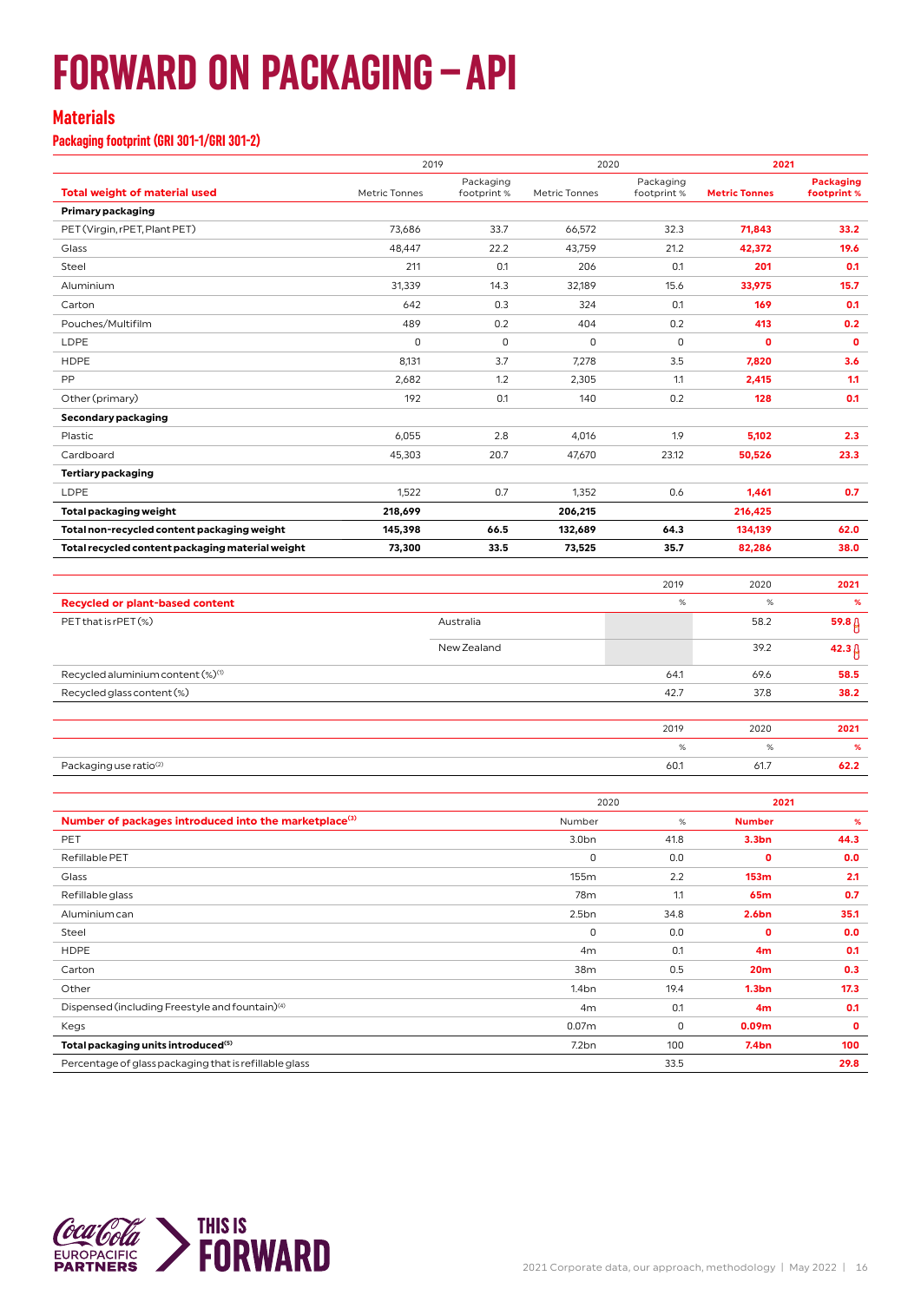## **FORWARD ON PACKAGING–API**

#### **Materials**

**Packaging footprint (GRI 301-1/GRI 301-2)**

|                                                  | 2019          |                         | 2020          |                          | 2021                 |                                 |
|--------------------------------------------------|---------------|-------------------------|---------------|--------------------------|----------------------|---------------------------------|
| <b>Total weight of material used</b>             | Metric Tonnes | Packaging<br>footprint% | Metric Tonnes | Packaging<br>footprint % | <b>Metric Tonnes</b> | <b>Packaging</b><br>footprint % |
| Primary packaging                                |               |                         |               |                          |                      |                                 |
| PET (Virgin, rPET, Plant PET)                    | 73,686        | 33.7                    | 66,572        | 32.3                     | 71,843               | 33.2                            |
| Glass                                            | 48.447        | 22.2                    | 43.759        | 21.2                     | 42,372               | 19.6                            |
| Steel                                            | 211           | 0.1                     | 206           | 0.1                      | 201                  | 0.1                             |
| Aluminium                                        | 31,339        | 14.3                    | 32,189        | 15.6                     | 33,975               | 15.7                            |
| Carton                                           | 642           | 0.3                     | 324           | 0.1                      | 169                  | 0.1                             |
| Pouches/Multifilm                                | 489           | 0.2                     | 404           | 0.2                      | 413                  | 0.2                             |
| LDPE                                             | 0             | $\mathbf 0$             | $\mathbf 0$   | 0                        | $\mathbf 0$          | $\mathbf 0$                     |
| <b>HDPE</b>                                      | 8,131         | 3.7                     | 7,278         | 3.5                      | 7,820                | 3.6                             |
| PP                                               | 2,682         | 1.2                     | 2,305         | 1.1                      | 2,415                | 1.1                             |
| Other (primary)                                  | 192           | 0.1                     | 140           | 0.2                      | 128                  | 0.1                             |
| Secondary packaging                              |               |                         |               |                          |                      |                                 |
| Plastic                                          | 6,055         | 2.8                     | 4.016         | 1.9                      | 5.102                | 2.3                             |
| Cardboard                                        | 45,303        | 20.7                    | 47,670        | 23.12                    | 50,526               | 23.3                            |
| Tertiary packaging                               |               |                         |               |                          |                      |                                 |
| LDPE                                             | 1,522         | 0.7                     | 1,352         | 0.6                      | 1,461                | 0.7                             |
| Total packaging weight                           | 218,699       |                         | 206,215       |                          | 216,425              |                                 |
| Total non-recycled content packaging weight      | 145,398       | 66.5                    | 132,689       | 64.3                     | 134,139              | 62.0                            |
| Total recycled content packaging material weight | 73,300        | 33.5                    | 73,525        | 35.7                     | 82,286               | 38.0                            |
|                                                  |               |                         |               |                          |                      |                                 |

|                                               |             | 2019 | 2020 | 2021              |
|-----------------------------------------------|-------------|------|------|-------------------|
| <b>Recycled or plant-based content</b>        |             | %    | %    | %                 |
| PET that is rPET (%)                          | Australia   |      | 58.2 | 59.8 <sub>0</sub> |
|                                               | New Zealand |      | 39.2 | 42.3 <sub>0</sub> |
| Recycled aluminium content (%) <sup>(1)</sup> |             | 64.1 | 69.6 | 58.5              |
| Recycled glass content (%)                    |             | 42.7 | 37.8 | 38.2              |
|                                               |             |      |      |                   |
|                                               |             | 2019 | 2020 | 2021              |
|                                               |             | %    | %    | %                 |
| Packaging use ratio <sup>(2)</sup>            |             | 60.1 | 61.7 | 62.2              |
|                                               |             |      |      |                   |

|                                                                   | 2020              |      | 2021              |      |
|-------------------------------------------------------------------|-------------------|------|-------------------|------|
| Number of packages introduced into the marketplace <sup>(3)</sup> | Number            | %    | <b>Number</b>     | %    |
| PET                                                               | 3.0 <sub>bn</sub> | 41.8 | 3.3 <sub>bn</sub> | 44.3 |
| Refillable PET                                                    | 0                 | 0.0  | 0                 | 0.0  |
| Glass                                                             | 155m              | 2.2  | 153m              | 2.1  |
| Refillable glass                                                  | 78 <sub>m</sub>   | 1.1  | 65m               | 0.7  |
| Aluminium can                                                     | 2.5bn             | 34.8 | 2.6 <sub>bn</sub> | 35.1 |
| Steel                                                             | 0                 | 0.0  | $\mathbf 0$       | 0.0  |
| <b>HDPE</b>                                                       | 4m                | 0.1  | 4 <sub>m</sub>    | 0.1  |
| Carton                                                            | 38m               | 0.5  | 20 <sub>m</sub>   | 0.3  |
| Other                                                             | 1.4 <sub>bn</sub> | 19.4 | 1.3 <sub>bn</sub> | 17.3 |
| Dispensed (including Freestyle and fountain) <sup>(4)</sup>       | 4m                | 0.1  | 4 <sub>m</sub>    | 0.1  |
| Kegs                                                              | 0.07 <sub>m</sub> | 0    | 0.09 <sub>m</sub> | 0    |
| Total packaging units introduced <sup>(5)</sup>                   | 7.2bn             | 100  | 7.4 <sub>bn</sub> | 100  |
| Percentage of glass packaging that is refillable glass            |                   | 33.5 |                   | 29.8 |
|                                                                   |                   |      |                   |      |

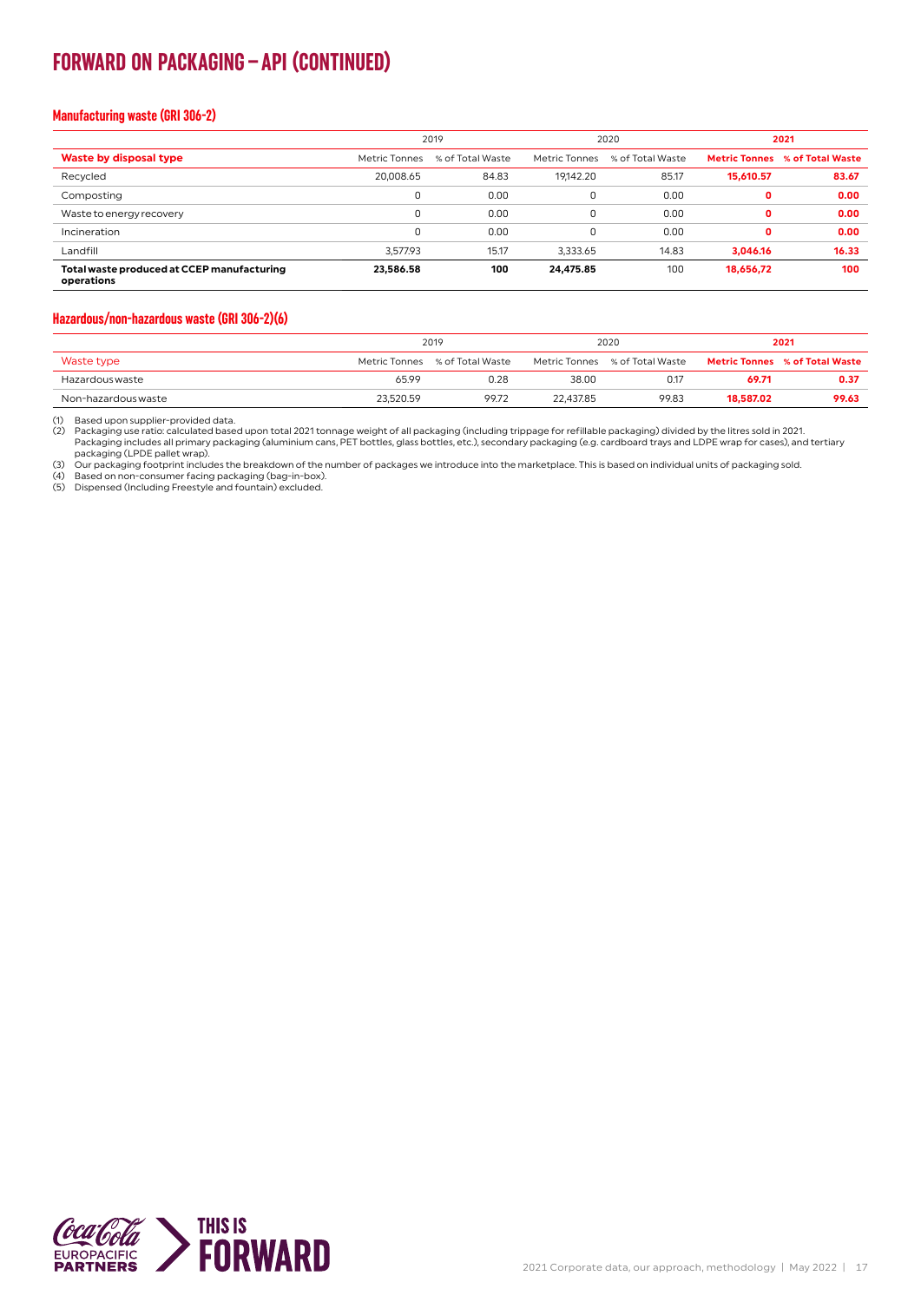### **FORWARD ON PACKAGING–API (CONTINUED)**

#### **Manufacturing waste (GRI 306-2)**

|                                                          | 2019          |                  | 2020          |                  | 2021      |                                       |
|----------------------------------------------------------|---------------|------------------|---------------|------------------|-----------|---------------------------------------|
| Waste by disposal type                                   | Metric Tonnes | % of Total Waste | Metric Tonnes | % of Total Waste |           | <b>Metric Tonnes</b> % of Total Waste |
| Recycled                                                 | 20.008.65     | 84.83            | 19,142.20     | 85.17            | 15,610.57 | 83.67                                 |
| Composting                                               | 0             | 0.00             | 0             | 0.00             | 0         | 0.00                                  |
| Waste to energy recovery                                 | 0             | 0.00             | $\Omega$      | 0.00             | 0         | 0.00                                  |
| Incineration                                             | 0             | 0.00             | 0             | 0.00             | o         | 0.00                                  |
| Landfill                                                 | 3,577.93      | 15.17            | 3,333.65      | 14.83            | 3,046.16  | 16.33                                 |
| Total waste produced at CCEP manufacturing<br>operations | 23,586.58     | 100              | 24,475.85     | 100              | 18,656,72 | 100                                   |

#### **Hazardous/non-hazardous waste (GRI 306-2)(6)**

|                     | 2019          |                  | 2020      |                                | 2021      |                                       |
|---------------------|---------------|------------------|-----------|--------------------------------|-----------|---------------------------------------|
| Waste type          | Metric Tonnes | % of Total Waste |           | Metric Tonnes % of Total Waste |           | <b>Metric Tonnes</b> % of Total Waste |
| Hazardous waste     | 65.99         | 0.28             | 38.00     | 0.17                           | 69.71     | 0.37                                  |
| Non-hazardous waste | 23.520.59     | 99.72            | 22.437.85 | 99.83                          | 18,587.02 | 99.63                                 |

(1) Based upon supplier-provided data.<br>(2) Packaging use ratio: calculated based upon total 2021 tonnage weight of all packaging (including trippage for refillable packaging) divided by the litres sold in 2021.<br>Packaging u

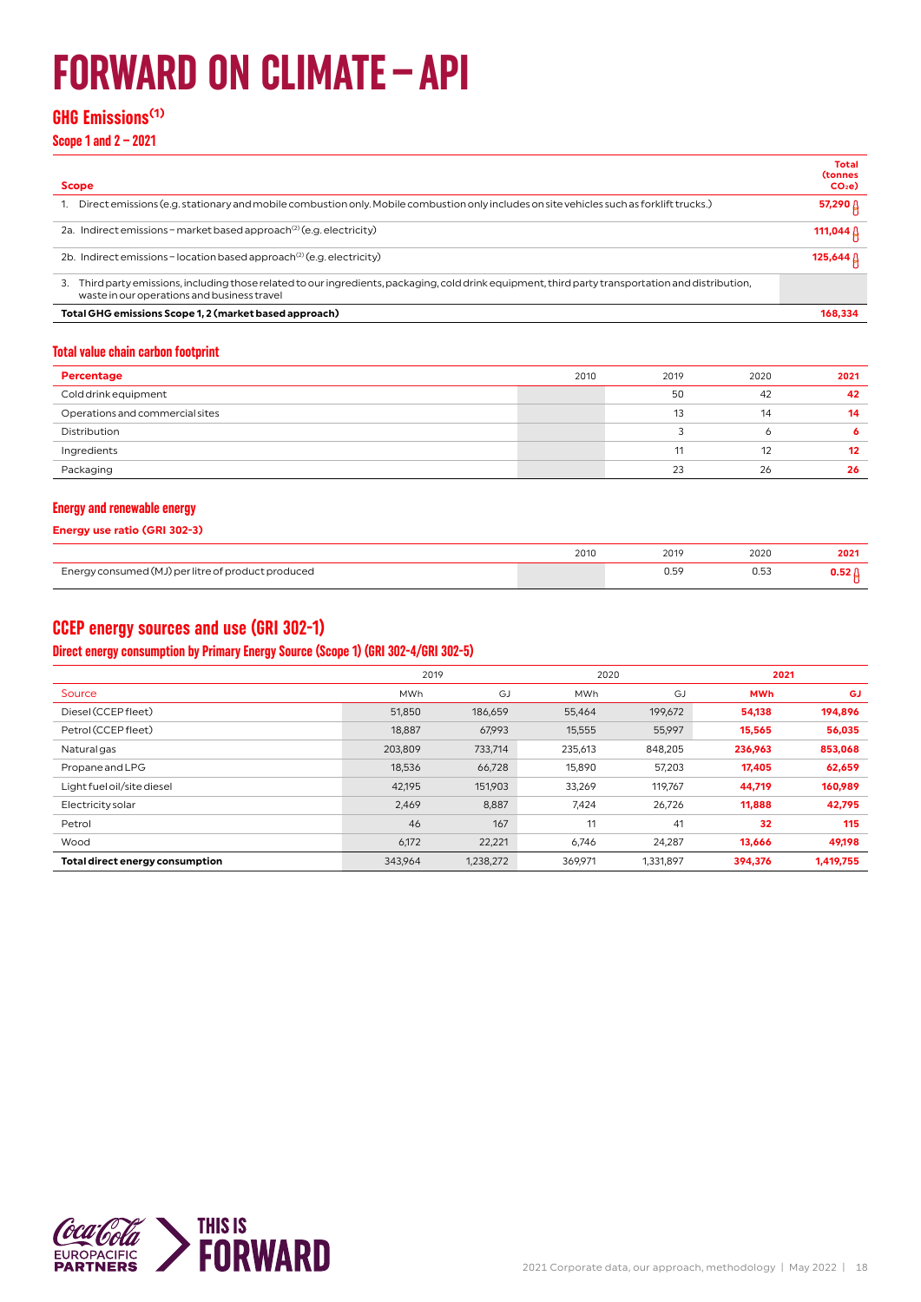## **FORWARD ON CLIMATE–API**

#### **GHG Emissions(1)**

**Scope 1 and 2 – 2021**

| <b>Scope</b>                                                                                                                                                                                          | Total<br><b>(tonnes</b><br>$CO2$ e) |
|-------------------------------------------------------------------------------------------------------------------------------------------------------------------------------------------------------|-------------------------------------|
| Direct emissions (e.g. stationary and mobile combustion only. Mobile combustion only includes on site vehicles such as forklift trucks.)                                                              | 57,290 ∆                            |
| 2a. Indirect emissions – market based approach <sup>(2)</sup> (e.g. electricity)                                                                                                                      | 111,044                             |
| 2b. Indirect emissions - location based approach <sup>(2)</sup> (e.g. electricity)                                                                                                                    | 125,644                             |
| Third party emissions, including those related to our ingredients, packaging, cold drink equipment, third party transportation and distribution,<br>З.<br>waste in our operations and business travel |                                     |
| Total GHG emissions Scope 1, 2 (market based approach)                                                                                                                                                | 168.334                             |
|                                                                                                                                                                                                       |                                     |

#### **Total value chain carbon footprint**

| Percentage                      | 2010 | 2019 | 2020 | 2021 |
|---------------------------------|------|------|------|------|
| Cold drink equipment            |      | 50   | 42   | 42   |
| Operations and commercial sites |      | 13   | 14   | 14   |
| Distribution                    |      |      |      |      |
| Ingredients                     |      | 11   | 12   | 12   |
| Packaging                       |      | 23   | 26   | 26   |

#### **Energy and renewable energy**

**Energy use ratio (GRI 302-3)**

|                                                    | 2010 | 2020 |  |
|----------------------------------------------------|------|------|--|
| Energy consumed (MJ) per litre of product produced |      |      |  |

#### **CCEP energy sources and use (GRI 302-1)**

#### **Direct energy consumption by Primary Energy Source (Scope 1) (GRI 302-4/GRI 302-5)**

|                                 | 2019       |           |            | 2020      |            | 2021      |
|---------------------------------|------------|-----------|------------|-----------|------------|-----------|
| Source                          | <b>MWh</b> | GJ        | <b>MWh</b> | GJ        | <b>MWh</b> | <b>GJ</b> |
| Diesel (CCEP fleet)             | 51,850     | 186,659   | 55,464     | 199,672   | 54,138     | 194,896   |
| Petrol (CCEP fleet)             | 18,887     | 67,993    | 15,555     | 55,997    | 15,565     | 56,035    |
| Natural gas                     | 203,809    | 733,714   | 235,613    | 848,205   | 236,963    | 853,068   |
| Propane and LPG                 | 18,536     | 66,728    | 15,890     | 57,203    | 17,405     | 62,659    |
| Light fuel oil/site diesel      | 42,195     | 151,903   | 33,269     | 119.767   | 44,719     | 160,989   |
| Electricity solar               | 2,469      | 8,887     | 7,424      | 26,726    | 11,888     | 42,795    |
| Petrol                          | 46         | 167       | 11         | 41        | 32         | 115       |
| Wood                            | 6,172      | 22,221    | 6,746      | 24,287    | 13,666     | 49,198    |
| Total direct energy consumption | 343,964    | 1,238,272 | 369,971    | 1,331,897 | 394,376    | 1,419,755 |

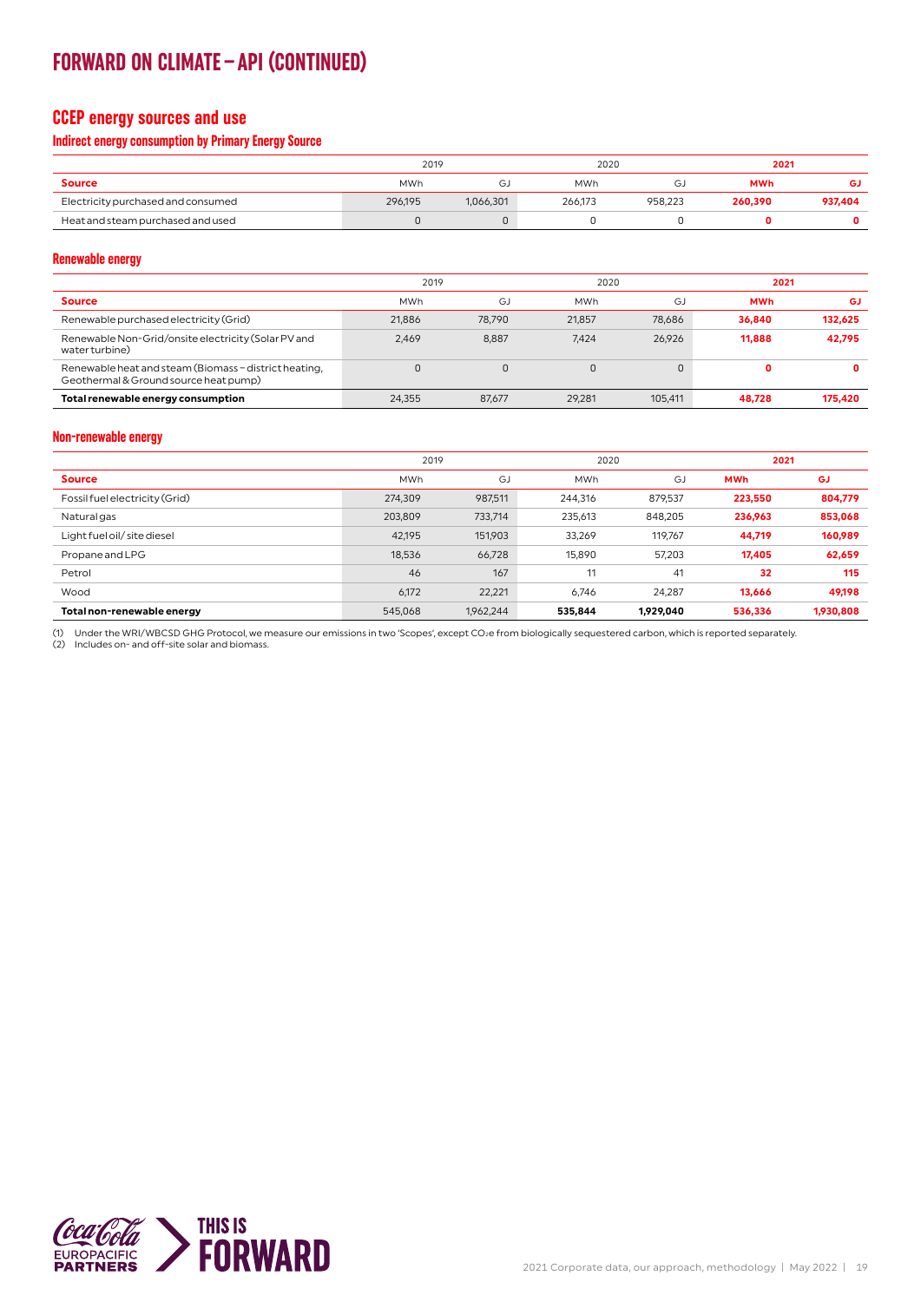### **FORWARD ON CLIMATE–API (CONTINUED)**

#### **CCEP energy sources and use**

#### **Indirect energy consumption by Primary Energy Source**

|                                    | 2019    |           |            | 2020    |            | 2021    |  |
|------------------------------------|---------|-----------|------------|---------|------------|---------|--|
| <b>Source</b>                      | MWh     | رت        | <b>MWh</b> | GJ      | <b>MWh</b> | GJ      |  |
| Electricity purchased and consumed | 296.195 | 1,066,301 | 266.173    | 958.223 | 260,390    | 937.404 |  |
| Heat and steam purchased and used  |         |           |            |         |            |         |  |

**Renewable energy**

|                                                                                                |            | 2019<br>2020 |            | 2021    |            |         |
|------------------------------------------------------------------------------------------------|------------|--------------|------------|---------|------------|---------|
| <b>Source</b>                                                                                  | <b>MWh</b> | GJ           | <b>MWh</b> | G.      | <b>MWh</b> | GJ      |
| Renewable purchased electricity (Grid)                                                         | 21.886     | 78.790       | 21.857     | 78.686  | 36,840     | 132.625 |
| Renewable Non-Grid/onsite electricity (Solar PV and<br>water turbine)                          | 2.469      | 8.887        | 7.424      | 26.926  | 11.888     | 42,795  |
| Renewable heat and steam (Biomass - district heating,<br>Geothermal & Ground source heat pump) |            |              |            |         | 0          | 0       |
| Total renewable energy consumption                                                             | 24.355     | 87.677       | 29.281     | 105.411 | 48.728     | 175,420 |

#### **Non-renewable energy**

|                                | 2019       |           |            | 2020      |            | 2021      |
|--------------------------------|------------|-----------|------------|-----------|------------|-----------|
| <b>Source</b>                  | <b>MWh</b> | GJ        | <b>MWh</b> | GJ        | <b>MWh</b> | GJ        |
| Fossil fuel electricity (Grid) | 274,309    | 987,511   | 244,316    | 879,537   | 223,550    | 804,779   |
| Natural gas                    | 203,809    | 733,714   | 235,613    | 848,205   | 236,963    | 853,068   |
| Light fuel oil/ site diesel    | 42,195     | 151,903   | 33,269     | 119,767   | 44,719     | 160,989   |
| Propane and LPG                | 18,536     | 66,728    | 15,890     | 57,203    | 17,405     | 62,659    |
| Petrol                         | 46         | 167       | 11         | 41        | 32         | 115       |
| Wood                           | 6,172      | 22,221    | 6.746      | 24.287    | 13.666     | 49.198    |
| Total non-renewable energy     | 545,068    | 1,962,244 | 535,844    | 1,929,040 | 536,336    | 1,930,808 |

(1) Under the WRI/WBCSD GHG Protocol, we measure our emissions in two 'Scopes', except CO2e from biologically sequestered carbon, which is reported separately.<br>(2) Includes on- and off-site solar and biomass.

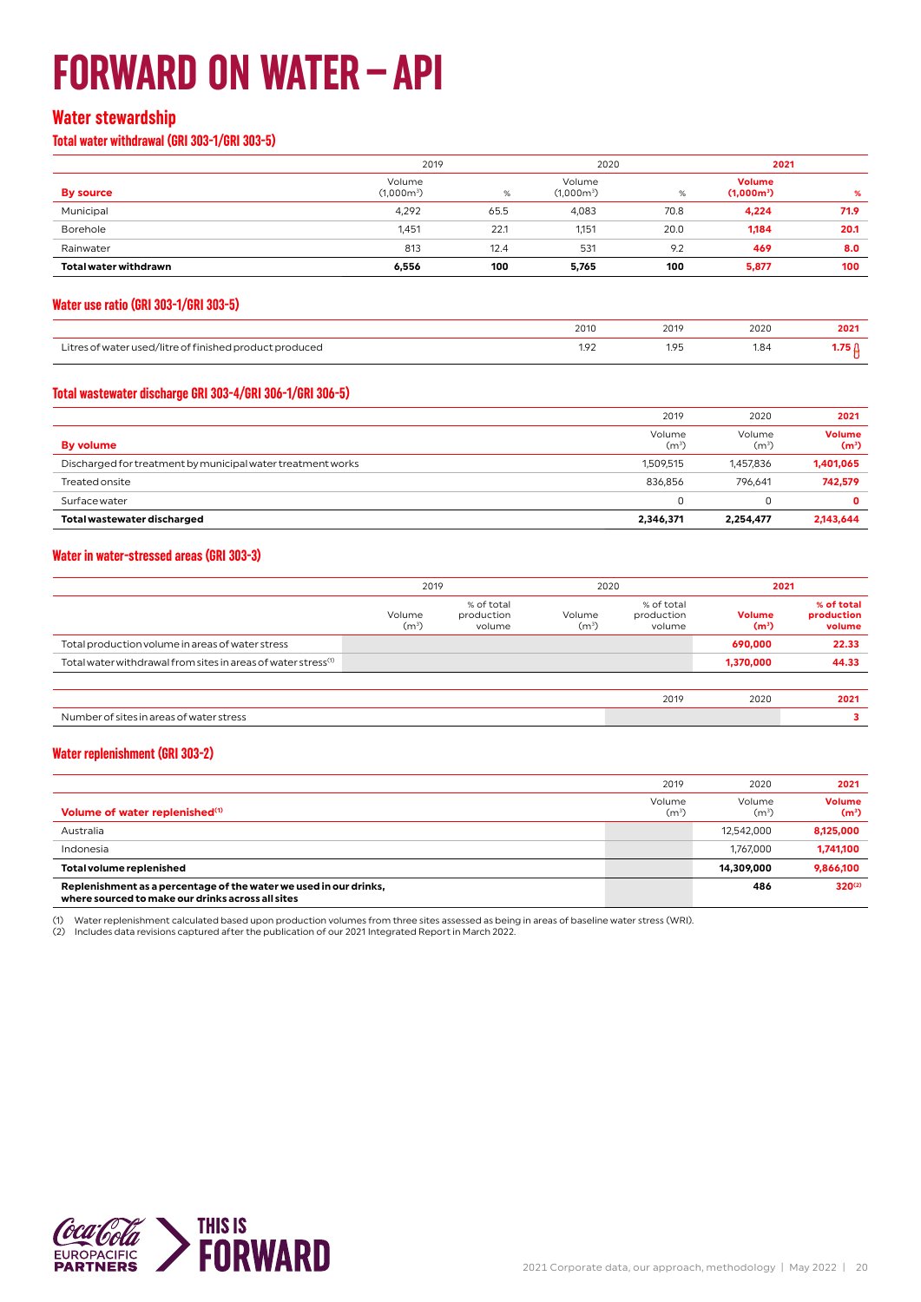## **FORWARD ON WATER–API**

#### **Water stewardship**

#### **Total water withdrawal (GRI 303-1/GRI 303-5)**

|                              | 2019                   |      | 2020                   |      | 2021                          |      |
|------------------------------|------------------------|------|------------------------|------|-------------------------------|------|
| <b>By source</b>             | Volume<br>$(1,000m^3)$ | %    | Volume<br>$(1,000m^3)$ | %    | <b>Volume</b><br>$(1,000m^3)$ | %    |
| Municipal                    | 4,292                  | 65.5 | 4,083                  | 70.8 | 4,224                         | 71.9 |
| Borehole                     | 1,451                  | 22.1 | 1,151                  | 20.0 | 1,184                         | 20.1 |
| Rainwater                    | 813                    | 12.4 | 531                    | 9.2  | 469                           | 8.0  |
| <b>Total water withdrawn</b> | 6,556                  | 100  | 5,765                  | 100  | 5,877                         | 100  |

#### **Water use ratio (GRI 303-1/GRI 303-5)**

|                                                           | 2011<br>ZUIU                                   | 201<br>the contract of the contract of                | 2020<br>the contract of the contract of the | the contract of the contract of |
|-----------------------------------------------------------|------------------------------------------------|-------------------------------------------------------|---------------------------------------------|---------------------------------|
| . itro:<br>not tinished proof<br>J/IIT<br>r۵<br>uccu<br>. | $\sim$<br>.<br>the contract of the contract of | $\Omega$<br>$\sim$<br>the contract of the contract of | 1.84<br>the contract of the contract of     |                                 |

#### **Total wastewater discharge GRI 303-4/GRI 306-1/GRI 306-5)**

|                                                             | 2019                        | 2020                        | 2021                               |
|-------------------------------------------------------------|-----------------------------|-----------------------------|------------------------------------|
| <b>By volume</b>                                            | Volume<br>(m <sup>3</sup> ) | Volume<br>(m <sup>3</sup> ) | <b>Volume</b><br>(m <sup>3</sup> ) |
| Discharged for treatment by municipal water treatment works | 1.509.515                   | 1.457.836                   | 1,401,065                          |
| <b>Treated onsite</b>                                       | 836.856                     | 796.641                     | 742,579                            |
| Surface water                                               | 0                           | u                           |                                    |
| Total wastewater discharged                                 | 2,346,371                   | 2,254,477                   | 2,143,644                          |

#### **Water in water-stressed areas (GRI 303-3)**

| 2019                        |                                    | 2020                        |                                    | 2021                               |                                    |
|-----------------------------|------------------------------------|-----------------------------|------------------------------------|------------------------------------|------------------------------------|
| Volume<br>(m <sup>3</sup> ) | % of total<br>production<br>volume | Volume<br>(m <sup>3</sup> ) | % of total<br>production<br>volume | <b>Volume</b><br>(m <sup>3</sup> ) | % of total<br>production<br>volume |
|                             |                                    |                             |                                    | 690,000                            | 22.33                              |
|                             |                                    |                             |                                    | 1,370,000                          | 44.33                              |
|                             |                                    |                             |                                    |                                    |                                    |
|                             |                                    |                             | 2019                               | 2020                               | 2021                               |
|                             |                                    |                             |                                    |                                    |                                    |
|                             |                                    |                             |                                    |                                    |                                    |

#### **Water replenishment (GRI 303-2)**

|                                                                                                                        | 2019                        | 2020                        | 2021                               |
|------------------------------------------------------------------------------------------------------------------------|-----------------------------|-----------------------------|------------------------------------|
| Volume of water replenished <sup>(1)</sup>                                                                             | Volume<br>(m <sup>3</sup> ) | Volume<br>(m <sup>3</sup> ) | <b>Volume</b><br>(m <sup>3</sup> ) |
| Australia                                                                                                              |                             | 12.542.000                  | 8.125.000                          |
| Indonesia                                                                                                              |                             | 1.767.000                   | 1,741,100                          |
| <b>Total volume replenished</b>                                                                                        |                             | 14,309,000                  | 9,866,100                          |
| Replenishment as a percentage of the water we used in our drinks,<br>where sourced to make our drinks across all sites |                             | 486                         | $320^{(2)}$                        |

(1) Water replenishment calculated based upon production volumes from three sites assessed as being in areas of baseline water stress (WRI).<br>(2) Includes data revisions captured after the publication of our 2021 Integrated

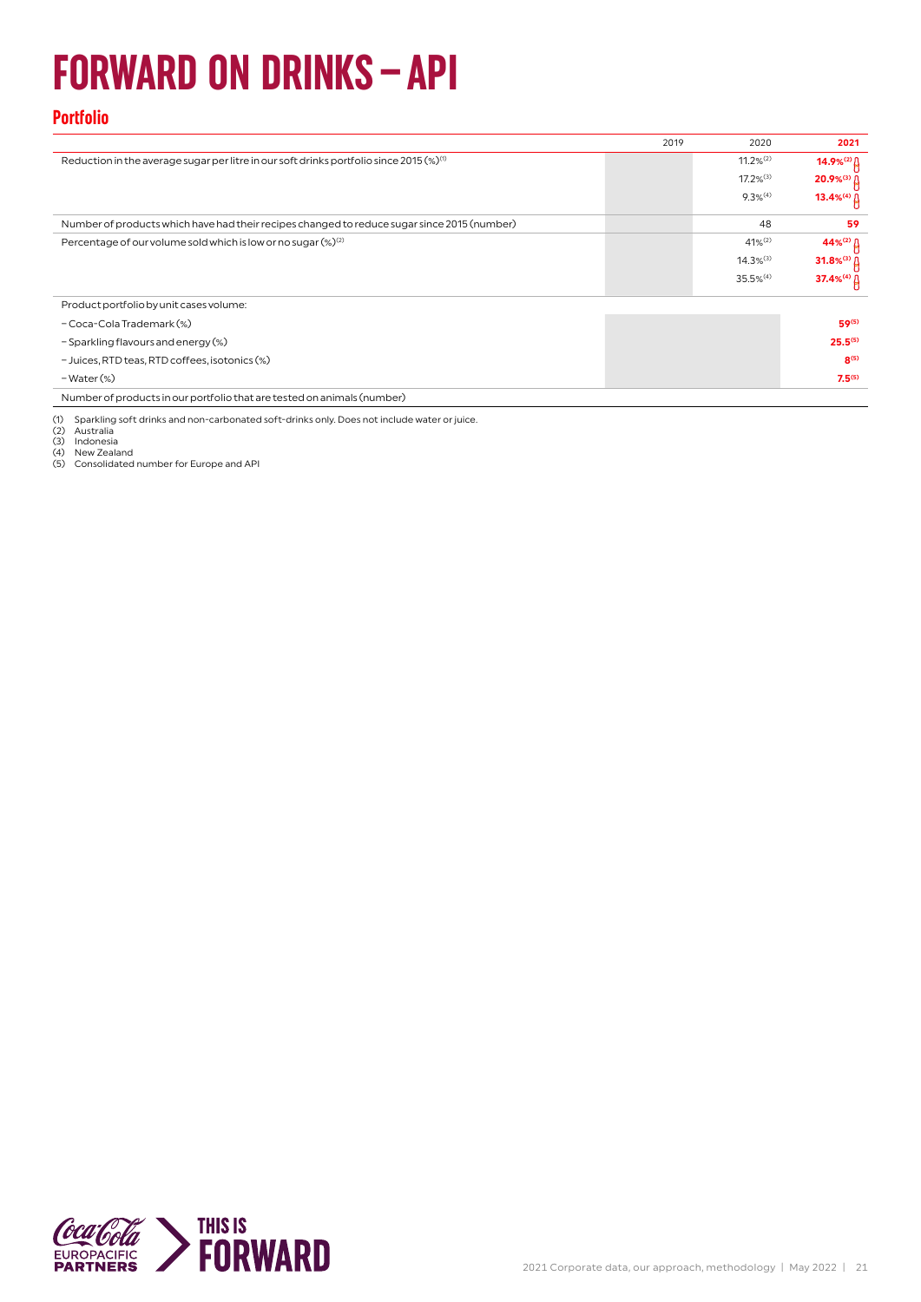## **FORWARD ON DRINKS–API**

#### **Portfolio**

|                                                                                               | 2019 | 2020                    | 2021                           |
|-----------------------------------------------------------------------------------------------|------|-------------------------|--------------------------------|
| Reduction in the average sugar per litre in our soft drinks portfolio since 2015 $(\%)^{(1)}$ |      | $11.2%^{(2)}$           |                                |
|                                                                                               |      | $17.2\%$ <sup>(3)</sup> | $20.9%$ <sup>(3)</sup> $\beta$ |
|                                                                                               |      | $9.3%$ <sup>(4)</sup>   | 13.4% <sup>(4)</sup> $\[\]$    |
| Number of products which have had their recipes changed to reduce sugar since 2015 (number)   |      | 48                      | 59                             |
| Percentage of our volume sold which is low or no sugar (%) <sup>(2)</sup>                     |      | $41\%^{(2)}$            |                                |
|                                                                                               |      | $14.3%$ <sup>(3)</sup>  | 31.8% <sup>(3)</sup> $\[\]$    |
|                                                                                               |      | $35.5%$ <sup>(4)</sup>  | 37.4%(4) [                     |
| Product portfolio by unit cases volume:                                                       |      |                         |                                |
| - Coca-Cola Trademark (%)                                                                     |      |                         | 59(5)                          |
| - Sparkling flavours and energy (%)                                                           |      |                         | $25.5^{(5)}$                   |
| - Juices, RTD teas, RTD coffees, isotonics (%)                                                |      |                         | R(5)                           |
| $-Water$ (%)                                                                                  |      |                         | $7.5^{(5)}$                    |
| Number of products in our portfolio that are tested on animals (number)                       |      |                         |                                |

(1) Sparkling soft drinks and non-carbonated soft-drinks only. Does not include water or juice. (2) Australia (3) Indonesia (4) New Zealand (5) Consolidated number for Europe and API

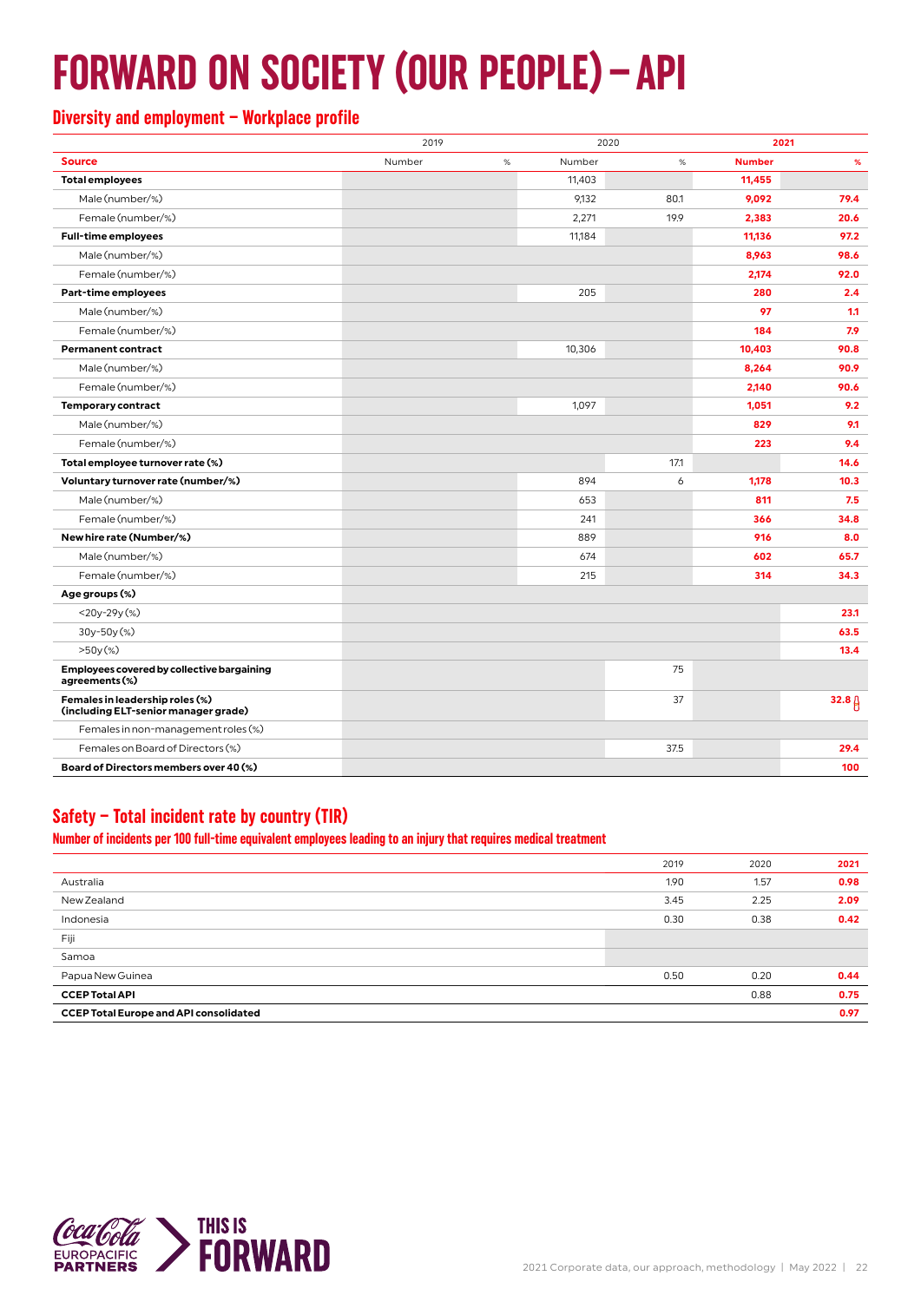## **FORWARD ON SOCIETY (OUR PEOPLE)–API**

#### **Diversity and employment – Workplace profile**

|                                                                         | 2019   |      |        | 2020<br>2021 |               |                   |
|-------------------------------------------------------------------------|--------|------|--------|--------------|---------------|-------------------|
| <b>Source</b>                                                           | Number | $\%$ | Number | $\%$         | <b>Number</b> | %                 |
| <b>Total employees</b>                                                  |        |      | 11,403 |              | 11,455        |                   |
| Male (number/%)                                                         |        |      | 9,132  | 80.1         | 9,092         | 79.4              |
| Female (number/%)                                                       |        |      | 2,271  | 19.9         | 2,383         | 20.6              |
| <b>Full-time employees</b>                                              |        |      | 11,184 |              | 11,136        | 97.2              |
| Male (number/%)                                                         |        |      |        |              | 8,963         | 98.6              |
| Female (number/%)                                                       |        |      |        |              | 2,174         | 92.0              |
| Part-time employees                                                     |        |      | 205    |              | 280           | 2.4               |
| Male (number/%)                                                         |        |      |        |              | 97            | 1.1               |
| Female (number/%)                                                       |        |      |        |              | 184           | 7.9               |
| <b>Permanent contract</b>                                               |        |      | 10,306 |              | 10,403        | 90.8              |
| Male (number/%)                                                         |        |      |        |              | 8,264         | 90.9              |
| Female (number/%)                                                       |        |      |        |              | 2,140         | 90.6              |
| <b>Temporary contract</b>                                               |        |      | 1,097  |              | 1,051         | 9.2               |
| Male (number/%)                                                         |        |      |        |              | 829           | 9.1               |
| Female (number/%)                                                       |        |      |        |              | 223           | 9.4               |
| Total employee turnover rate (%)                                        |        |      |        | 17.1         |               | 14.6              |
| Voluntary turnover rate (number/%)                                      |        |      | 894    | 6            | 1,178         | 10.3              |
| Male (number/%)                                                         |        |      | 653    |              | 811           | 7.5               |
| Female (number/%)                                                       |        |      | 241    |              | 366           | 34.8              |
| New hire rate (Number/%)                                                |        |      | 889    |              | 916           | 8.0               |
| Male (number/%)                                                         |        |      | 674    |              | 602           | 65.7              |
| Female (number/%)                                                       |        |      | 215    |              | 314           | 34.3              |
| Age groups (%)                                                          |        |      |        |              |               |                   |
| $<$ 20y-29y $(\%)$                                                      |        |      |        |              |               | 23.1              |
| 30y-50y(%)                                                              |        |      |        |              |               | 63.5              |
| $>50y$ (%)                                                              |        |      |        |              |               | 13.4              |
| Employees covered by collective bargaining<br>agreements (%)            |        |      |        | 75           |               |                   |
| Females in leadership roles (%)<br>(including ELT-senior manager grade) |        |      |        | 37           |               | 32.8 <sub>0</sub> |
| Females in non-management roles (%)                                     |        |      |        |              |               |                   |
| Females on Board of Directors (%)                                       |        |      |        | 37.5         |               | 29.4              |
| Board of Directors members over 40 (%)                                  |        |      |        |              |               | 100               |

#### **Safety – Total incident rate by country (TIR)**

**Number of incidents per 100 full-time equivalent employees leading to an injury that requires medical treatment**

|                                               | 2019 | 2020 | 2021 |
|-----------------------------------------------|------|------|------|
| Australia                                     | 1.90 | 1.57 | 0.98 |
| New Zealand                                   | 3.45 | 2.25 | 2.09 |
| Indonesia                                     | 0.30 | 0.38 | 0.42 |
| Fiji                                          |      |      |      |
| Samoa                                         |      |      |      |
| Papua New Guinea                              | 0.50 | 0.20 | 0.44 |
| <b>CCEP Total API</b>                         |      | 0.88 | 0.75 |
| <b>CCEP Total Europe and API consolidated</b> |      |      | 0.97 |

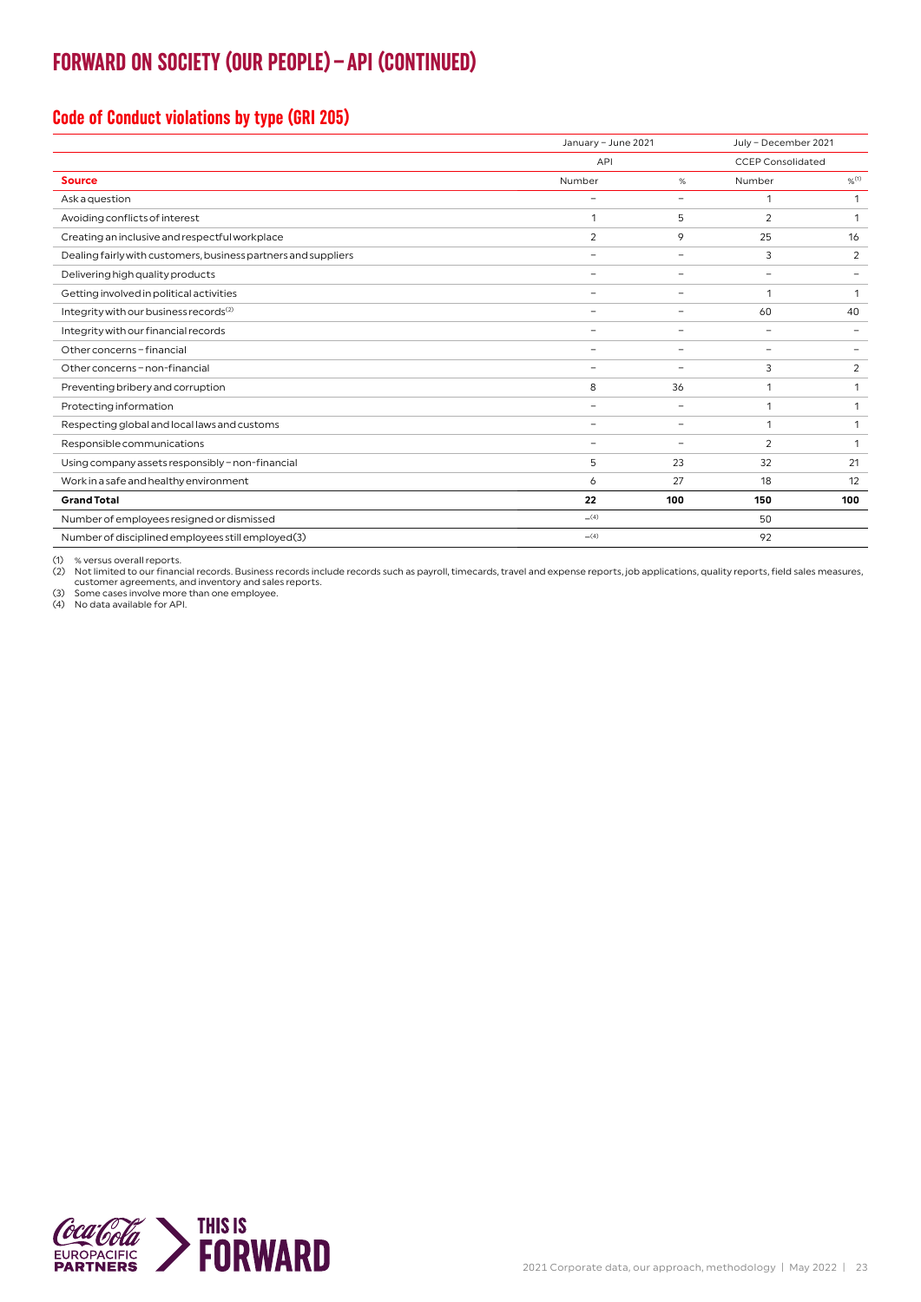### **FORWARD ON SOCIETY (OUR PEOPLE)–API (CONTINUED)**

#### **Code of Conduct violations by type (GRI 205)**

|                                                                | January - June 2021      |                          | July - December 2021     |                          |  |
|----------------------------------------------------------------|--------------------------|--------------------------|--------------------------|--------------------------|--|
|                                                                | API                      |                          | <b>CCEP Consolidated</b> |                          |  |
| <b>Source</b>                                                  | Number                   | %                        | Number                   | $%$ <sup>(1)</sup>       |  |
| Ask a question                                                 | $\overline{\phantom{0}}$ | $\qquad \qquad -$        |                          | 1                        |  |
| Avoiding conflicts of interest                                 | 1                        | 5                        | $\overline{2}$           | 1                        |  |
| Creating an inclusive and respectful workplace                 | $\overline{2}$           | 9                        | 25                       | 16                       |  |
| Dealing fairly with customers, business partners and suppliers | $\overline{\phantom{0}}$ | $\qquad \qquad -$        | 3                        | 2                        |  |
| Delivering high quality products                               |                          | $\overline{\phantom{0}}$ | $\overline{\phantom{0}}$ |                          |  |
| Getting involved in political activities                       | $\overline{\phantom{0}}$ | -                        | $\mathbf{1}$             | $\mathbf{1}$             |  |
| Integrity with our business records <sup>(2)</sup>             | -                        | -                        | 60                       | 40                       |  |
| Integrity with our financial records                           | $\overline{\phantom{0}}$ | $\qquad \qquad -$        | $\overline{\phantom{a}}$ | $\overline{\phantom{0}}$ |  |
| Other concerns - financial                                     |                          | $\overline{\phantom{0}}$ | $\overline{\phantom{a}}$ | $\overline{\phantom{0}}$ |  |
| Other concerns - non-financial                                 | $\overline{\phantom{a}}$ | $\overline{\phantom{a}}$ | 3                        | 2                        |  |
| Preventing bribery and corruption                              | 8                        | 36                       | 1                        | 1                        |  |
| Protecting information                                         | $\equiv$                 | $\qquad \qquad -$        | 1                        | 1                        |  |
| Respecting global and local laws and customs                   | $\equiv$                 | $\qquad \qquad -$        | 1                        | 1                        |  |
| Responsible communications                                     | $\overline{\phantom{0}}$ | $\qquad \qquad -$        | $\overline{2}$           | 1                        |  |
| Using company assets responsibly - non-financial               | 5                        | 23                       | 32                       | 21                       |  |
| Work in a safe and healthy environment                         | 6                        | 27                       | 18                       | 12                       |  |
| <b>Grand Total</b>                                             | 22                       | 100                      | 150                      | 100                      |  |
| Number of employees resigned or dismissed                      | (4)                      |                          | 50                       |                          |  |
| Number of disciplined employees still employed(3)              | (4)                      |                          | 92                       |                          |  |

(1) % versus overall reports.

(2) Not limited to our financial records. Business records include records such as payroll, timecards, travel and expense reports, job applications, quality reports, field sales measures,<br>customer agreements, and inventory

(3) Some cases involve more than one employee. (4) No data available for API.

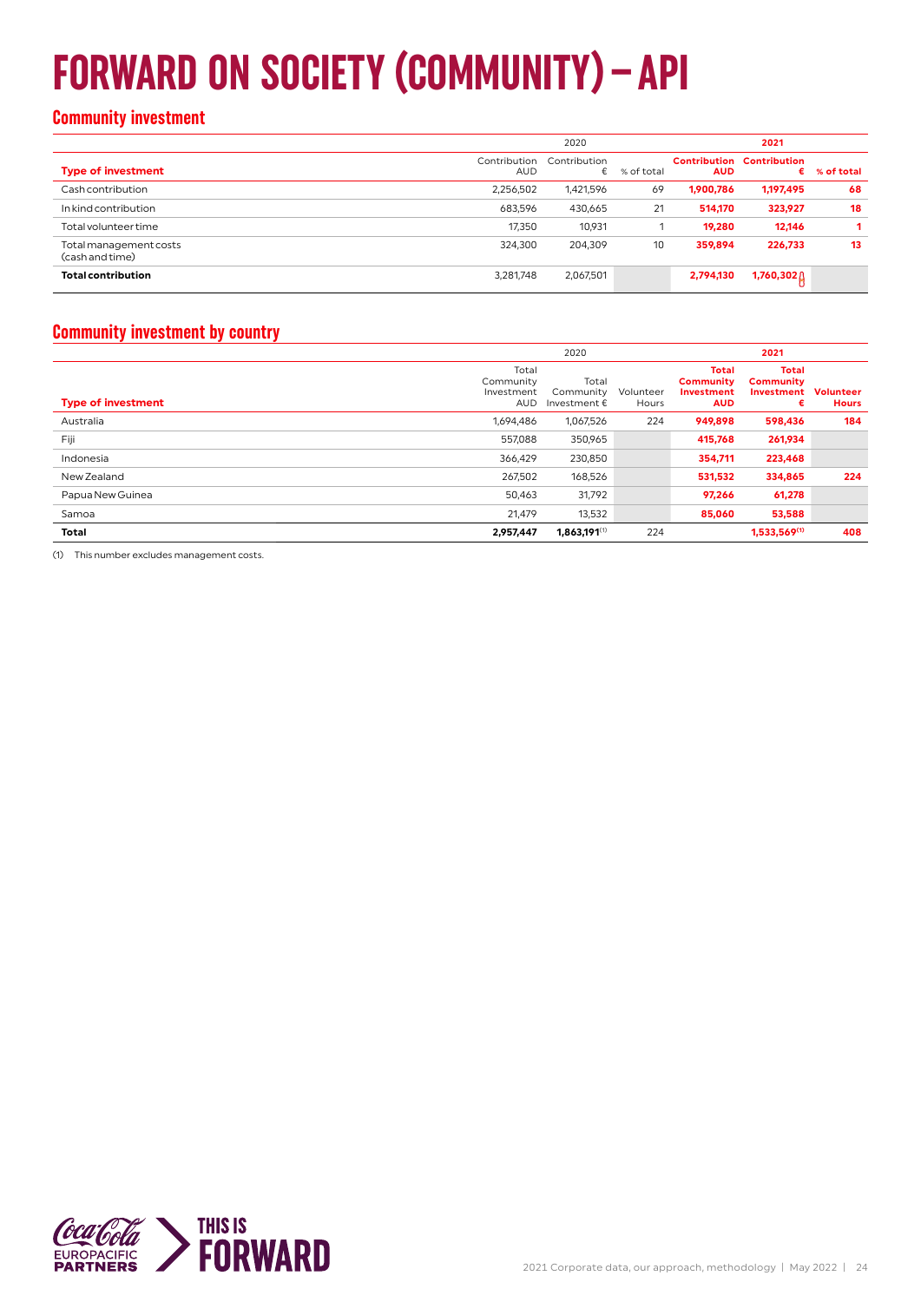## **FORWARD ON SOCIETY (COMMUNITY)–API**

#### **Community investment**

|                                           | 2020                       |                   |            | 2021       |                                       |            |  |
|-------------------------------------------|----------------------------|-------------------|------------|------------|---------------------------------------|------------|--|
| <b>Type of investment</b>                 | Contribution<br><b>AUD</b> | Contribution<br>€ | % of total | <b>AUD</b> | <b>Contribution Contribution</b><br>€ | % of total |  |
| Cash contribution                         | 2,256,502                  | 1,421,596         | 69         | 1,900,786  | 1,197,495                             | 68         |  |
| In kind contribution                      | 683,596                    | 430,665           | 21         | 514,170    | 323,927                               | 18         |  |
| Total volunteer time                      | 17,350                     | 10,931            |            | 19,280     | 12,146                                |            |  |
| Total management costs<br>(cash and time) | 324,300                    | 204,309           | 10         | 359,894    | 226,733                               | 13         |  |
| <b>Total contribution</b>                 | 3,281,748                  | 2,067,501         |            | 2,794,130  | 1,760,302                             |            |  |

#### **Community investment by country**

|                           | 2020                                           |                                             |                    | 2021                                                                |                                                     |                                  |  |
|---------------------------|------------------------------------------------|---------------------------------------------|--------------------|---------------------------------------------------------------------|-----------------------------------------------------|----------------------------------|--|
| <b>Type of investment</b> | Total<br>Community<br>Investment<br><b>AUD</b> | Total<br>Community<br>Investment $\epsilon$ | Volunteer<br>Hours | <b>Total</b><br><b>Community</b><br><b>Investment</b><br><b>AUD</b> | <b>Total</b><br><b>Community</b><br>Investment<br>€ | <b>Volunteer</b><br><b>Hours</b> |  |
| Australia                 | 1,694,486                                      | 1,067,526                                   | 224                | 949,898                                                             | 598,436                                             | 184                              |  |
| Fiji                      | 557,088                                        | 350,965                                     |                    | 415,768                                                             | 261,934                                             |                                  |  |
| Indonesia                 | 366,429                                        | 230,850                                     |                    | 354,711                                                             | 223,468                                             |                                  |  |
| New Zealand               | 267,502                                        | 168,526                                     |                    | 531,532                                                             | 334,865                                             | 224                              |  |
| Papua New Guinea          | 50,463                                         | 31,792                                      |                    | 97,266                                                              | 61,278                                              |                                  |  |
| Samoa                     | 21,479                                         | 13,532                                      |                    | 85,060                                                              | 53,588                                              |                                  |  |
| Total                     | 2,957,447                                      | $1,863,191^{(1)}$                           | 224                |                                                                     | 1,533,569(1)                                        | 408                              |  |

(1) This number excludes management costs.

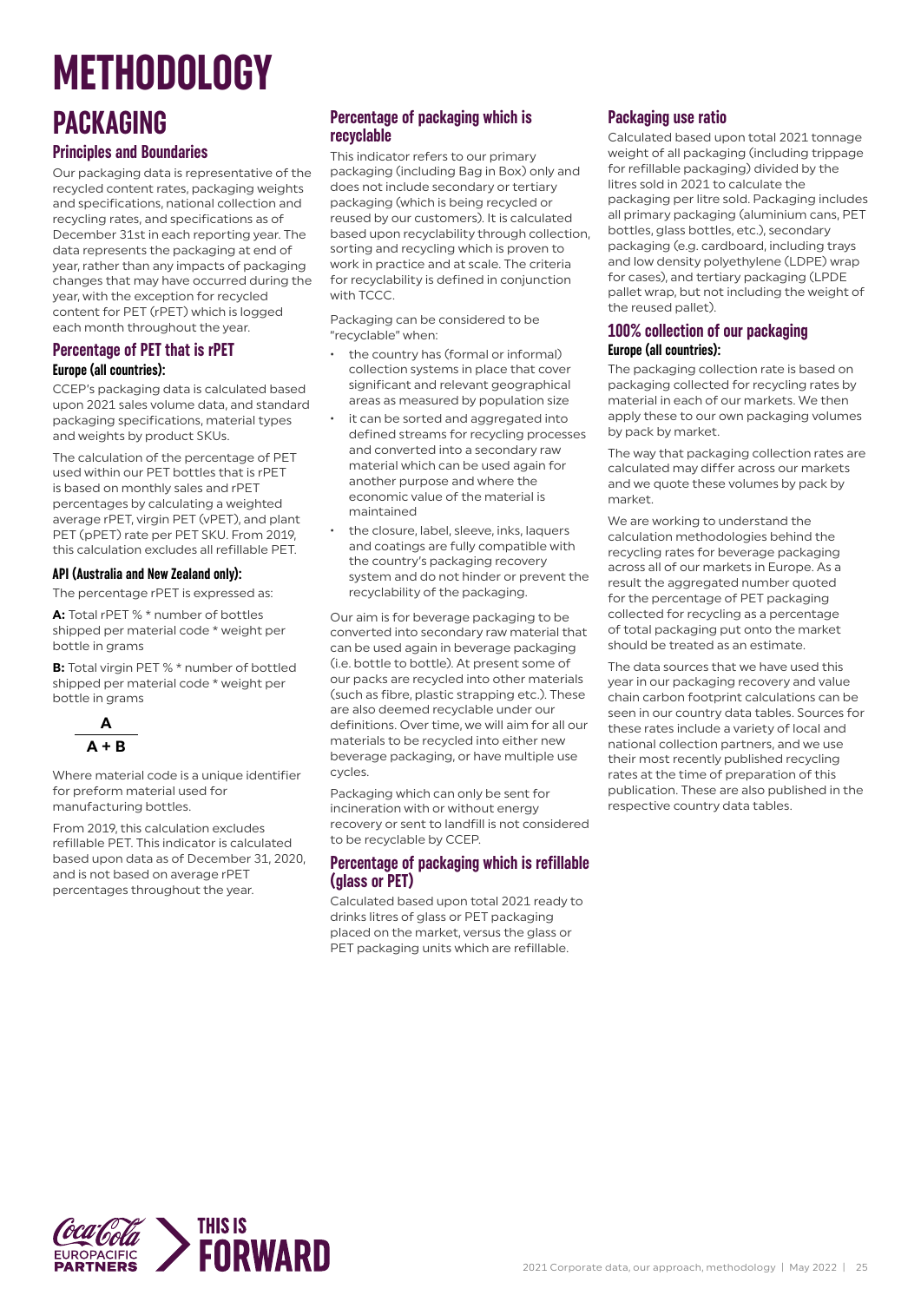## **METHODOLOGY**

## **PACKAGING**

#### **Principles and Boundaries**

Our packaging data is representative of the recycled content rates, packaging weights and specifications, national collection and recycling rates, and specifications as of December 31st in each reporting year. The data represents the packaging at end of year, rather than any impacts of packaging changes that may have occurred during the year, with the exception for recycled content for PET (rPET) which is logged each month throughout the year.

#### **Percentage of PET that is rPET Europe (all countries):**

CCEP's packaging data is calculated based upon 2021 sales volume data, and standard packaging specifications, material types and weights by product SKUs.

The calculation of the percentage of PET used within our PET bottles that is rPET is based on monthly sales and rPET percentages by calculating a weighted average rPET, virgin PET (vPET), and plant PET (pPET) rate per PET SKU. From 2019, this calculation excludes all refillable PET.

#### **API (Australia and New Zealand only):**

The percentage rPET is expressed as:

**A:** Total rPET % \* number of bottles shipped per material code \* weight per bottle in grams

**B:** Total virgin PET % \* number of bottled shipped per material code \* weight per bottle in grams



Where material code is a unique identifier for preform material used for manufacturing bottles.

From 2019, this calculation excludes refillable PET. This indicator is calculated based upon data as of December 31, 2020, and is not based on average rPET percentages throughout the year.

#### **Percentage of packaging which is recyclable**

This indicator refers to our primary packaging (including Bag in Box) only and does not include secondary or tertiary packaging (which is being recycled or reused by our customers). It is calculated based upon recyclability through collection, sorting and recycling which is proven to work in practice and at scale. The criteria for recyclability is defined in conjunction with TCCC.

Packaging can be considered to be "recyclable" when:

- the country has (formal or informal) collection systems in place that cover significant and relevant geographical areas as measured by population size
- it can be sorted and aggregated into defined streams for recycling processes and converted into a secondary raw material which can be used again for another purpose and where the economic value of the material is maintained
- the closure, label, sleeve, inks, laquers and coatings are fully compatible with the country's packaging recovery system and do not hinder or prevent the recyclability of the packaging.

Our aim is for beverage packaging to be converted into secondary raw material that can be used again in beverage packaging (i.e. bottle to bottle). At present some of our packs are recycled into other materials (such as fibre, plastic strapping etc.). These are also deemed recyclable under our definitions. Over time, we will aim for all our materials to be recycled into either new beverage packaging, or have multiple use cycles.

Packaging which can only be sent for incineration with or without energy recovery or sent to landfill is not considered to be recyclable by CCEP.

#### **Percentage of packaging which is refillable (glass or PET)**

Calculated based upon total 2021 ready to drinks litres of glass or PET packaging placed on the market, versus the glass or PET packaging units which are refillable.

#### **Packaging use ratio**

Calculated based upon total 2021 tonnage weight of all packaging (including trippage for refillable packaging) divided by the litres sold in 2021 to calculate the packaging per litre sold. Packaging includes all primary packaging (aluminium cans, PET bottles, glass bottles, etc.), secondary packaging (e.g. cardboard, including trays and low density polyethylene (LDPE) wrap for cases), and tertiary packaging (LPDE pallet wrap, but not including the weight of the reused pallet).

#### **100% collection of our packaging Europe (all countries):**

The packaging collection rate is based on packaging collected for recycling rates by material in each of our markets. We then apply these to our own packaging volumes by pack by market.

The way that packaging collection rates are calculated may differ across our markets and we quote these volumes by pack by market.

We are working to understand the calculation methodologies behind the recycling rates for beverage packaging across all of our markets in Europe. As a result the aggregated number quoted for the percentage of PET packaging collected for recycling as a percentage of total packaging put onto the market should be treated as an estimate.

The data sources that we have used this year in our packaging recovery and value chain carbon footprint calculations can be seen in our country data tables. Sources for these rates include a variety of local and national collection partners, and we use their most recently published recycling rates at the time of preparation of this publication. These are also published in the respective country data tables.

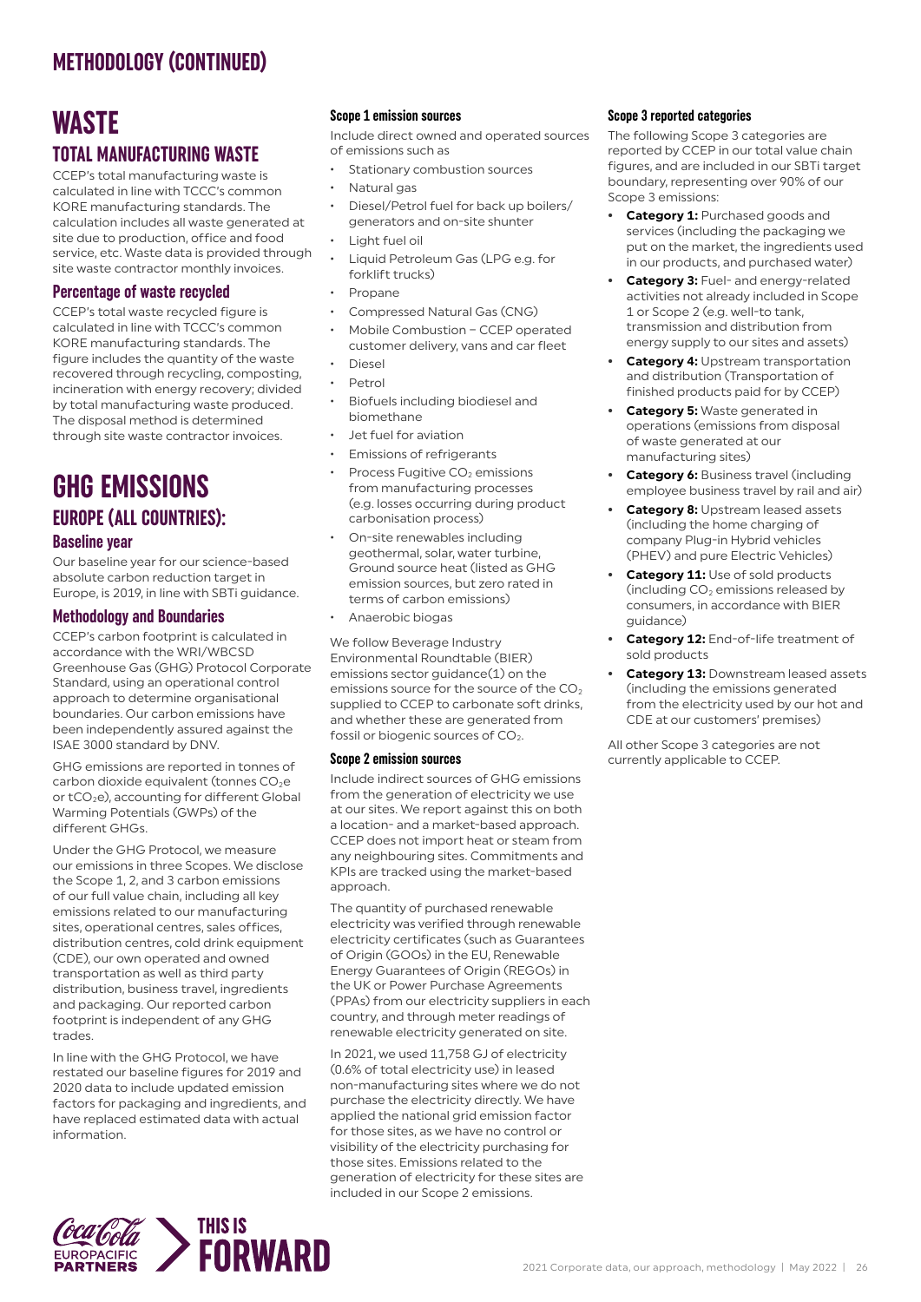### **WASTE TOTAL MANUFACTURING WASTE**

CCEP's total manufacturing waste is calculated in line with TCCC's common KORE manufacturing standards. The calculation includes all waste generated at site due to production, office and food service, etc. Waste data is provided through site waste contractor monthly invoices.

#### **Percentage of waste recycled**

CCEP's total waste recycled figure is calculated in line with TCCC's common KORE manufacturing standards. The figure includes the quantity of the waste recovered through recycling, composting, incineration with energy recovery; divided by total manufacturing waste produced. The disposal method is determined through site waste contractor invoices.

## **GHG EMISSIONS EUROPE (ALL COUNTRIES):**

#### **Baseline year**

Our baseline year for our science-based absolute carbon reduction target in Europe, is 2019, in line with SBTi guidance.

#### **Methodology and Boundaries**

CCEP's carbon footprint is calculated in accordance with the WRI/WBCSD Greenhouse Gas (GHG) Protocol Corporate Standard, using an operational control approach to determine organisational boundaries. Our carbon emissions have been independently assured against the ISAE 3000 standard by DNV.

GHG emissions are reported in tonnes of carbon dioxide equivalent (tonnes  $CO<sub>2</sub>e$ or tCO<sub>2</sub>e), accounting for different Global Warming Potentials (GWPs) of the different GHGs.

Under the GHG Protocol, we measure our emissions in three Scopes. We disclose the Scope 1, 2, and 3 carbon emissions of our full value chain, including all key emissions related to our manufacturing sites, operational centres, sales offices, distribution centres, cold drink equipment (CDE), our own operated and owned transportation as well as third party distribution, business travel, ingredients and packaging. Our reported carbon footprint is independent of any GHG trades.

In line with the GHG Protocol, we have restated our baseline figures for 2019 and 2020 data to include updated emission factors for packaging and ingredients, and have replaced estimated data with actual information.

#### **Scope 1 emission sources**

Include direct owned and operated sources of emissions such as

- Stationary combustion sources
- Natural gas
- Diesel/Petrol fuel for back up boilers/ generators and on-site shunter
- Light fuel oil
- Liquid Petroleum Gas (LPG e.g. for forklift trucks)
- Propane
- Compressed Natural Gas (CNG)
- Mobile Combustion CCEP operated customer delivery, vans and car fleet
- Diesel
- Petrol
- Biofuels including biodiesel and biomethane
- Jet fuel for aviation
- Emissions of refrigerants
- Process Fugitive CO<sub>2</sub> emissions from manufacturing processes (e.g. losses occurring during product carbonisation process)
- On-site renewables including geothermal, solar, water turbine, Ground source heat (listed as GHG emission sources, but zero rated in terms of carbon emissions)
- Anaerobic biogas

We follow Beverage Industry Environmental Roundtable (BIER) emissions sector guidance(1) on the emissions source for the source of the  $CO<sub>2</sub>$ supplied to CCEP to carbonate soft drinks, and whether these are generated from fossil or biogenic sources of  $CO<sub>2</sub>$ .

#### **Scope 2 emission sources**

Include indirect sources of GHG emissions from the generation of electricity we use at our sites. We report against this on both a location- and a market-based approach. CCEP does not import heat or steam from any neighbouring sites. Commitments and KPIs are tracked using the market-based approach.

The quantity of purchased renewable electricity was verified through renewable electricity certificates (such as Guarantees of Origin (GOOs) in the EU, Renewable Energy Guarantees of Origin (REGOs) in the UK or Power Purchase Agreements (PPAs) from our electricity suppliers in each country, and through meter readings of renewable electricity generated on site.

In 2021, we used 11,758 GJ of electricity (0.6% of total electricity use) in leased non-manufacturing sites where we do not purchase the electricity directly. We have applied the national grid emission factor for those sites, as we have no control or visibility of the electricity purchasing for those sites. Emissions related to the generation of electricity for these sites are included in our Scope 2 emissions.

#### **Scope 3 reported categories**

The following Scope 3 categories are reported by CCEP in our total value chain figures, and are included in our SBTi target boundary, representing over 90% of our Scope 3 emissions:

- **• Category 1:** Purchased goods and services (including the packaging we put on the market, the ingredients used in our products, and purchased water)
- **• Category 3:** Fuel- and energy-related activities not already included in Scope 1 or Scope 2 (e.g. well-to tank, transmission and distribution from energy supply to our sites and assets)
- **• Category 4:** Upstream transportation and distribution (Transportation of finished products paid for by CCEP)
- **• Category 5:** Waste generated in operations (emissions from disposal of waste generated at our manufacturing sites)
- **• Category 6:** Business travel (including employee business travel by rail and air)
- **• Category 8:** Upstream leased assets (including the home charging of company Plug-in Hybrid vehicles (PHEV) and pure Electric Vehicles)
- **• Category 11:** Use of sold products (including  $CO<sub>2</sub>$  emissions released by consumers, in accordance with BIER guidance)
- **• Category 12:** End-of-life treatment of sold products
- **• Category 13:** Downstream leased assets (including the emissions generated from the electricity used by our hot and CDE at our customers' premises)

All other Scope 3 categories are not currently applicable to CCEP.

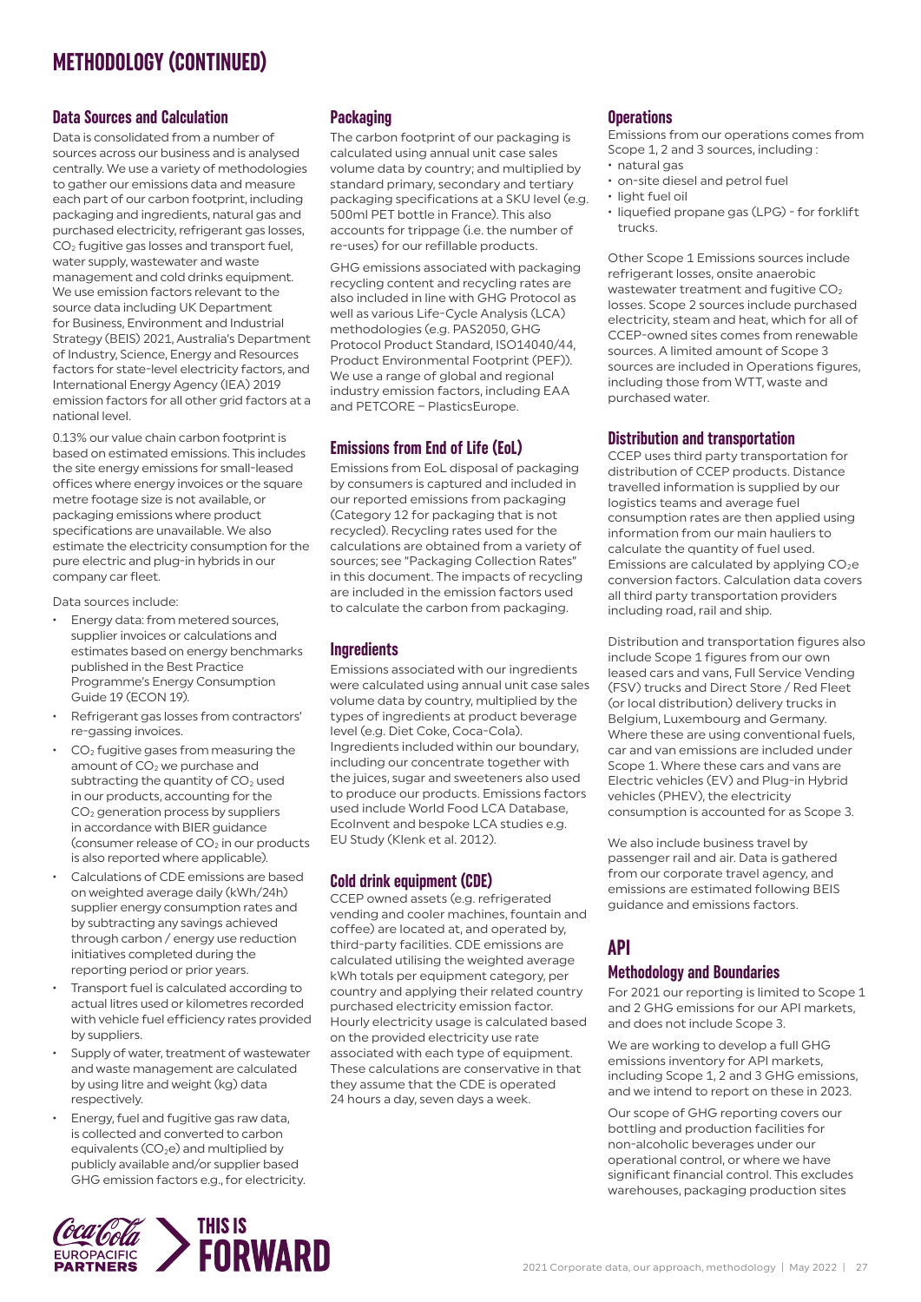#### **Data Sources and Calculation**

Data is consolidated from a number of sources across our business and is analysed centrally. We use a variety of methodologies to gather our emissions data and measure each part of our carbon footprint, including packaging and ingredients, natural gas and purchased electricity, refrigerant gas losses, CO2 fugitive gas losses and transport fuel, water supply, wastewater and waste management and cold drinks equipment. We use emission factors relevant to the source data including UK Department for Business, Environment and Industrial Strategy (BEIS) 2021, Australia's Department of Industry, Science, Energy and Resources factors for state-level electricity factors, and International Energy Agency (IEA) 2019 emission factors for all other grid factors at a national level.

0.13% our value chain carbon footprint is based on estimated emissions. This includes the site energy emissions for small-leased offices where energy invoices or the square metre footage size is not available, or packaging emissions where product specifications are unavailable. We also estimate the electricity consumption for the pure electric and plug-in hybrids in our company car fleet.

Data sources include:

- Energy data: from metered sources, supplier invoices or calculations and estimates based on energy benchmarks published in the Best Practice Programme's Energy Consumption Guide 19 (ECON 19).
- Refrigerant gas losses from contractors' re-gassing invoices.
- CO2 fugitive gases from measuring the amount of CO<sub>2</sub> we purchase and subtracting the quantity of  $CO<sub>2</sub>$  used in our products, accounting for the CO2 generation process by suppliers in accordance with BIER guidance (consumer release of  $CO<sub>2</sub>$  in our products is also reported where applicable).
- Calculations of CDE emissions are based on weighted average daily (kWh/24h) supplier energy consumption rates and by subtracting any savings achieved through carbon / energy use reduction initiatives completed during the reporting period or prior years.
- Transport fuel is calculated according to actual litres used or kilometres recorded with vehicle fuel efficiency rates provided by suppliers.
- Supply of water, treatment of wastewater and waste management are calculated by using litre and weight (kg) data respectively.
- Energy, fuel and fugitive gas raw data, is collected and converted to carbon equivalents (CO<sub>2</sub>e) and multiplied by publicly available and/or supplier based GHG emission factors e.g., for electricity.

#### **Packaging**

The carbon footprint of our packaging is calculated using annual unit case sales volume data by country; and multiplied by standard primary, secondary and tertiary packaging specifications at a SKU level (e.g. 500ml PET bottle in France). This also accounts for trippage (i.e. the number of re-uses) for our refillable products.

GHG emissions associated with packaging recycling content and recycling rates are also included in line with GHG Protocol as well as various Life-Cycle Analysis (LCA) methodologies (e.g. PAS2050, GHG Protocol Product Standard, ISO14040/44, Product Environmental Footprint (PEF)). We use a range of global and regional industry emission factors, including EAA and PETCORE – PlasticsEurope.

#### **Emissions from End of Life (EoL)**

Emissions from EoL disposal of packaging by consumers is captured and included in our reported emissions from packaging (Category 12 for packaging that is not recycled). Recycling rates used for the calculations are obtained from a variety of sources; see "Packaging Collection Rates" in this document. The impacts of recycling are included in the emission factors used to calculate the carbon from packaging.

#### **Ingredients**

Emissions associated with our ingredients were calculated using annual unit case sales volume data by country, multiplied by the types of ingredients at product beverage level (e.g. Diet Coke, Coca-Cola). Ingredients included within our boundary, including our concentrate together with the juices, sugar and sweeteners also used to produce our products. Emissions factors used include World Food LCA Database, EcoInvent and bespoke LCA studies e.g. EU Study (Klenk et al. 2012).

#### **Cold drink equipment (CDE)**

CCEP owned assets (e.g. refrigerated vending and cooler machines, fountain and coffee) are located at, and operated by, third-party facilities. CDE emissions are calculated utilising the weighted average kWh totals per equipment category, per country and applying their related country purchased electricity emission factor. Hourly electricity usage is calculated based on the provided electricity use rate associated with each type of equipment. These calculations are conservative in that they assume that the CDE is operated 24 hours a day, seven days a week.

#### **Operations**

Emissions from our operations comes from Scope 1, 2 and 3 sources, including :

- natural gas
- on-site diesel and petrol fuel
- light fuel oil
- liquefied propane gas (LPG) for forklift trucks.

Other Scope 1 Emissions sources include refrigerant losses, onsite anaerobic wastewater treatment and fugitive  $CO<sub>2</sub>$ losses. Scope 2 sources include purchased electricity, steam and heat, which for all of CCEP-owned sites comes from renewable sources. A limited amount of Scope 3 sources are included in Operations figures. including those from WTT, waste and purchased water.

#### **Distribution and transportation**

CCEP uses third party transportation for distribution of CCEP products. Distance travelled information is supplied by our logistics teams and average fuel consumption rates are then applied using information from our main hauliers to calculate the quantity of fuel used. Emissions are calculated by applying  $CO<sub>2</sub>e$ conversion factors. Calculation data covers all third party transportation providers including road, rail and ship.

Distribution and transportation figures also include Scope 1 figures from our own leased cars and vans, Full Service Vending (FSV) trucks and Direct Store / Red Fleet (or local distribution) delivery trucks in Belgium, Luxembourg and Germany. Where these are using conventional fuels, car and van emissions are included under Scope 1. Where these cars and vans are Electric vehicles (EV) and Plug-in Hybrid vehicles (PHEV), the electricity consumption is accounted for as Scope 3.

We also include business travel by passenger rail and air. Data is gathered from our corporate travel agency, and emissions are estimated following BEIS guidance and emissions factors.

#### **API**

#### **Methodology and Boundaries**

For 2021 our reporting is limited to Scope 1 and 2 GHG emissions for our API markets, and does not include Scope 3.

We are working to develop a full GHG emissions inventory for API markets, including Scope 1, 2 and 3 GHG emissions, and we intend to report on these in 2023.

Our scope of GHG reporting covers our bottling and production facilities for non-alcoholic beverages under our operational control, or where we have significant financial control. This excludes warehouses, packaging production sites

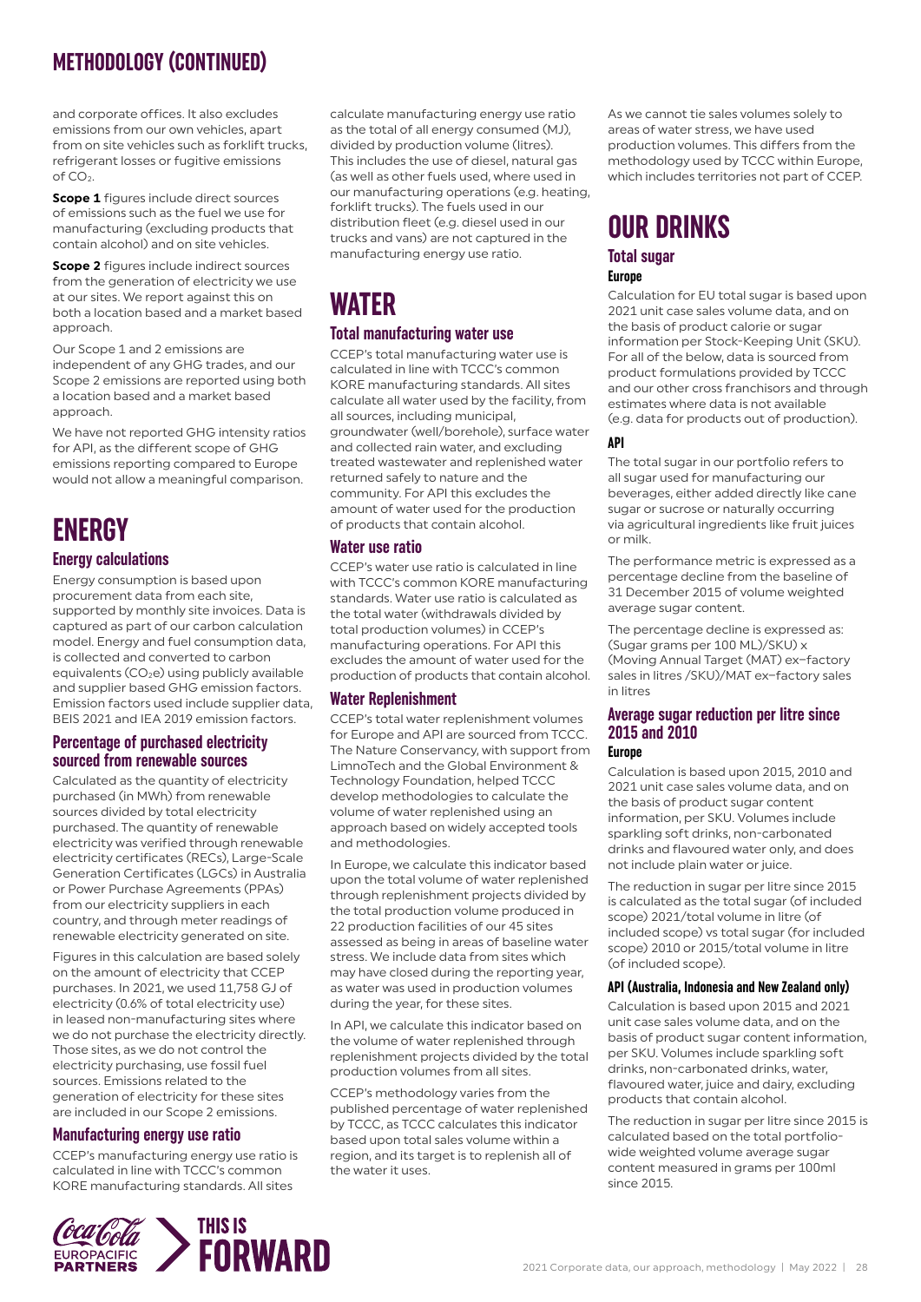and corporate offices. It also excludes emissions from our own vehicles, apart from on site vehicles such as forklift trucks, refrigerant losses or fugitive emissions of CO<sub>2</sub>.

**Scope 1** figures include direct sources of emissions such as the fuel we use for manufacturing (excluding products that contain alcohol) and on site vehicles.

**Scope 2** figures include indirect sources from the generation of electricity we use at our sites. We report against this on both a location based and a market based approach.

Our Scope 1 and 2 emissions are independent of any GHG trades, and our Scope 2 emissions are reported using both a location based and a market based approach.

We have not reported GHG intensity ratios for API, as the different scope of GHG emissions reporting compared to Europe would not allow a meaningful comparison.

## **ENERGY**

#### **Energy calculations**

Energy consumption is based upon procurement data from each site, supported by monthly site invoices. Data is captured as part of our carbon calculation model. Energy and fuel consumption data, is collected and converted to carbon equivalents  $(CO<sub>2</sub>e)$  using publicly available and supplier based GHG emission factors. Emission factors used include supplier data, BEIS 2021 and IEA 2019 emission factors.

#### **Percentage of purchased electricity sourced from renewable sources**

Calculated as the quantity of electricity purchased (in MWh) from renewable sources divided by total electricity purchased. The quantity of renewable electricity was verified through renewable electricity certificates (RECs), Large-Scale Generation Certificates (LGCs) in Australia or Power Purchase Agreements (PPAs) from our electricity suppliers in each country, and through meter readings of renewable electricity generated on site.

Figures in this calculation are based solely on the amount of electricity that CCEP purchases. In 2021, we used 11,758 GJ of electricity (0.6% of total electricity use) in leased non-manufacturing sites where we do not purchase the electricity directly. Those sites, as we do not control the electricity purchasing, use fossil fuel sources. Emissions related to the generation of electricity for these sites are included in our Scope 2 emissions.

#### **Manufacturing energy use ratio**

CCEP's manufacturing energy use ratio is calculated in line with TCCC's common KORE manufacturing standards. All sites

calculate manufacturing energy use ratio as the total of all energy consumed (MJ), divided by production volume (litres). This includes the use of diesel, natural gas (as well as other fuels used, where used in our manufacturing operations (e.g. heating, forklift trucks). The fuels used in our distribution fleet (e.g. diesel used in our trucks and vans) are not captured in the manufacturing energy use ratio.

## **WATER**

#### **Total manufacturing water use**

CCEP's total manufacturing water use is calculated in line with TCCC's common KORE manufacturing standards. All sites calculate all water used by the facility, from all sources, including municipal, groundwater (well/borehole), surface water and collected rain water, and excluding treated wastewater and replenished water returned safely to nature and the community. For API this excludes the amount of water used for the production of products that contain alcohol.

#### **Water use ratio**

CCEP's water use ratio is calculated in line with TCCC's common KORE manufacturing standards. Water use ratio is calculated as the total water (withdrawals divided by total production volumes) in CCEP's manufacturing operations. For API this excludes the amount of water used for the production of products that contain alcohol.

#### **Water Replenishment**

CCEP's total water replenishment volumes for Europe and API are sourced from TCCC. The Nature Conservancy, with support from LimnoTech and the Global Environment & Technology Foundation, helped TCCC develop methodologies to calculate the volume of water replenished using an approach based on widely accepted tools and methodologies.

In Europe, we calculate this indicator based upon the total volume of water replenished through replenishment projects divided by the total production volume produced in 22 production facilities of our 45 sites assessed as being in areas of baseline water stress. We include data from sites which may have closed during the reporting year, as water was used in production volumes during the year, for these sites.

In API, we calculate this indicator based on the volume of water replenished through replenishment projects divided by the total production volumes from all sites.

CCEP's methodology varies from the published percentage of water replenished by TCCC, as TCCC calculates this indicator based upon total sales volume within a region, and its target is to replenish all of the water it uses.

As we cannot tie sales volumes solely to areas of water stress, we have used production volumes. This differs from the methodology used by TCCC within Europe, which includes territories not part of CCEP.

## **OUR DRINKS**

#### **Total sugar Europe**

Calculation for EU total sugar is based upon 2021 unit case sales volume data, and on the basis of product calorie or sugar information per Stock-Keeping Unit (SKU). For all of the below, data is sourced from product formulations provided by TCCC and our other cross franchisors and through estimates where data is not available (e.g. data for products out of production).

#### **API**

The total sugar in our portfolio refers to all sugar used for manufacturing our beverages, either added directly like cane sugar or sucrose or naturally occurring via agricultural ingredients like fruit juices or milk.

The performance metric is expressed as a percentage decline from the baseline of 31 December 2015 of volume weighted average sugar content.

The percentage decline is expressed as: (Sugar grams per 100 ML)/SKU) x (Moving Annual Target (MAT) ex−factory sales in litres /SKU)/MAT ex−factory sales in litres

#### **Average sugar reduction per litre since 2015 and 2010**

#### **Europe**

Calculation is based upon 2015, 2010 and 2021 unit case sales volume data, and on the basis of product sugar content information, per SKU. Volumes include sparkling soft drinks, non-carbonated drinks and flavoured water only, and does not include plain water or juice.

The reduction in sugar per litre since 2015 is calculated as the total sugar (of included scope) 2021/total volume in litre (of included scope) vs total sugar (for included scope) 2010 or 2015/total volume in litre (of included scope).

#### **API (Australia, Indonesia and New Zealand only)**

Calculation is based upon 2015 and 2021 unit case sales volume data, and on the basis of product sugar content information, per SKU. Volumes include sparkling soft drinks, non-carbonated drinks, water, flavoured water, juice and dairy, excluding products that contain alcohol.

The reduction in sugar per litre since 2015 is calculated based on the total portfoliowide weighted volume average sugar content measured in grams per 100ml since 2015.